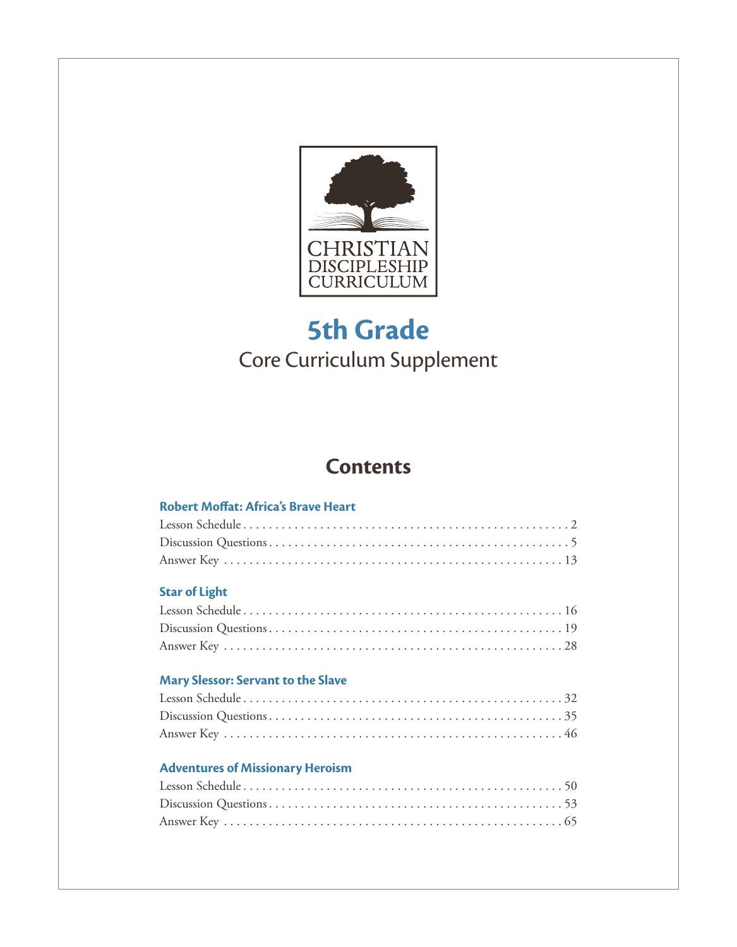

## **5th Grade** Core Curriculum Supplement

## **Contents**

## Robert Moffat: Africa's Brave Heart

## **Star of Light**

## Mary Slessor: Servant to the Slave

## **Adventures of Missionary Heroism**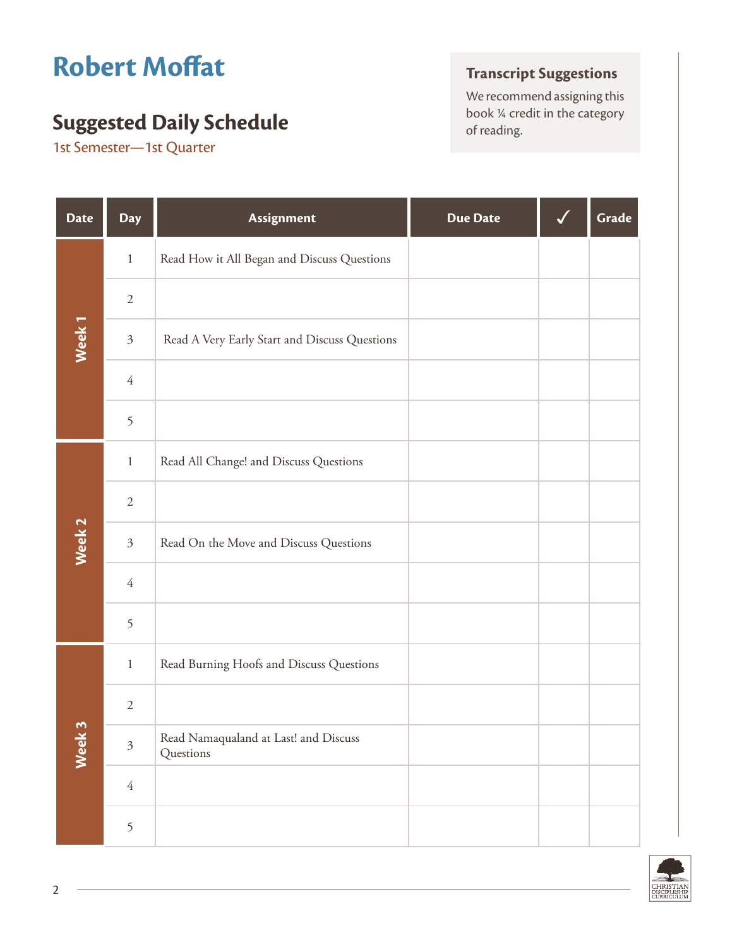# **Robert Moffat**

## **Suggested Daily Schedule Suggested Daily Schedule Suggested Daily Schedule**

1st Semester—1st Quarter

## **Transcript Suggestions**

We recommend assigning this<br>book  $\frac{1}{4}$  credit in the category

| <b>Date</b>       | <b>Day</b>     | Assignment                                         | <b>Due Date</b> | Grade |
|-------------------|----------------|----------------------------------------------------|-----------------|-------|
|                   | $1\,$          | Read How it All Began and Discuss Questions        |                 |       |
|                   | $\sqrt{2}$     |                                                    |                 |       |
| Week <sub>1</sub> | $\mathfrak{Z}$ | Read A Very Early Start and Discuss Questions      |                 |       |
|                   | $\sqrt{4}$     |                                                    |                 |       |
|                   | 5              |                                                    |                 |       |
|                   | $\,1\,$        | Read All Change! and Discuss Questions             |                 |       |
|                   | $\sqrt{2}$     |                                                    |                 |       |
| Week <sub>2</sub> | $\mathfrak{Z}$ | Read On the Move and Discuss Questions             |                 |       |
|                   | $\sqrt{4}$     |                                                    |                 |       |
|                   | 5              |                                                    |                 |       |
|                   | $\,1\,$        | Read Burning Hoofs and Discuss Questions           |                 |       |
|                   | $\sqrt{2}$     |                                                    |                 |       |
| Week 3            | $\mathfrak{Z}$ | Read Namaqualand at Last! and Discuss<br>Questions |                 |       |
|                   | $\sqrt{4}$     |                                                    |                 |       |
|                   | 5              |                                                    |                 |       |

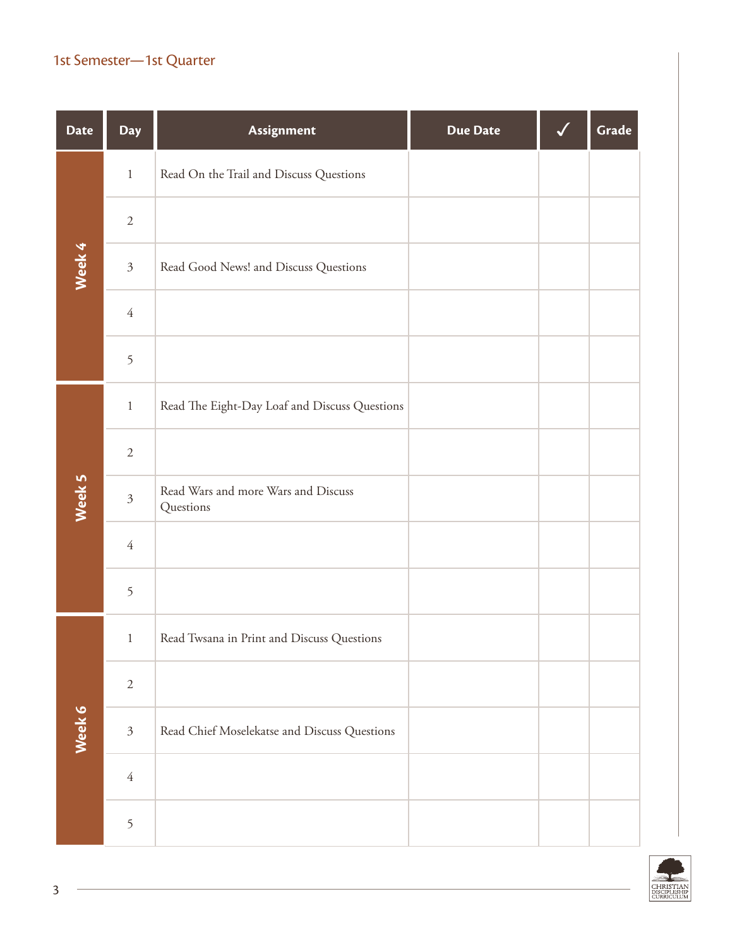## 1st Semester—1st Quarter

| <b>Date</b> | <b>Day</b>     | Assignment                                       | <b>Due Date</b> | Grade |
|-------------|----------------|--------------------------------------------------|-----------------|-------|
|             | $1\,$          | Read On the Trail and Discuss Questions          |                 |       |
|             | $\sqrt{2}$     |                                                  |                 |       |
| Week 4      | $\mathfrak{Z}$ | Read Good News! and Discuss Questions            |                 |       |
|             | $\overline{4}$ |                                                  |                 |       |
|             | 5              |                                                  |                 |       |
|             | $\mathbf{1}$   | Read The Eight-Day Loaf and Discuss Questions    |                 |       |
|             | $\sqrt{2}$     |                                                  |                 |       |
| Week 5      | $\mathfrak{Z}$ | Read Wars and more Wars and Discuss<br>Questions |                 |       |
|             | $\overline{4}$ |                                                  |                 |       |
|             | 5              |                                                  |                 |       |
|             | $\,1$          | Read Twsana in Print and Discuss Questions       |                 |       |
|             | $\sqrt{2}$     |                                                  |                 |       |
| Week 6      | $\mathfrak{Z}$ | Read Chief Moselekatse and Discuss Questions     |                 |       |
|             | $\sqrt{4}$     |                                                  |                 |       |
|             | 5              |                                                  |                 |       |

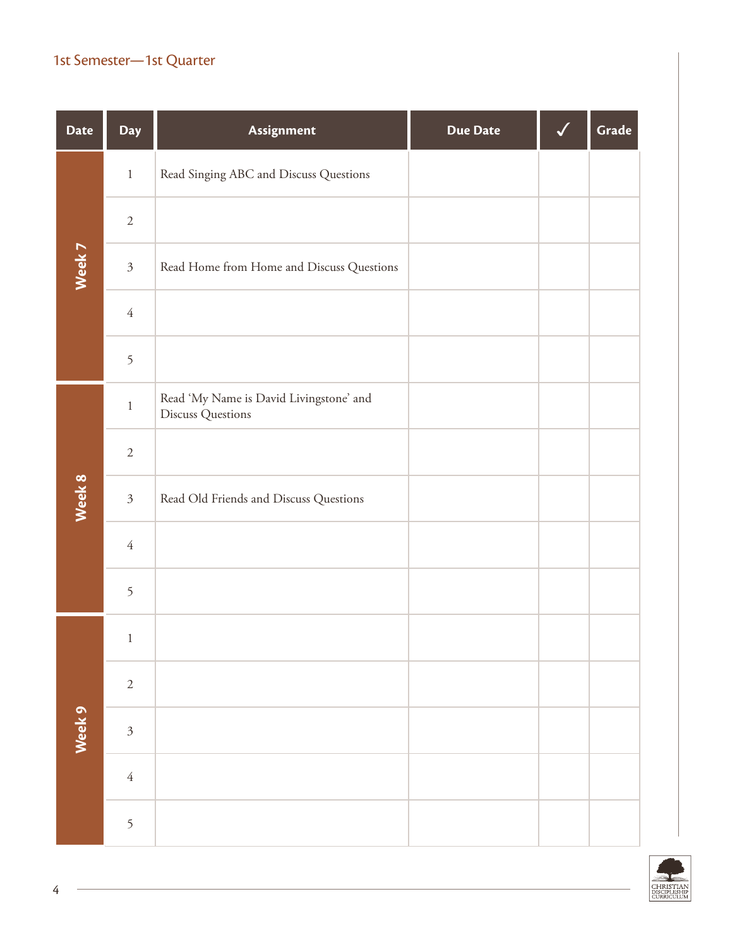## 1st Semester—1st Quarter

| <b>Date</b>       | <b>Day</b>     | Assignment                                                   | <b>Due Date</b> | Grade |
|-------------------|----------------|--------------------------------------------------------------|-----------------|-------|
|                   | $1\,$          | Read Singing ABC and Discuss Questions                       |                 |       |
|                   | $\sqrt{2}$     |                                                              |                 |       |
| Week 7            | $\mathfrak{Z}$ | Read Home from Home and Discuss Questions                    |                 |       |
|                   | $\sqrt{4}$     |                                                              |                 |       |
|                   | 5              |                                                              |                 |       |
|                   | $\,1$          | Read 'My Name is David Livingstone' and<br>Discuss Questions |                 |       |
|                   | $\sqrt{2}$     |                                                              |                 |       |
| Week 8            | $\mathfrak{Z}$ | Read Old Friends and Discuss Questions                       |                 |       |
|                   | $\sqrt{4}$     |                                                              |                 |       |
|                   | 5              |                                                              |                 |       |
|                   | 1              |                                                              |                 |       |
|                   | $\sqrt{2}$     |                                                              |                 |       |
| Week <sub>9</sub> | $\mathfrak{Z}$ |                                                              |                 |       |
|                   | $\sqrt{4}$     |                                                              |                 |       |
|                   | 5              |                                                              |                 |       |

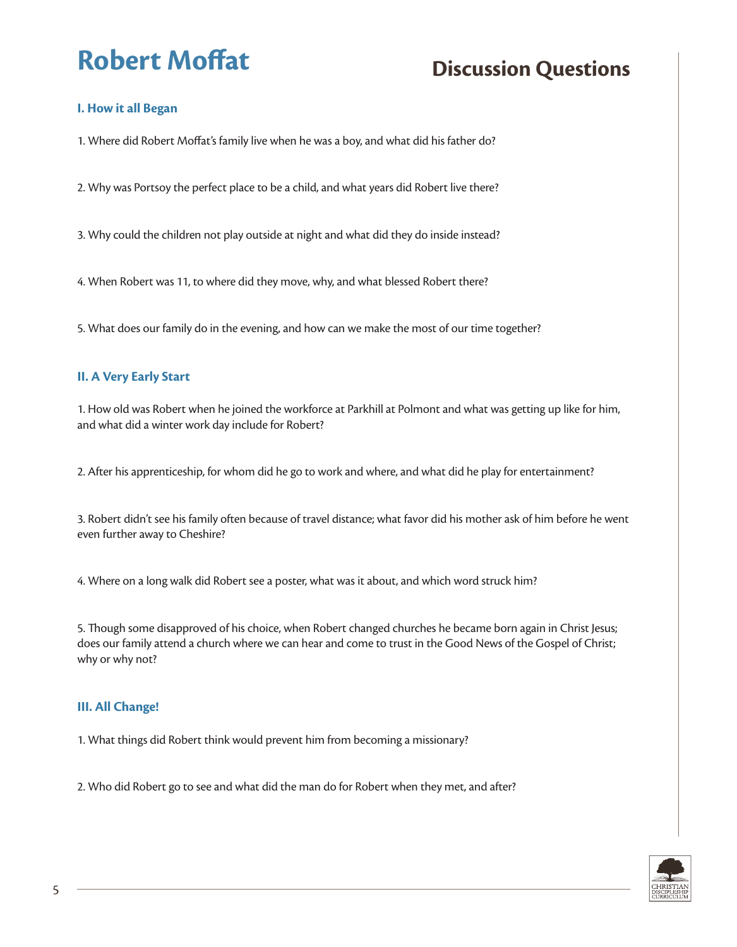### **I. How it all Began**

1. Where did Robert Moffat's family live when he was a boy, and what did his father do?

2. Why was Portsoy the perfect place to be a child, and what years did Robert live there?

3. Why could the children not play outside at night and what did they do inside instead?

4. When Robert was 11, to where did they move, why, and what blessed Robert there?

5. What does our family do in the evening, and how can we make the most of our time together?

### **II. A Very Early Start**

1. How old was Robert when he joined the workforce at Parkhill at Polmont and what was getting up like for him, and what did a winter work day include for Robert?

2. After his apprenticeship, for whom did he go to work and where, and what did he play for entertainment?

3. Robert didn't see his family often because of travel distance; what favor did his mother ask of him before he went even further away to Cheshire?

4. Where on a long walk did Robert see a poster, what was it about, and which word struck him?

5. Though some disapproved of his choice, when Robert changed churches he became born again in Christ Jesus; does our family attend a church where we can hear and come to trust in the Good News of the Gospel of Christ; why or why not?

### **III. All Change!**

1. What things did Robert think would prevent him from becoming a missionary?

2. Who did Robert go to see and what did the man do for Robert when they met, and after?

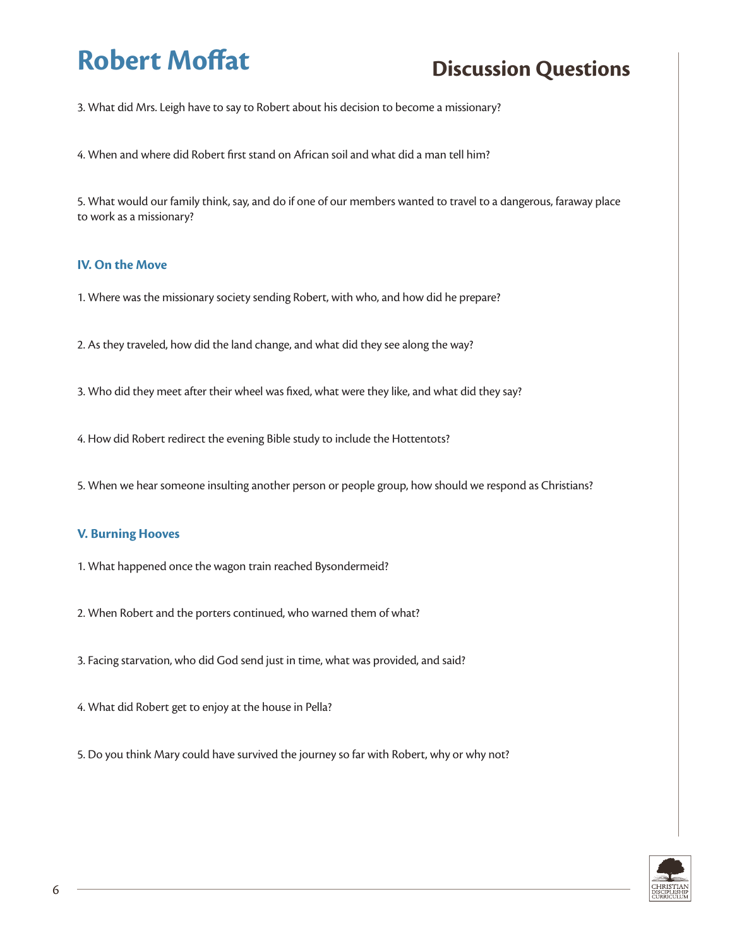3. What did Mrs. Leigh have to say to Robert about his decision to become a missionary?

4. When and where did Robert first stand on African soil and what did a man tell him?

5. What would our family think, say, and do if one of our members wanted to travel to a dangerous, faraway place to work as a missionary?

#### **IV. On the Move**

- 1. Where was the missionary society sending Robert, with who, and how did he prepare?
- 2. As they traveled, how did the land change, and what did they see along the way?
- 3. Who did they meet after their wheel was fixed, what were they like, and what did they say?
- 4. How did Robert redirect the evening Bible study to include the Hottentots?
- 5. When we hear someone insulting another person or people group, how should we respond as Christians?

#### **V. Burning Hooves**

- 1. What happened once the wagon train reached Bysondermeid?
- 2. When Robert and the porters continued, who warned them of what?
- 3. Facing starvation, who did God send just in time, what was provided, and said?
- 4. What did Robert get to enjoy at the house in Pella?
- 5. Do you think Mary could have survived the journey so far with Robert, why or why not?

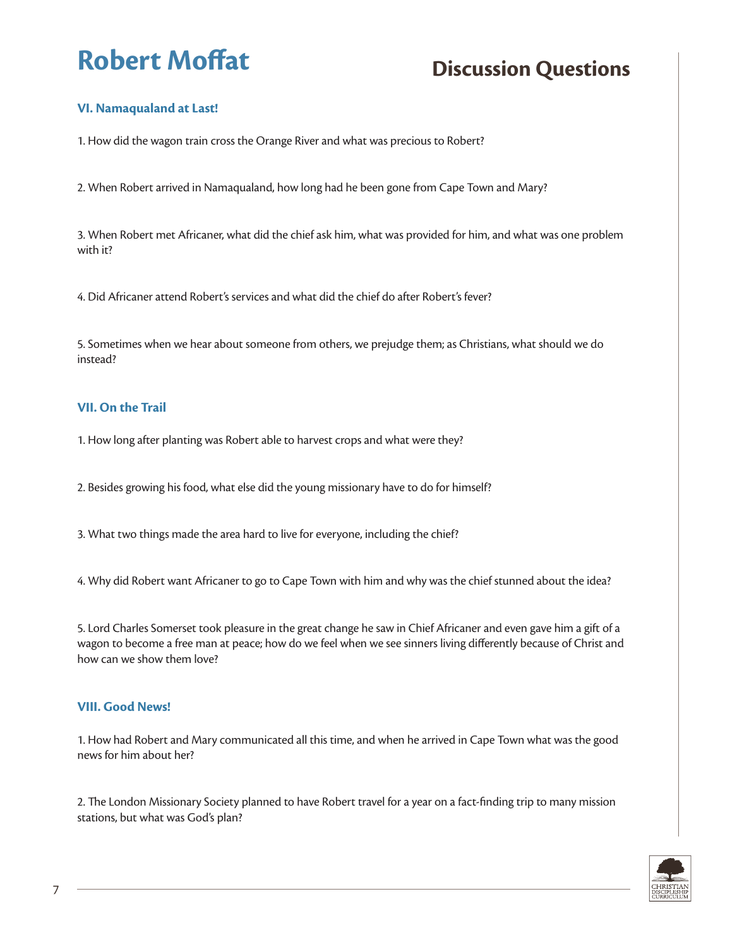## **VI. Namaqualand at Last!**

1. How did the wagon train cross the Orange River and what was precious to Robert?

2. When Robert arrived in Namaqualand, how long had he been gone from Cape Town and Mary?

3. When Robert met Africaner, what did the chief ask him, what was provided for him, and what was one problem with it?

4. Did Africaner attend Robert's services and what did the chief do after Robert's fever?

5. Sometimes when we hear about someone from others, we prejudge them; as Christians, what should we do instead?

#### **VII. On the Trail**

1. How long after planting was Robert able to harvest crops and what were they?

2. Besides growing his food, what else did the young missionary have to do for himself?

3. What two things made the area hard to live for everyone, including the chief?

4. Why did Robert want Africaner to go to Cape Town with him and why was the chief stunned about the idea?

5. Lord Charles Somerset took pleasure in the great change he saw in Chief Africaner and even gave him a gift of a wagon to become a free man at peace; how do we feel when we see sinners living differently because of Christ and how can we show them love?

#### **VIII. Good News!**

1. How had Robert and Mary communicated all this time, and when he arrived in Cape Town what was the good news for him about her?

2. The London Missionary Society planned to have Robert travel for a year on a fact-finding trip to many mission stations, but what was God's plan?

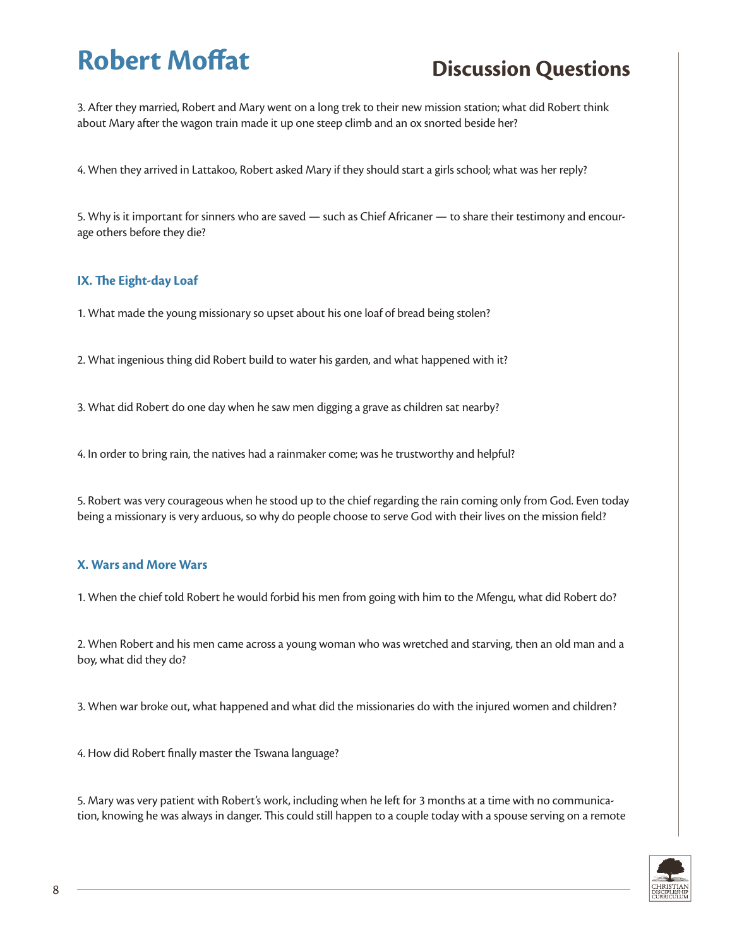3. After they married, Robert and Mary went on a long trek to their new mission station; what did Robert think about Mary after the wagon train made it up one steep climb and an ox snorted beside her?

4. When they arrived in Lattakoo, Robert asked Mary if they should start a girls school; what was her reply?

5. Why is it important for sinners who are saved — such as Chief Africaner — to share their testimony and encourage others before they die?

### **IX. The Eight-day Loaf**

1. What made the young missionary so upset about his one loaf of bread being stolen?

2. What ingenious thing did Robert build to water his garden, and what happened with it?

3. What did Robert do one day when he saw men digging a grave as children sat nearby?

4. In order to bring rain, the natives had a rainmaker come; was he trustworthy and helpful?

5. Robert was very courageous when he stood up to the chief regarding the rain coming only from God. Even today being a missionary is very arduous, so why do people choose to serve God with their lives on the mission field?

### **X. Wars and More Wars**

1. When the chief told Robert he would forbid his men from going with him to the Mfengu, what did Robert do?

2. When Robert and his men came across a young woman who was wretched and starving, then an old man and a boy, what did they do?

3. When war broke out, what happened and what did the missionaries do with the injured women and children?

4. How did Robert finally master the Tswana language?

5. Mary was very patient with Robert's work, including when he left for 3 months at a time with no communication, knowing he was always in danger. This could still happen to a couple today with a spouse serving on a remote

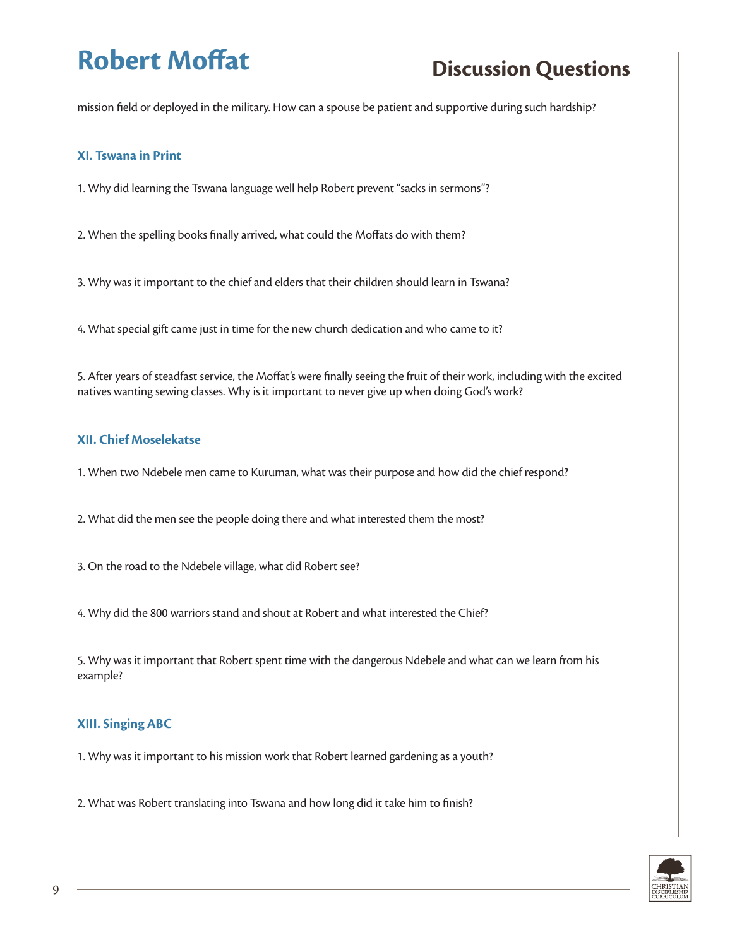mission field or deployed in the military. How can a spouse be patient and supportive during such hardship?

#### **XI. Tswana in Print**

1. Why did learning the Tswana language well help Robert prevent "sacks in sermons"?

2. When the spelling books finally arrived, what could the Moffats do with them?

3. Why was it important to the chief and elders that their children should learn in Tswana?

4. What special gift came just in time for the new church dedication and who came to it?

5. After years of steadfast service, the Moffat's were finally seeing the fruit of their work, including with the excited natives wanting sewing classes. Why is it important to never give up when doing God's work?

#### **XII. Chief Moselekatse**

1. When two Ndebele men came to Kuruman, what was their purpose and how did the chief respond?

2. What did the men see the people doing there and what interested them the most?

3. On the road to the Ndebele village, what did Robert see?

4. Why did the 800 warriors stand and shout at Robert and what interested the Chief?

5. Why was it important that Robert spent time with the dangerous Ndebele and what can we learn from his example?

### **XIII. Singing ABC**

1. Why was it important to his mission work that Robert learned gardening as a youth?

2. What was Robert translating into Tswana and how long did it take him to finish?

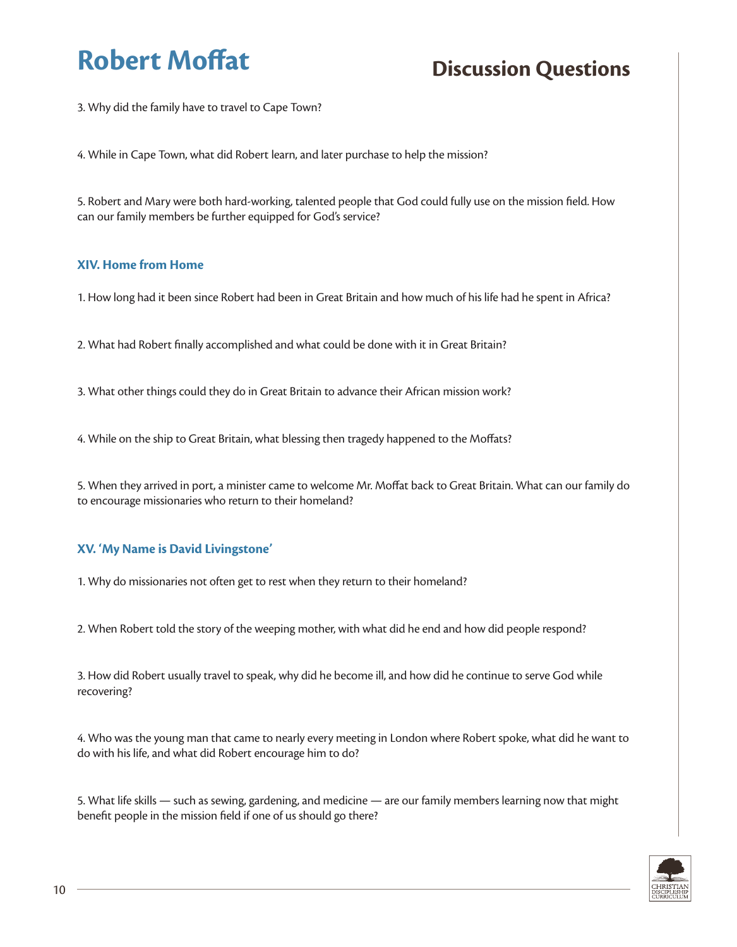3. Why did the family have to travel to Cape Town?

4. While in Cape Town, what did Robert learn, and later purchase to help the mission?

5. Robert and Mary were both hard-working, talented people that God could fully use on the mission field. How can our family members be further equipped for God's service?

#### **XIV. Home from Home**

1. How long had it been since Robert had been in Great Britain and how much of his life had he spent in Africa?

2. What had Robert finally accomplished and what could be done with it in Great Britain?

3. What other things could they do in Great Britain to advance their African mission work?

4. While on the ship to Great Britain, what blessing then tragedy happened to the Moffats?

5. When they arrived in port, a minister came to welcome Mr. Moffat back to Great Britain. What can our family do to encourage missionaries who return to their homeland?

### **XV. 'My Name is David Livingstone'**

1. Why do missionaries not often get to rest when they return to their homeland?

2. When Robert told the story of the weeping mother, with what did he end and how did people respond?

3. How did Robert usually travel to speak, why did he become ill, and how did he continue to serve God while recovering?

4. Who was the young man that came to nearly every meeting in London where Robert spoke, what did he want to do with his life, and what did Robert encourage him to do?

5. What life skills — such as sewing, gardening, and medicine — are our family members learning now that might benefit people in the mission field if one of us should go there?

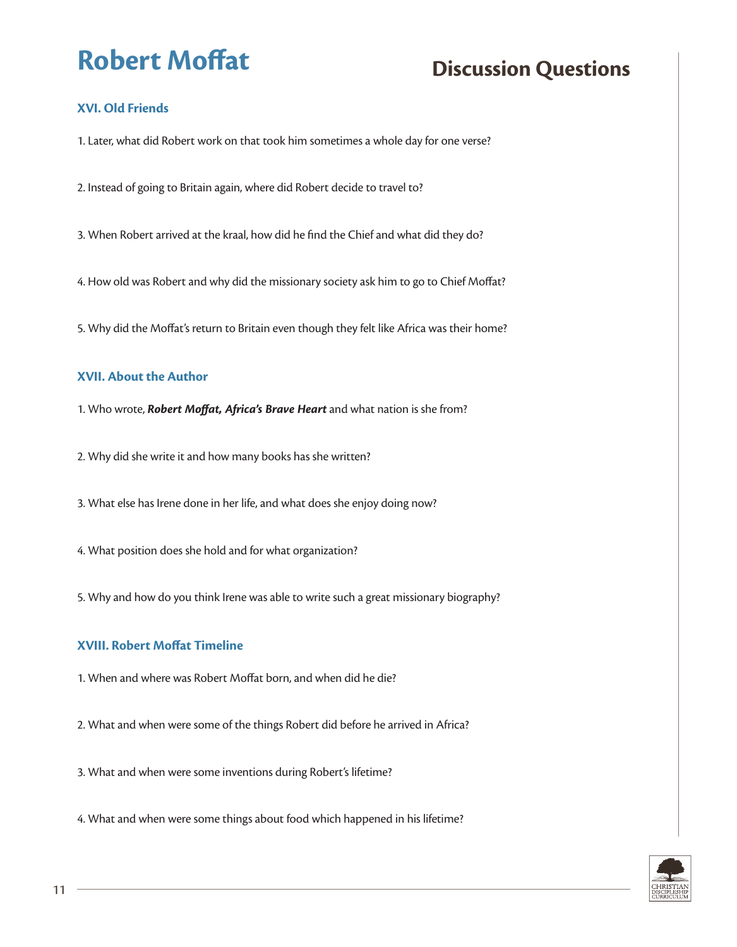## **XVI. Old Friends**

1. Later, what did Robert work on that took him sometimes a whole day for one verse?

2. Instead of going to Britain again, where did Robert decide to travel to?

3. When Robert arrived at the kraal, how did he find the Chief and what did they do?

4. How old was Robert and why did the missionary society ask him to go to Chief Moffat?

5. Why did the Moffat's return to Britain even though they felt like Africa was their home?

#### **XVII. About the Author**

1. Who wrote, *Robert Moffat, Africa's Brave Heart* and what nation is she from?

2. Why did she write it and how many books has she written?

3. What else has Irene done in her life, and what does she enjoy doing now?

4. What position does she hold and for what organization?

5. Why and how do you think Irene was able to write such a great missionary biography?

#### **XVIII. Robert Moffat Timeline**

1. When and where was Robert Moffat born, and when did he die?

2. What and when were some of the things Robert did before he arrived in Africa?

3. What and when were some inventions during Robert's lifetime?

4. What and when were some things about food which happened in his lifetime?

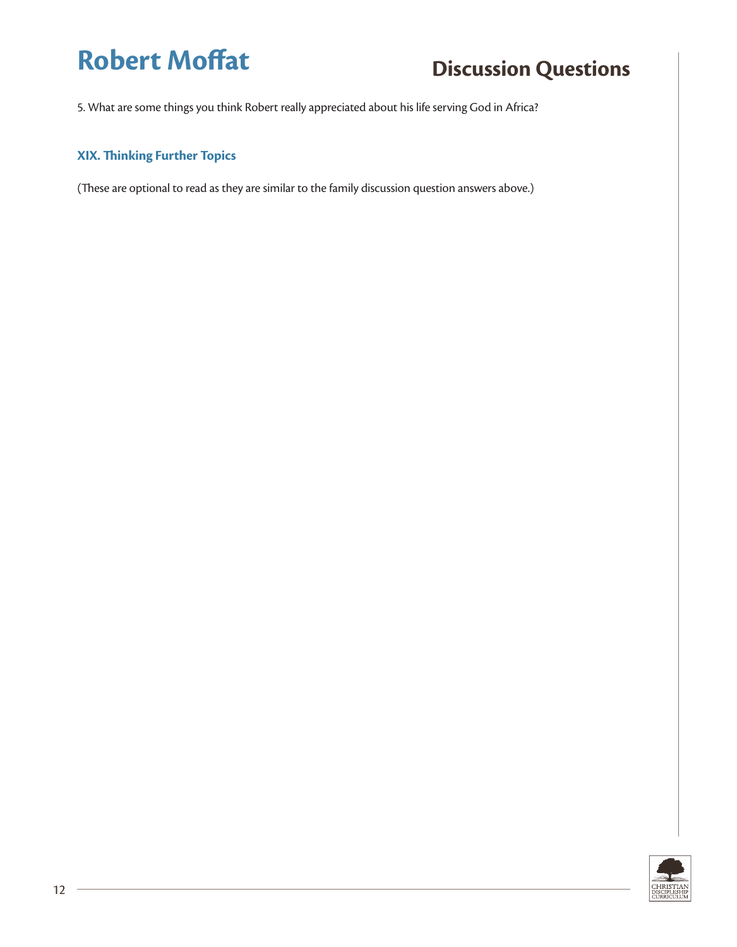5. What are some things you think Robert really appreciated about his life serving God in Africa?

### **XIX. Thinking Further Topics**

(These are optional to read as they are similar to the family discussion question answers above.)

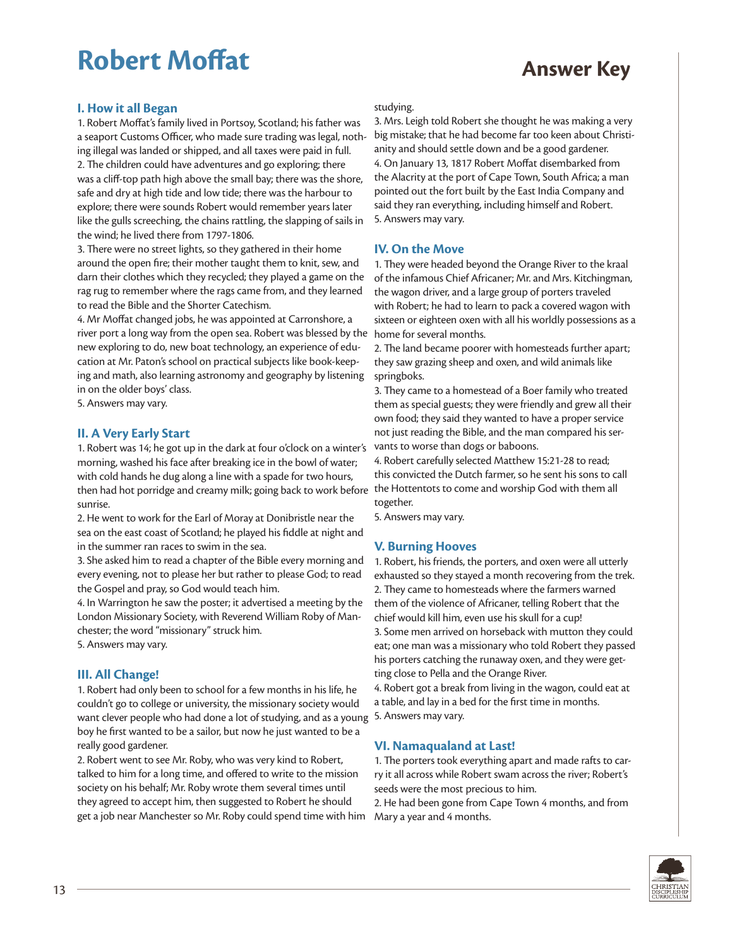# **Robert Moffat Answer Key**

#### **I. How it all Began**

1. Robert Moffat's family lived in Portsoy, Scotland; his father was a seaport Customs Officer, who made sure trading was legal, nothing illegal was landed or shipped, and all taxes were paid in full. 2. The children could have adventures and go exploring; there was a cliff-top path high above the small bay; there was the shore, safe and dry at high tide and low tide; there was the harbour to explore; there were sounds Robert would remember years later like the gulls screeching, the chains rattling, the slapping of sails in the wind; he lived there from 1797-1806.

3. There were no street lights, so they gathered in their home around the open fire; their mother taught them to knit, sew, and darn their clothes which they recycled; they played a game on the rag rug to remember where the rags came from, and they learned to read the Bible and the Shorter Catechism.

4. Mr Moffat changed jobs, he was appointed at Carronshore, a river port a long way from the open sea. Robert was blessed by the home for several months. new exploring to do, new boat technology, an experience of education at Mr. Paton's school on practical subjects like book-keeping and math, also learning astronomy and geography by listening in on the older boys' class.

5. Answers may vary.

#### **II. A Very Early Start**

1. Robert was 14; he got up in the dark at four o'clock on a winter's morning, washed his face after breaking ice in the bowl of water; with cold hands he dug along a line with a spade for two hours, then had hot porridge and creamy milk; going back to work before  $\,$  the Hottentots to come and worship God with them all sunrise.

2. He went to work for the Earl of Moray at Donibristle near the sea on the east coast of Scotland; he played his fiddle at night and in the summer ran races to swim in the sea.

3. She asked him to read a chapter of the Bible every morning and every evening, not to please her but rather to please God; to read the Gospel and pray, so God would teach him.

4. In Warrington he saw the poster; it advertised a meeting by the London Missionary Society, with Reverend William Roby of Manchester; the word "missionary" struck him.

5. Answers may vary.

#### **III. All Change!**

1. Robert had only been to school for a few months in his life, he couldn't go to college or university, the missionary society would want clever people who had done a lot of studying, and as a young boy he first wanted to be a sailor, but now he just wanted to be a really good gardener.

2. Robert went to see Mr. Roby, who was very kind to Robert, talked to him for a long time, and offered to write to the mission society on his behalf; Mr. Roby wrote them several times until they agreed to accept him, then suggested to Robert he should get a job near Manchester so Mr. Roby could spend time with him

#### studying.

3. Mrs. Leigh told Robert she thought he was making a very big mistake; that he had become far too keen about Christianity and should settle down and be a good gardener. 4. On January 13, 1817 Robert Moffat disembarked from the Alacrity at the port of Cape Town, South Africa; a man pointed out the fort built by the East India Company and said they ran everything, including himself and Robert. 5. Answers may vary.

#### **IV. On the Move**

1. They were headed beyond the Orange River to the kraal of the infamous Chief Africaner; Mr. and Mrs. Kitchingman, the wagon driver, and a large group of porters traveled with Robert; he had to learn to pack a covered wagon with sixteen or eighteen oxen with all his worldly possessions as a

2. The land became poorer with homesteads further apart; they saw grazing sheep and oxen, and wild animals like springboks.

3. They came to a homestead of a Boer family who treated them as special guests; they were friendly and grew all their own food; they said they wanted to have a proper service not just reading the Bible, and the man compared his servants to worse than dogs or baboons.

4. Robert carefully selected Matthew 15:21-28 to read; this convicted the Dutch farmer, so he sent his sons to call together.

5. Answers may vary.

#### **V. Burning Hooves**

1. Robert, his friends, the porters, and oxen were all utterly exhausted so they stayed a month recovering from the trek. 2. They came to homesteads where the farmers warned them of the violence of Africaner, telling Robert that the chief would kill him, even use his skull for a cup! 3. Some men arrived on horseback with mutton they could eat; one man was a missionary who told Robert they passed his porters catching the runaway oxen, and they were getting close to Pella and the Orange River.

4. Robert got a break from living in the wagon, could eat at a table, and lay in a bed for the first time in months. 5. Answers may vary.

#### **VI. Namaqualand at Last!**

1. The porters took everything apart and made rafts to carry it all across while Robert swam across the river; Robert's seeds were the most precious to him.

2. He had been gone from Cape Town 4 months, and from Mary a year and 4 months.

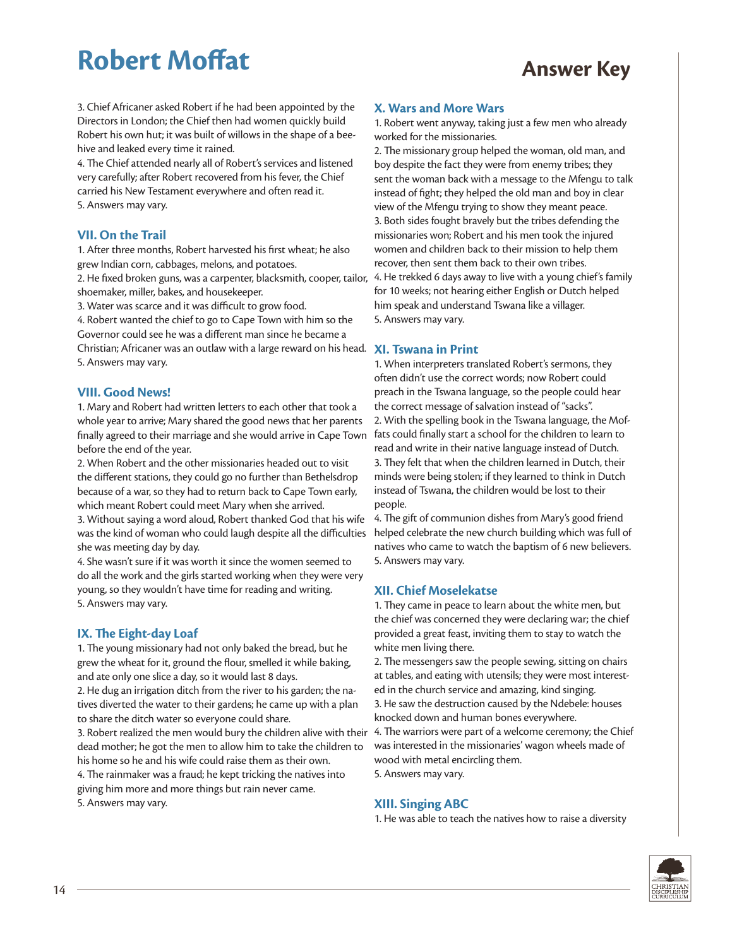# **Robert Moffat Answer Key**

3. Chief Africaner asked Robert if he had been appointed by the Directors in London; the Chief then had women quickly build Robert his own hut; it was built of willows in the shape of a beehive and leaked every time it rained.

4. The Chief attended nearly all of Robert's services and listened very carefully; after Robert recovered from his fever, the Chief carried his New Testament everywhere and often read it. 5. Answers may vary.

#### **VII. On the Trail**

1. After three months, Robert harvested his first wheat; he also grew Indian corn, cabbages, melons, and potatoes.

2. He fixed broken guns, was a carpenter, blacksmith, cooper, tailor, shoemaker, miller, bakes, and housekeeper.

3. Water was scarce and it was difficult to grow food.

4. Robert wanted the chief to go to Cape Town with him so the Governor could see he was a different man since he became a Christian; Africaner was an outlaw with a large reward on his head. **XI. Tswana in Print** 5. Answers may vary.

#### **VIII. Good News!**

1. Mary and Robert had written letters to each other that took a whole year to arrive; Mary shared the good news that her parents finally agreed to their marriage and she would arrive in Cape Town before the end of the year.

2. When Robert and the other missionaries headed out to visit the different stations, they could go no further than Bethelsdrop because of a war, so they had to return back to Cape Town early, which meant Robert could meet Mary when she arrived.

3. Without saying a word aloud, Robert thanked God that his wife was the kind of woman who could laugh despite all the difficulties she was meeting day by day.

4. She wasn't sure if it was worth it since the women seemed to do all the work and the girls started working when they were very young, so they wouldn't have time for reading and writing. 5. Answers may vary.

#### **IX. The Eight-day Loaf**

1. The young missionary had not only baked the bread, but he grew the wheat for it, ground the flour, smelled it while baking, and ate only one slice a day, so it would last 8 days.

2. He dug an irrigation ditch from the river to his garden; the natives diverted the water to their gardens; he came up with a plan to share the ditch water so everyone could share.

3. Robert realized the men would bury the children alive with their dead mother; he got the men to allow him to take the children to his home so he and his wife could raise them as their own.

4. The rainmaker was a fraud; he kept tricking the natives into giving him more and more things but rain never came. 5. Answers may vary.

#### **X. Wars and More Wars**

1. Robert went anyway, taking just a few men who already worked for the missionaries.

2. The missionary group helped the woman, old man, and boy despite the fact they were from enemy tribes; they sent the woman back with a message to the Mfengu to talk instead of fight; they helped the old man and boy in clear view of the Mfengu trying to show they meant peace. 3. Both sides fought bravely but the tribes defending the missionaries won; Robert and his men took the injured women and children back to their mission to help them recover, then sent them back to their own tribes. 4. He trekked 6 days away to live with a young chief's family for 10 weeks; not hearing either English or Dutch helped him speak and understand Tswana like a villager. 5. Answers may vary.

1. When interpreters translated Robert's sermons, they often didn't use the correct words; now Robert could preach in the Tswana language, so the people could hear the correct message of salvation instead of "sacks". 2. With the spelling book in the Tswana language, the Moffats could finally start a school for the children to learn to read and write in their native language instead of Dutch. 3. They felt that when the children learned in Dutch, their minds were being stolen; if they learned to think in Dutch instead of Tswana, the children would be lost to their people.

4. The gift of communion dishes from Mary's good friend helped celebrate the new church building which was full of natives who came to watch the baptism of 6 new believers. 5. Answers may vary.

#### **XII. Chief Moselekatse**

1. They came in peace to learn about the white men, but the chief was concerned they were declaring war; the chief provided a great feast, inviting them to stay to watch the white men living there.

2. The messengers saw the people sewing, sitting on chairs at tables, and eating with utensils; they were most interested in the church service and amazing, kind singing. 3. He saw the destruction caused by the Ndebele: houses

knocked down and human bones everywhere.

4. The warriors were part of a welcome ceremony; the Chief was interested in the missionaries' wagon wheels made of wood with metal encircling them.

5. Answers may vary.

#### **XIII. Singing ABC**

1. He was able to teach the natives how to raise a diversity

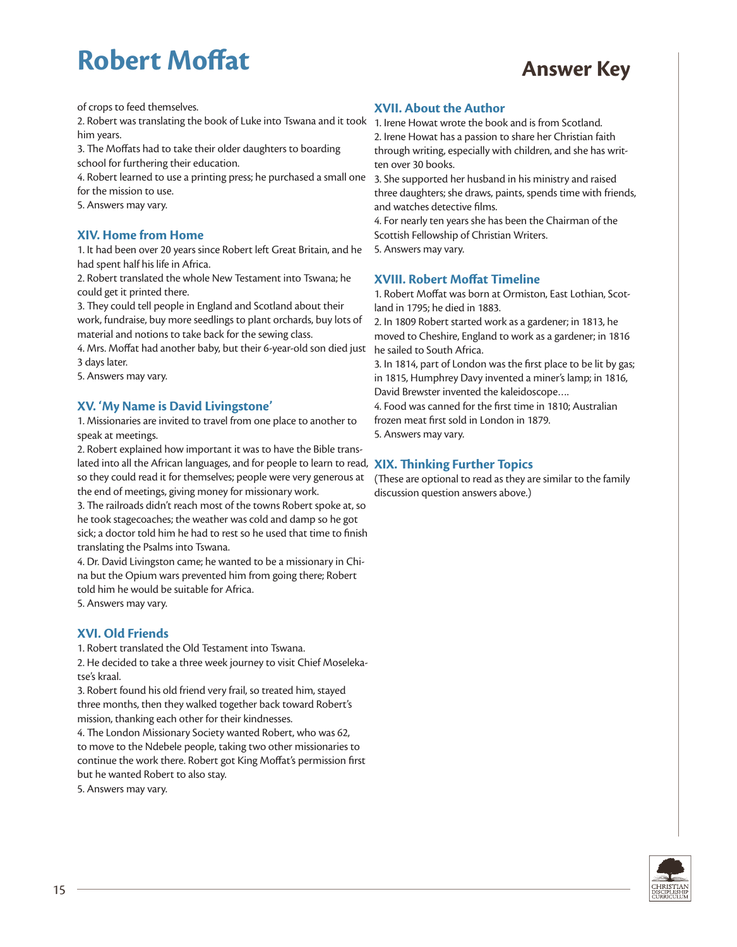# **Robert Moffat Answer Key**

of crops to feed themselves.

2. Robert was translating the book of Luke into Tswana and it took 1. Irene Howat wrote the book and is from Scotland. him years.

3. The Moffats had to take their older daughters to boarding school for furthering their education.

4. Robert learned to use a printing press; he purchased a small one for the mission to use.

5. Answers may vary.

#### **XIV. Home from Home**

1. It had been over 20 years since Robert left Great Britain, and he had spent half his life in Africa.

2. Robert translated the whole New Testament into Tswana; he could get it printed there.

3. They could tell people in England and Scotland about their work, fundraise, buy more seedlings to plant orchards, buy lots of material and notions to take back for the sewing class.

4. Mrs. Moffat had another baby, but their 6-year-old son died just he sailed to South Africa. 3 days later.

5. Answers may vary.

#### **XV. 'My Name is David Livingstone'**

1. Missionaries are invited to travel from one place to another to speak at meetings.

2. Robert explained how important it was to have the Bible translated into all the African languages, and for people to learn to read, **XIX. Thinking Further Topics** so they could read it for themselves; people were very generous at the end of meetings, giving money for missionary work.

3. The railroads didn't reach most of the towns Robert spoke at, so he took stagecoaches; the weather was cold and damp so he got sick; a doctor told him he had to rest so he used that time to finish translating the Psalms into Tswana.

4. Dr. David Livingston came; he wanted to be a missionary in China but the Opium wars prevented him from going there; Robert told him he would be suitable for Africa.

5. Answers may vary.

#### **XVI. Old Friends**

1. Robert translated the Old Testament into Tswana.

2. He decided to take a three week journey to visit Chief Moselekatse's kraal.

3. Robert found his old friend very frail, so treated him, stayed three months, then they walked together back toward Robert's mission, thanking each other for their kindnesses.

4. The London Missionary Society wanted Robert, who was 62, to move to the Ndebele people, taking two other missionaries to continue the work there. Robert got King Moffat's permission first but he wanted Robert to also stay.

5. Answers may vary.

#### **XVII. About the Author**

2. Irene Howat has a passion to share her Christian faith through writing, especially with children, and she has written over 30 books.

3. She supported her husband in his ministry and raised three daughters; she draws, paints, spends time with friends, and watches detective films.

4. For nearly ten years she has been the Chairman of the Scottish Fellowship of Christian Writers. 5. Answers may vary.

#### **XVIII. Robert Moffat Timeline**

1. Robert Moffat was born at Ormiston, East Lothian, Scotland in 1795; he died in 1883.

2. In 1809 Robert started work as a gardener; in 1813, he moved to Cheshire, England to work as a gardener; in 1816

3. In 1814, part of London was the first place to be lit by gas; in 1815, Humphrey Davy invented a miner's lamp; in 1816, David Brewster invented the kaleidoscope….

4. Food was canned for the first time in 1810; Australian frozen meat first sold in London in 1879.

5. Answers may vary.

(These are optional to read as they are similar to the family discussion question answers above.)

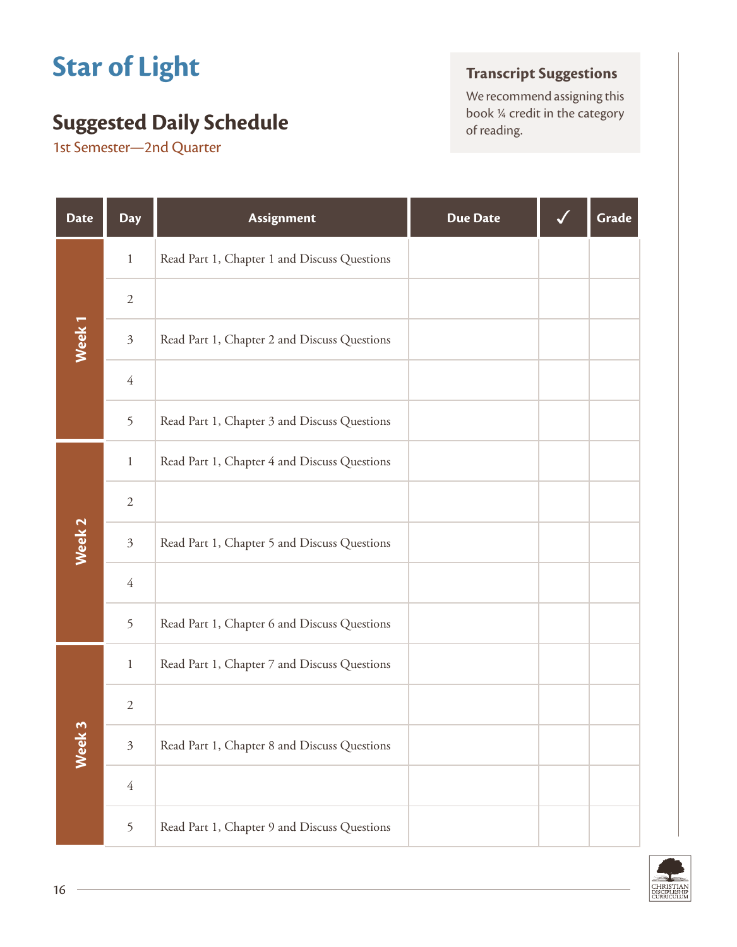# **Star of Light**

## **Suggested Daily Schedule** book <sup>14</sup> creding.

1st Semester—2nd Quarter

## **Transcript Suggestions**

We recommend assigning this<br>book  $\frac{1}{4}$  credit in the category

| <b>Date</b>       | <b>Day</b>     | <b>Assignment</b>                            | <b>Due Date</b> | Grade |
|-------------------|----------------|----------------------------------------------|-----------------|-------|
|                   | $\mathbf{1}$   | Read Part 1, Chapter 1 and Discuss Questions |                 |       |
|                   | $\sqrt{2}$     |                                              |                 |       |
| Week <sub>1</sub> | $\mathfrak{Z}$ | Read Part 1, Chapter 2 and Discuss Questions |                 |       |
|                   | $\overline{4}$ |                                              |                 |       |
|                   | 5              | Read Part 1, Chapter 3 and Discuss Questions |                 |       |
|                   | $\mathbf{1}$   | Read Part 1, Chapter 4 and Discuss Questions |                 |       |
|                   | $\overline{2}$ |                                              |                 |       |
| Week <sub>2</sub> | $\mathfrak{Z}$ | Read Part 1, Chapter 5 and Discuss Questions |                 |       |
|                   | $\overline{4}$ |                                              |                 |       |
|                   | 5              | Read Part 1, Chapter 6 and Discuss Questions |                 |       |
|                   | $\mathbf{1}$   | Read Part 1, Chapter 7 and Discuss Questions |                 |       |
|                   | $\sqrt{2}$     |                                              |                 |       |
| Week 3            | $\mathfrak{Z}$ | Read Part 1, Chapter 8 and Discuss Questions |                 |       |
|                   | $\overline{4}$ |                                              |                 |       |
|                   | 5              | Read Part 1, Chapter 9 and Discuss Questions |                 |       |

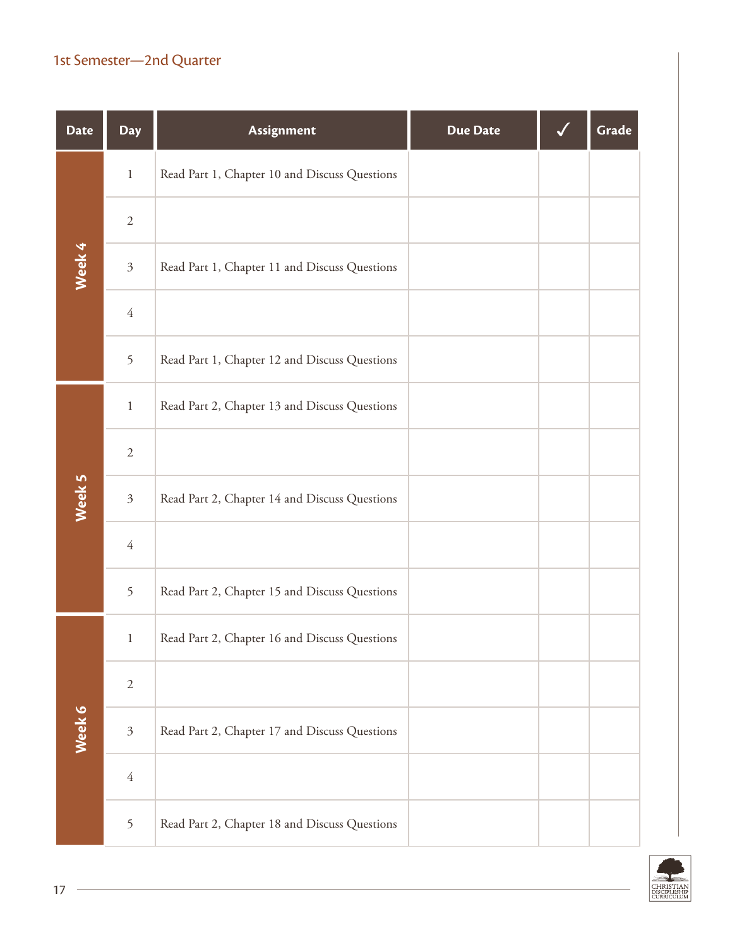## 1st Semester—2nd Quarter

| <b>Date</b> | <b>Day</b>     | Assignment                                    | <b>Due Date</b> | Grade |
|-------------|----------------|-----------------------------------------------|-----------------|-------|
|             | $\,1\,$        | Read Part 1, Chapter 10 and Discuss Questions |                 |       |
| Week 4      | $\sqrt{2}$     |                                               |                 |       |
|             | $\mathfrak{Z}$ | Read Part 1, Chapter 11 and Discuss Questions |                 |       |
|             | $\sqrt{4}$     |                                               |                 |       |
|             | 5              | Read Part 1, Chapter 12 and Discuss Questions |                 |       |
|             | $\,1\,$        | Read Part 2, Chapter 13 and Discuss Questions |                 |       |
|             | $\sqrt{2}$     |                                               |                 |       |
| Week 5      | $\mathfrak{Z}$ | Read Part 2, Chapter 14 and Discuss Questions |                 |       |
|             | $\overline{4}$ |                                               |                 |       |
|             | 5              | Read Part 2, Chapter 15 and Discuss Questions |                 |       |
|             | $\mathbf{1}$   | Read Part 2, Chapter 16 and Discuss Questions |                 |       |
|             | $\mathbf{2}$   |                                               |                 |       |
| Week 6      | $\mathfrak{Z}$ | Read Part 2, Chapter 17 and Discuss Questions |                 |       |
|             | $\overline{4}$ |                                               |                 |       |
|             | 5              | Read Part 2, Chapter 18 and Discuss Questions |                 |       |

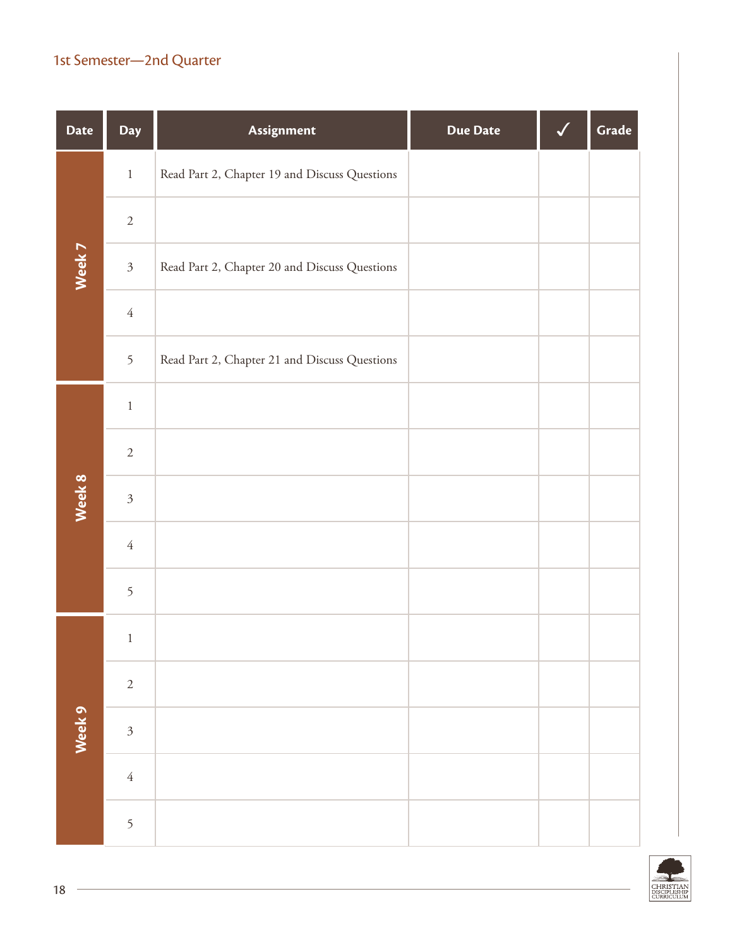## 1st Semester—2nd Quarter

| <b>Date</b> | Day            | Assignment                                    | <b>Due Date</b> | $\checkmark$ | Grade |
|-------------|----------------|-----------------------------------------------|-----------------|--------------|-------|
|             | $\,1\,$        | Read Part 2, Chapter 19 and Discuss Questions |                 |              |       |
| Week 7      | $\sqrt{2}$     |                                               |                 |              |       |
|             | $\mathfrak{Z}$ | Read Part 2, Chapter 20 and Discuss Questions |                 |              |       |
|             | $\sqrt{4}$     |                                               |                 |              |       |
|             | 5              | Read Part 2, Chapter 21 and Discuss Questions |                 |              |       |
|             | $\,1\,$        |                                               |                 |              |       |
|             | $\sqrt{2}$     |                                               |                 |              |       |
| Week 8      | $\mathfrak{Z}$ |                                               |                 |              |       |
|             | $\sqrt{4}$     |                                               |                 |              |       |
|             | 5              |                                               |                 |              |       |
|             | $\,1\,$        |                                               |                 |              |       |
|             | $\sqrt{2}$     |                                               |                 |              |       |
| Week 9      | $\mathfrak{Z}$ |                                               |                 |              |       |
|             | $\sqrt{4}$     |                                               |                 |              |       |
|             | $\mathfrak{S}$ |                                               |                 |              |       |

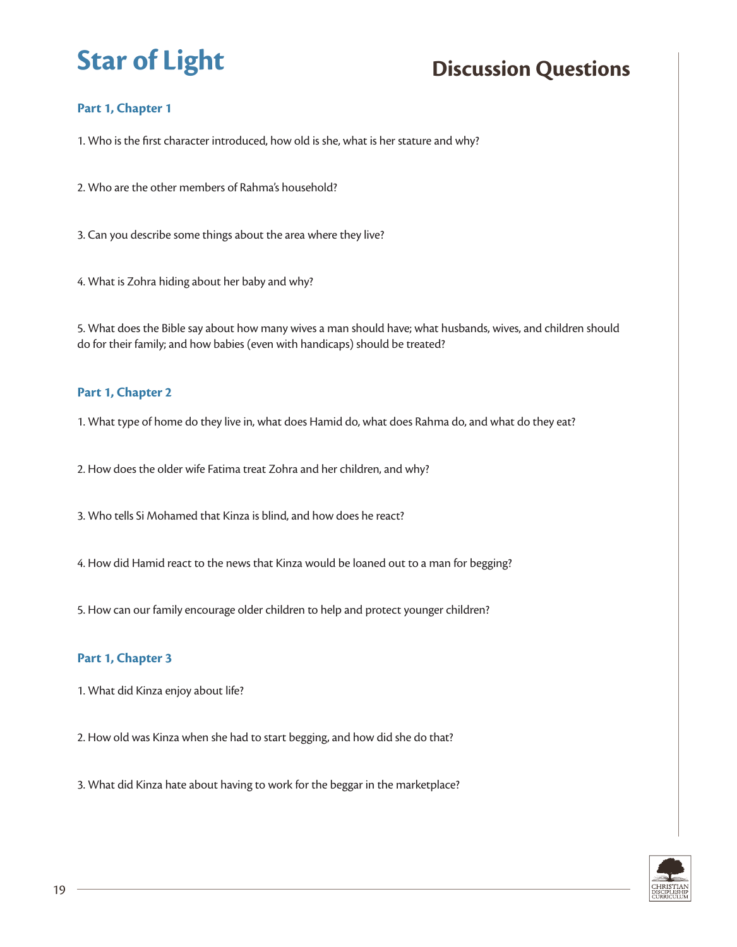## **Part 1, Chapter 1**

1. Who is the first character introduced, how old is she, what is her stature and why?

2. Who are the other members of Rahma's household?

3. Can you describe some things about the area where they live?

4. What is Zohra hiding about her baby and why?

5. What does the Bible say about how many wives a man should have; what husbands, wives, and children should do for their family; and how babies (even with handicaps) should be treated?

#### **Part 1, Chapter 2**

1. What type of home do they live in, what does Hamid do, what does Rahma do, and what do they eat?

2. How does the older wife Fatima treat Zohra and her children, and why?

3. Who tells Si Mohamed that Kinza is blind, and how does he react?

4. How did Hamid react to the news that Kinza would be loaned out to a man for begging?

5. How can our family encourage older children to help and protect younger children?

#### **Part 1, Chapter 3**

1. What did Kinza enjoy about life?

2. How old was Kinza when she had to start begging, and how did she do that?

3. What did Kinza hate about having to work for the beggar in the marketplace?

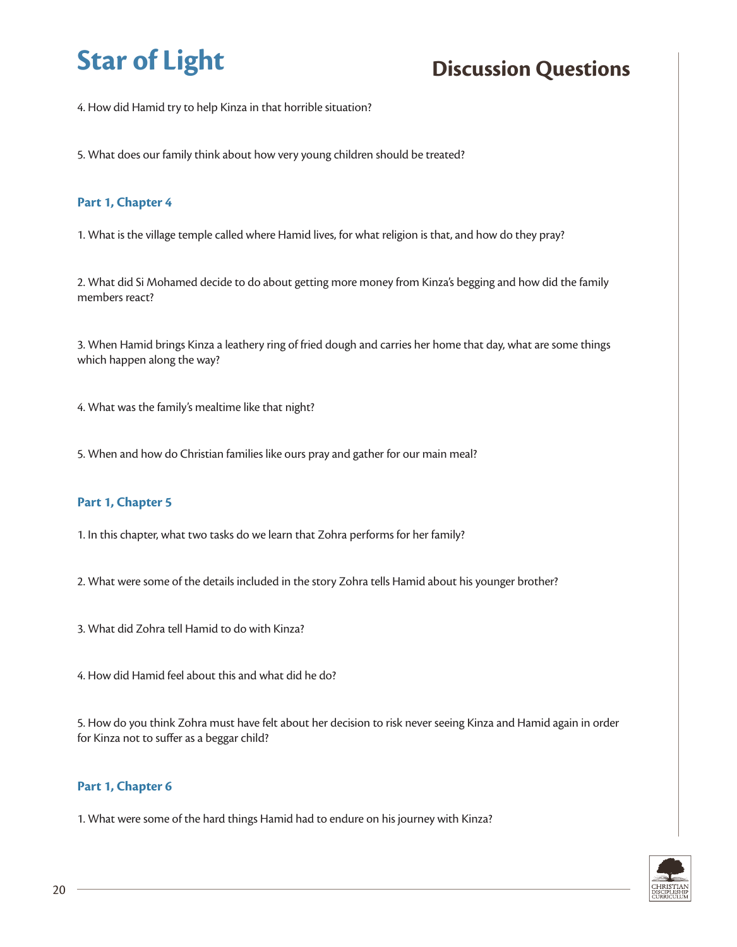4. How did Hamid try to help Kinza in that horrible situation?

5. What does our family think about how very young children should be treated?

#### **Part 1, Chapter 4**

1. What is the village temple called where Hamid lives, for what religion is that, and how do they pray?

2. What did Si Mohamed decide to do about getting more money from Kinza's begging and how did the family members react?

3. When Hamid brings Kinza a leathery ring of fried dough and carries her home that day, what are some things which happen along the way?

4. What was the family's mealtime like that night?

5. When and how do Christian families like ours pray and gather for our main meal?

#### **Part 1, Chapter 5**

1. In this chapter, what two tasks do we learn that Zohra performs for her family?

- 2. What were some of the details included in the story Zohra tells Hamid about his younger brother?
- 3. What did Zohra tell Hamid to do with Kinza?

4. How did Hamid feel about this and what did he do?

5. How do you think Zohra must have felt about her decision to risk never seeing Kinza and Hamid again in order for Kinza not to suffer as a beggar child?

#### **Part 1, Chapter 6**

1. What were some of the hard things Hamid had to endure on his journey with Kinza?

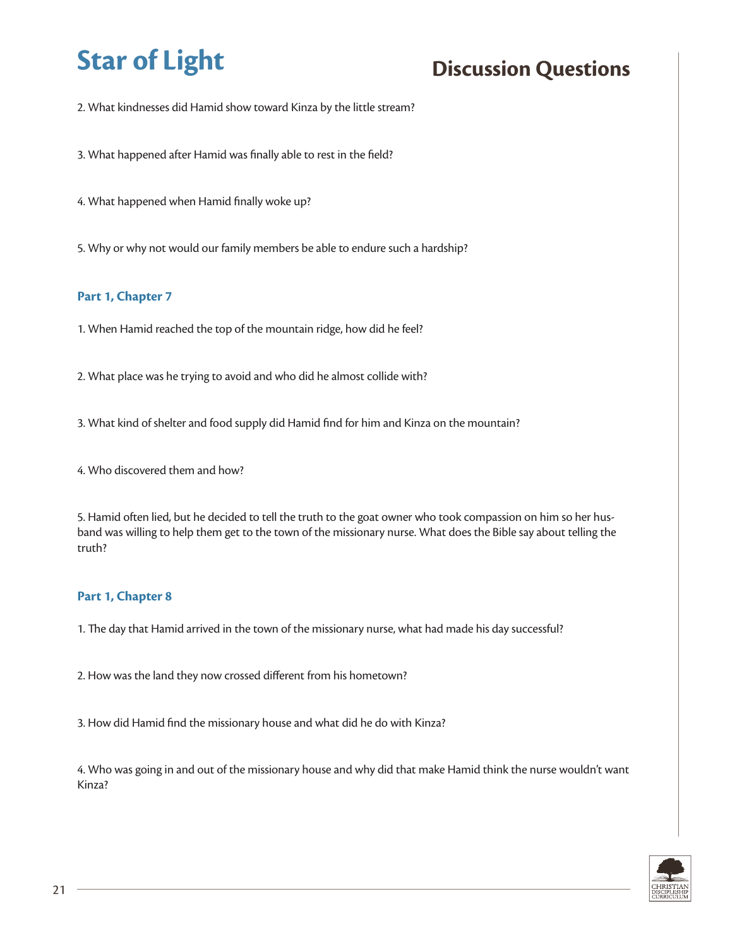2. What kindnesses did Hamid show toward Kinza by the little stream?

3. What happened after Hamid was finally able to rest in the field?

4. What happened when Hamid finally woke up?

5. Why or why not would our family members be able to endure such a hardship?

#### **Part 1, Chapter 7**

1. When Hamid reached the top of the mountain ridge, how did he feel?

2. What place was he trying to avoid and who did he almost collide with?

3. What kind of shelter and food supply did Hamid find for him and Kinza on the mountain?

4. Who discovered them and how?

5. Hamid often lied, but he decided to tell the truth to the goat owner who took compassion on him so her husband was willing to help them get to the town of the missionary nurse. What does the Bible say about telling the truth?

#### **Part 1, Chapter 8**

1. The day that Hamid arrived in the town of the missionary nurse, what had made his day successful?

2. How was the land they now crossed different from his hometown?

3. How did Hamid find the missionary house and what did he do with Kinza?

4. Who was going in and out of the missionary house and why did that make Hamid think the nurse wouldn't want Kinza?

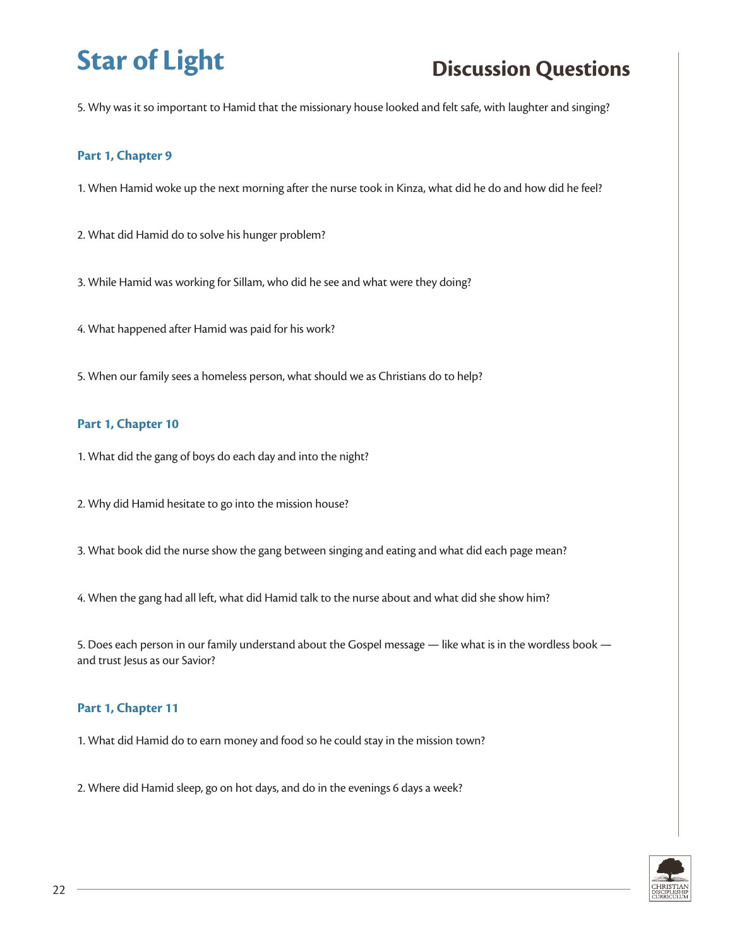5. Why was it so important to Hamid that the missionary house looked and felt safe, with laughter and singing?

#### **Part 1, Chapter 9**

1. When Hamid woke up the next morning after the nurse took in Kinza, what did he do and how did he feel?

2. What did Hamid do to solve his hunger problem?

3. While Hamid was working for Sillam, who did he see and what were they doing?

4. What happened after Hamid was paid for his work?

5. When our family sees a homeless person, what should we as Christians do to help?

#### **Part 1, Chapter 10**

1. What did the gang of boys do each day and into the night?

2. Why did Hamid hesitate to go into the mission house?

3. What book did the nurse show the gang between singing and eating and what did each page mean?

4. When the gang had all left, what did Hamid talk to the nurse about and what did she show him?

5. Does each person in our family understand about the Gospel message — like what is in the wordless book and trust Jesus as our Savior?

#### **Part 1, Chapter 11**

1. What did Hamid do to earn money and food so he could stay in the mission town?

2. Where did Hamid sleep, go on hot days, and do in the evenings 6 days a week?

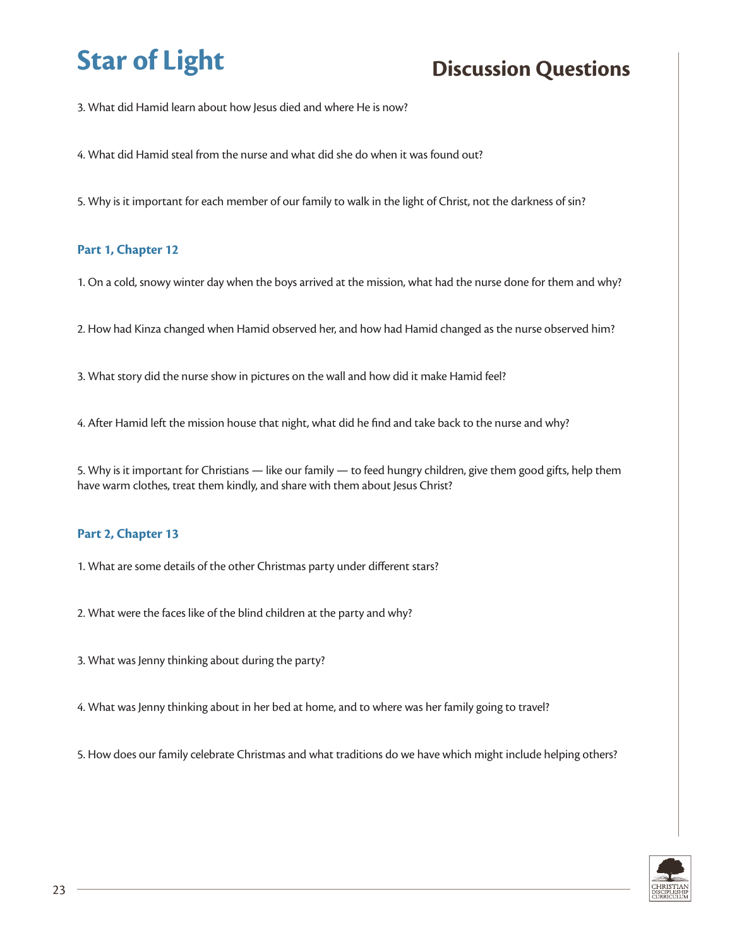3. What did Hamid learn about how Jesus died and where He is now?

4. What did Hamid steal from the nurse and what did she do when it was found out?

5. Why is it important for each member of our family to walk in the light of Christ, not the darkness of sin?

#### **Part 1, Chapter 12**

1. On a cold, snowy winter day when the boys arrived at the mission, what had the nurse done for them and why?

2. How had Kinza changed when Hamid observed her, and how had Hamid changed as the nurse observed him?

3. What story did the nurse show in pictures on the wall and how did it make Hamid feel?

4. After Hamid left the mission house that night, what did he find and take back to the nurse and why?

5. Why is it important for Christians — like our family — to feed hungry children, give them good gifts, help them have warm clothes, treat them kindly, and share with them about Jesus Christ?

### **Part 2, Chapter 13**

1. What are some details of the other Christmas party under different stars?

2. What were the faces like of the blind children at the party and why?

3. What was Jenny thinking about during the party?

4. What was Jenny thinking about in her bed at home, and to where was her family going to travel?

5. How does our family celebrate Christmas and what traditions do we have which might include helping others?

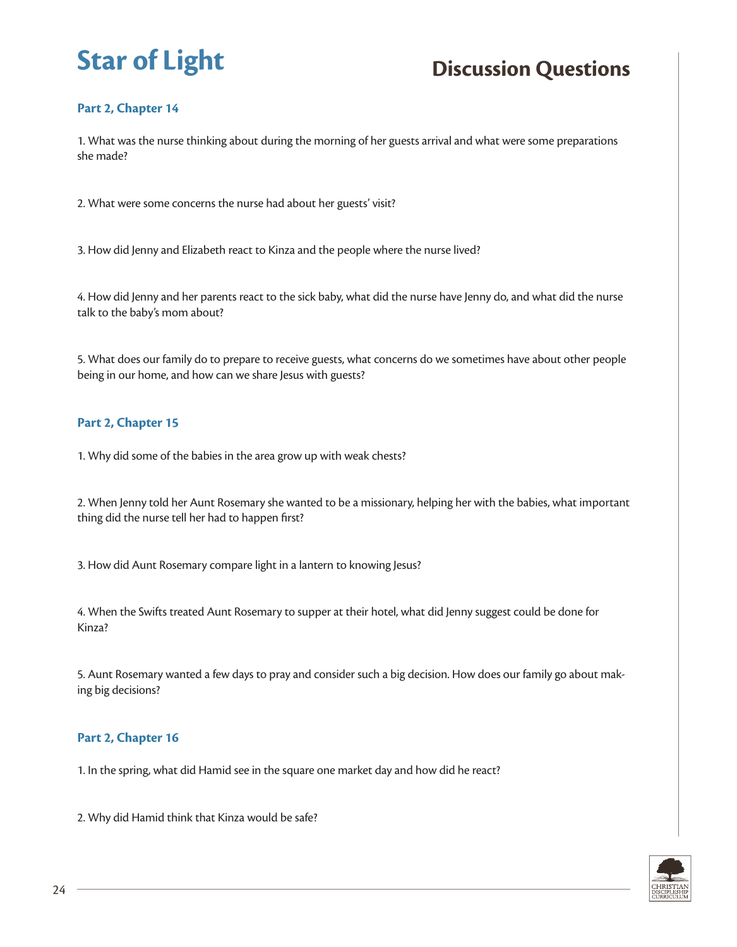## **Part 2, Chapter 14**

1. What was the nurse thinking about during the morning of her guests arrival and what were some preparations she made?

2. What were some concerns the nurse had about her guests' visit?

3. How did Jenny and Elizabeth react to Kinza and the people where the nurse lived?

4. How did Jenny and her parents react to the sick baby, what did the nurse have Jenny do, and what did the nurse talk to the baby's mom about?

5. What does our family do to prepare to receive guests, what concerns do we sometimes have about other people being in our home, and how can we share Jesus with guests?

### **Part 2, Chapter 15**

1. Why did some of the babies in the area grow up with weak chests?

2. When Jenny told her Aunt Rosemary she wanted to be a missionary, helping her with the babies, what important thing did the nurse tell her had to happen first?

3. How did Aunt Rosemary compare light in a lantern to knowing Jesus?

4. When the Swifts treated Aunt Rosemary to supper at their hotel, what did Jenny suggest could be done for Kinza?

5. Aunt Rosemary wanted a few days to pray and consider such a big decision. How does our family go about making big decisions?

#### **Part 2, Chapter 16**

1. In the spring, what did Hamid see in the square one market day and how did he react?

2. Why did Hamid think that Kinza would be safe?

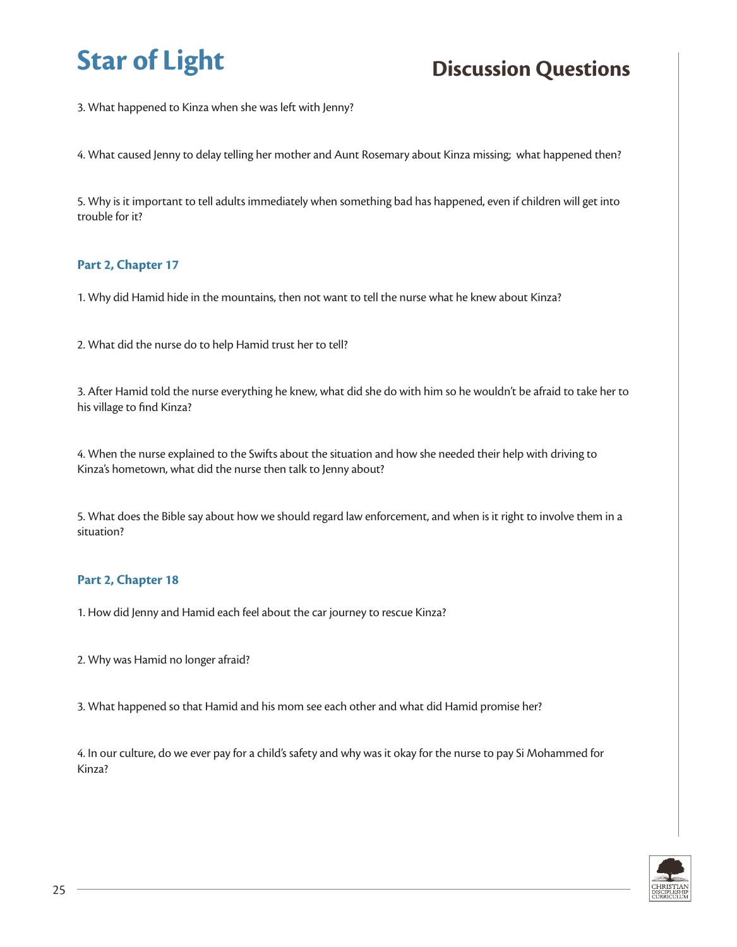3. What happened to Kinza when she was left with Jenny?

4. What caused Jenny to delay telling her mother and Aunt Rosemary about Kinza missing; what happened then?

5. Why is it important to tell adults immediately when something bad has happened, even if children will get into trouble for it?

#### **Part 2, Chapter 17**

1. Why did Hamid hide in the mountains, then not want to tell the nurse what he knew about Kinza?

2. What did the nurse do to help Hamid trust her to tell?

3. After Hamid told the nurse everything he knew, what did she do with him so he wouldn't be afraid to take her to his village to find Kinza?

4. When the nurse explained to the Swifts about the situation and how she needed their help with driving to Kinza's hometown, what did the nurse then talk to Jenny about?

5. What does the Bible say about how we should regard law enforcement, and when is it right to involve them in a situation?

### **Part 2, Chapter 18**

1. How did Jenny and Hamid each feel about the car journey to rescue Kinza?

2. Why was Hamid no longer afraid?

3. What happened so that Hamid and his mom see each other and what did Hamid promise her?

4. In our culture, do we ever pay for a child's safety and why was it okay for the nurse to pay Si Mohammed for Kinza?

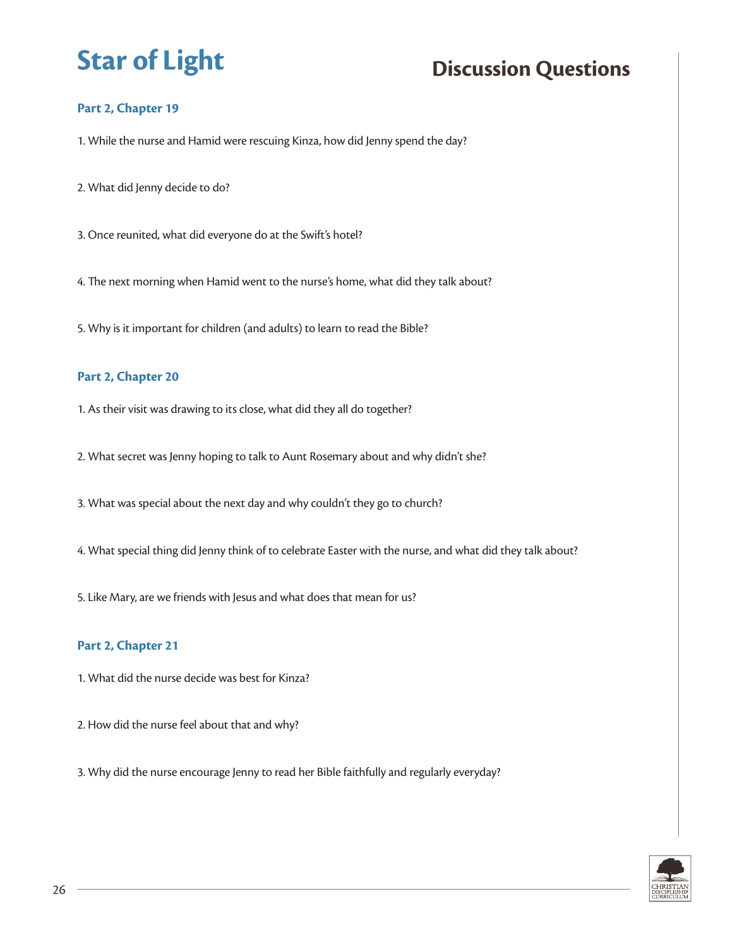## **Part 2, Chapter 19**

1. While the nurse and Hamid were rescuing Kinza, how did Jenny spend the day?

2. What did Jenny decide to do?

3. Once reunited, what did everyone do at the Swift's hotel?

4. The next morning when Hamid went to the nurse's home, what did they talk about?

5. Why is it important for children (and adults) to learn to read the Bible?

#### **Part 2, Chapter 20**

1. As their visit was drawing to its close, what did they all do together?

2. What secret was Jenny hoping to talk to Aunt Rosemary about and why didn't she?

3. What was special about the next day and why couldn't they go to church?

4. What special thing did Jenny think of to celebrate Easter with the nurse, and what did they talk about?

5. Like Mary, are we friends with Jesus and what does that mean for us?

#### **Part 2, Chapter 21**

1. What did the nurse decide was best for Kinza?

- 2. How did the nurse feel about that and why?
- 3. Why did the nurse encourage Jenny to read her Bible faithfully and regularly everyday?

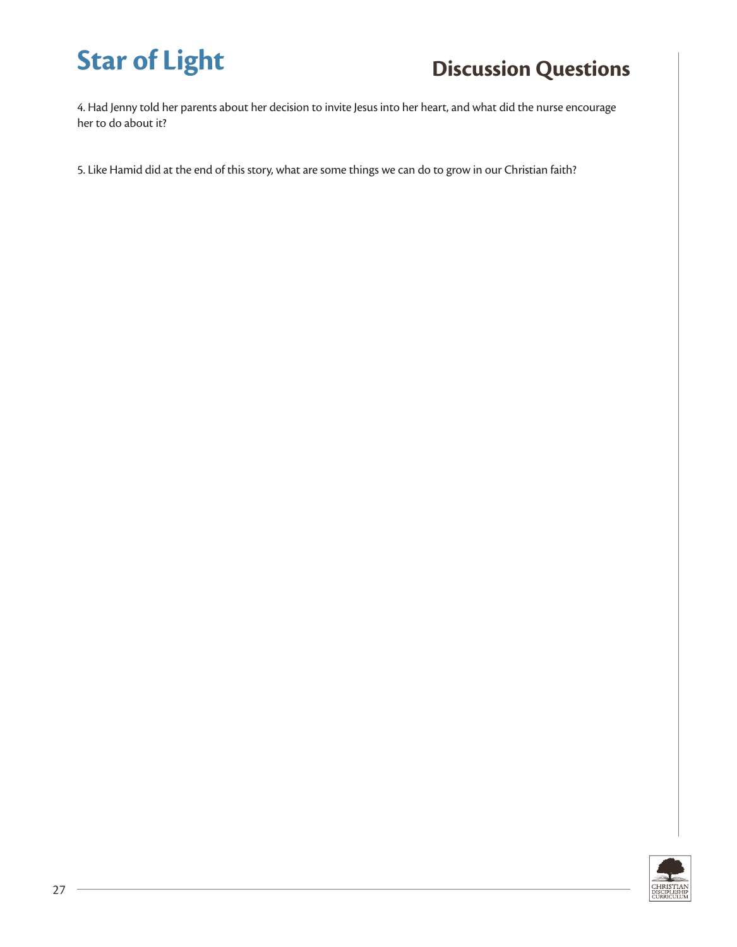4. Had Jenny told her parents about her decision to invite Jesus into her heart, and what did the nurse encourage her to do about it?

5. Like Hamid did at the end of this story, what are some things we can do to grow in our Christian faith?

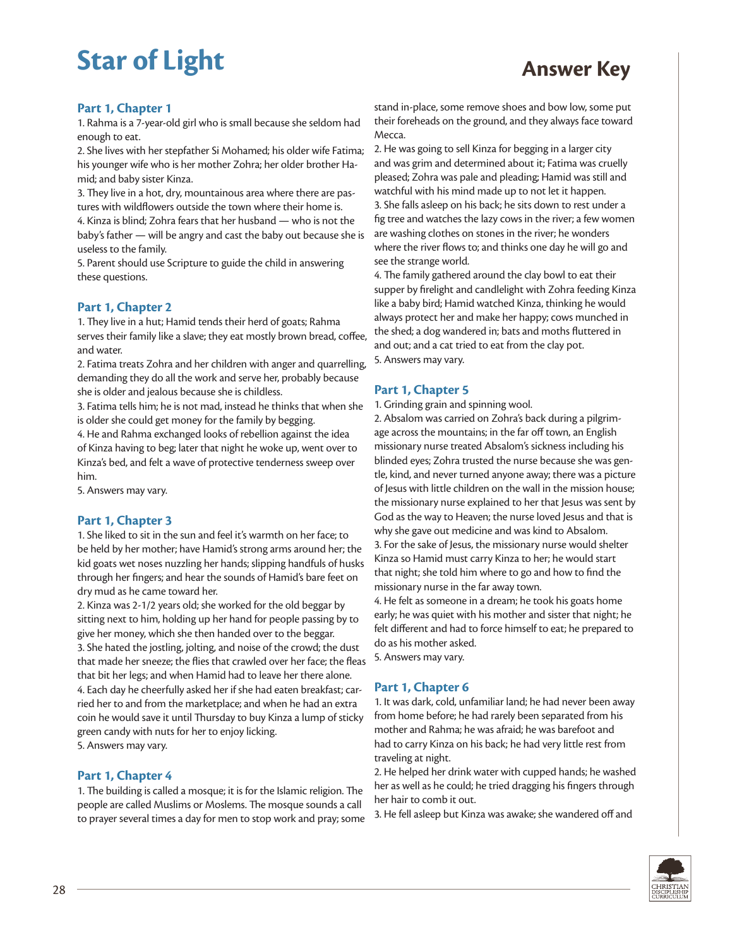#### **Part 1, Chapter 1**

1. Rahma is a 7-year-old girl who is small because she seldom had enough to eat.

2. She lives with her stepfather Si Mohamed; his older wife Fatima; his younger wife who is her mother Zohra; her older brother Hamid; and baby sister Kinza.

3. They live in a hot, dry, mountainous area where there are pastures with wildflowers outside the town where their home is.

4. Kinza is blind; Zohra fears that her husband — who is not the baby's father — will be angry and cast the baby out because she is useless to the family.

5. Parent should use Scripture to guide the child in answering these questions.

#### **Part 1, Chapter 2**

1. They live in a hut; Hamid tends their herd of goats; Rahma serves their family like a slave; they eat mostly brown bread, coffee, and water.

2. Fatima treats Zohra and her children with anger and quarrelling, demanding they do all the work and serve her, probably because she is older and jealous because she is childless.

3. Fatima tells him; he is not mad, instead he thinks that when she is older she could get money for the family by begging.

4. He and Rahma exchanged looks of rebellion against the idea of Kinza having to beg; later that night he woke up, went over to Kinza's bed, and felt a wave of protective tenderness sweep over him.

5. Answers may vary.

#### **Part 1, Chapter 3**

1. She liked to sit in the sun and feel it's warmth on her face; to be held by her mother; have Hamid's strong arms around her; the kid goats wet noses nuzzling her hands; slipping handfuls of husks through her fingers; and hear the sounds of Hamid's bare feet on dry mud as he came toward her.

2. Kinza was 2-1/2 years old; she worked for the old beggar by sitting next to him, holding up her hand for people passing by to give her money, which she then handed over to the beggar. 3. She hated the jostling, jolting, and noise of the crowd; the dust that made her sneeze; the flies that crawled over her face; the fleas that bit her legs; and when Hamid had to leave her there alone. 4. Each day he cheerfully asked her if she had eaten breakfast; carried her to and from the marketplace; and when he had an extra coin he would save it until Thursday to buy Kinza a lump of sticky green candy with nuts for her to enjoy licking. 5. Answers may vary.

**Part 1, Chapter 4**

1. The building is called a mosque; it is for the Islamic religion. The people are called Muslims or Moslems. The mosque sounds a call to prayer several times a day for men to stop work and pray; some

stand in-place, some remove shoes and bow low, some put their foreheads on the ground, and they always face toward Mecca.

2. He was going to sell Kinza for begging in a larger city and was grim and determined about it; Fatima was cruelly pleased; Zohra was pale and pleading; Hamid was still and watchful with his mind made up to not let it happen. 3. She falls asleep on his back; he sits down to rest under a fig tree and watches the lazy cows in the river; a few women are washing clothes on stones in the river; he wonders where the river flows to; and thinks one day he will go and see the strange world.

4. The family gathered around the clay bowl to eat their supper by firelight and candlelight with Zohra feeding Kinza like a baby bird; Hamid watched Kinza, thinking he would always protect her and make her happy; cows munched in the shed; a dog wandered in; bats and moths fluttered in and out; and a cat tried to eat from the clay pot. 5. Answers may vary.

#### **Part 1, Chapter 5**

1. Grinding grain and spinning wool.

2. Absalom was carried on Zohra's back during a pilgrimage across the mountains; in the far off town, an English missionary nurse treated Absalom's sickness including his blinded eyes; Zohra trusted the nurse because she was gentle, kind, and never turned anyone away; there was a picture of Jesus with little children on the wall in the mission house; the missionary nurse explained to her that Jesus was sent by God as the way to Heaven; the nurse loved Jesus and that is why she gave out medicine and was kind to Absalom. 3. For the sake of Jesus, the missionary nurse would shelter Kinza so Hamid must carry Kinza to her; he would start that night; she told him where to go and how to find the missionary nurse in the far away town.

4. He felt as someone in a dream; he took his goats home early; he was quiet with his mother and sister that night; he felt different and had to force himself to eat; he prepared to do as his mother asked.

5. Answers may vary.

#### **Part 1, Chapter 6**

1. It was dark, cold, unfamiliar land; he had never been away from home before; he had rarely been separated from his mother and Rahma; he was afraid; he was barefoot and had to carry Kinza on his back; he had very little rest from traveling at night.

2. He helped her drink water with cupped hands; he washed her as well as he could; he tried dragging his fingers through her hair to comb it out.

3. He fell asleep but Kinza was awake; she wandered off and

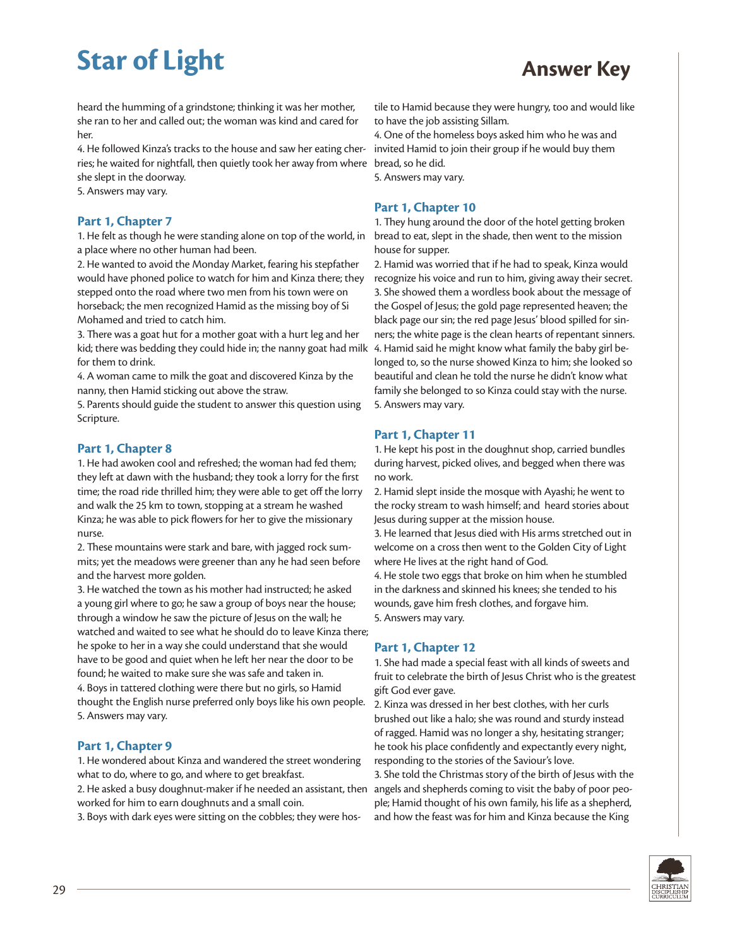heard the humming of a grindstone; thinking it was her mother, she ran to her and called out; the woman was kind and cared for her.

4. He followed Kinza's tracks to the house and saw her eating cherries; he waited for nightfall, then quietly took her away from where she slept in the doorway.

5. Answers may vary.

#### **Part 1, Chapter 7**

1. He felt as though he were standing alone on top of the world, in a place where no other human had been.

2. He wanted to avoid the Monday Market, fearing his stepfather would have phoned police to watch for him and Kinza there; they stepped onto the road where two men from his town were on horseback; the men recognized Hamid as the missing boy of Si Mohamed and tried to catch him.

3. There was a goat hut for a mother goat with a hurt leg and her kid; there was bedding they could hide in; the nanny goat had milk for them to drink.

4. A woman came to milk the goat and discovered Kinza by the nanny, then Hamid sticking out above the straw.

5. Parents should guide the student to answer this question using Scripture.

#### **Part 1, Chapter 8**

1. He had awoken cool and refreshed; the woman had fed them; they left at dawn with the husband; they took a lorry for the first time; the road ride thrilled him; they were able to get off the lorry and walk the 25 km to town, stopping at a stream he washed Kinza; he was able to pick flowers for her to give the missionary nurse.

2. These mountains were stark and bare, with jagged rock summits; yet the meadows were greener than any he had seen before and the harvest more golden.

3. He watched the town as his mother had instructed; he asked a young girl where to go; he saw a group of boys near the house; through a window he saw the picture of Jesus on the wall; he watched and waited to see what he should do to leave Kinza there; he spoke to her in a way she could understand that she would have to be good and quiet when he left her near the door to be found; he waited to make sure she was safe and taken in. 4. Boys in tattered clothing were there but no girls, so Hamid thought the English nurse preferred only boys like his own people. 5. Answers may vary.

#### **Part 1, Chapter 9**

1. He wondered about Kinza and wandered the street wondering what to do, where to go, and where to get breakfast.

2. He asked a busy doughnut-maker if he needed an assistant, then worked for him to earn doughnuts and a small coin.

3. Boys with dark eyes were sitting on the cobbles; they were hos-

tile to Hamid because they were hungry, too and would like to have the job assisting Sillam.

4. One of the homeless boys asked him who he was and invited Hamid to join their group if he would buy them bread, so he did.

5. Answers may vary.

#### **Part 1, Chapter 10**

1. They hung around the door of the hotel getting broken bread to eat, slept in the shade, then went to the mission house for supper.

2. Hamid was worried that if he had to speak, Kinza would recognize his voice and run to him, giving away their secret. 3. She showed them a wordless book about the message of the Gospel of Jesus; the gold page represented heaven; the black page our sin; the red page Jesus' blood spilled for sinners; the white page is the clean hearts of repentant sinners. 4. Hamid said he might know what family the baby girl belonged to, so the nurse showed Kinza to him; she looked so beautiful and clean he told the nurse he didn't know what family she belonged to so Kinza could stay with the nurse. 5. Answers may vary.

#### **Part 1, Chapter 11**

1. He kept his post in the doughnut shop, carried bundles during harvest, picked olives, and begged when there was no work.

2. Hamid slept inside the mosque with Ayashi; he went to the rocky stream to wash himself; and heard stories about Jesus during supper at the mission house.

3. He learned that Jesus died with His arms stretched out in welcome on a cross then went to the Golden City of Light where He lives at the right hand of God.

4. He stole two eggs that broke on him when he stumbled in the darkness and skinned his knees; she tended to his wounds, gave him fresh clothes, and forgave him. 5. Answers may vary.

#### **Part 1, Chapter 12**

1. She had made a special feast with all kinds of sweets and fruit to celebrate the birth of Jesus Christ who is the greatest gift God ever gave.

2. Kinza was dressed in her best clothes, with her curls brushed out like a halo; she was round and sturdy instead of ragged. Hamid was no longer a shy, hesitating stranger; he took his place confidently and expectantly every night, responding to the stories of the Saviour's love.

3. She told the Christmas story of the birth of Jesus with the angels and shepherds coming to visit the baby of poor people; Hamid thought of his own family, his life as a shepherd, and how the feast was for him and Kinza because the King

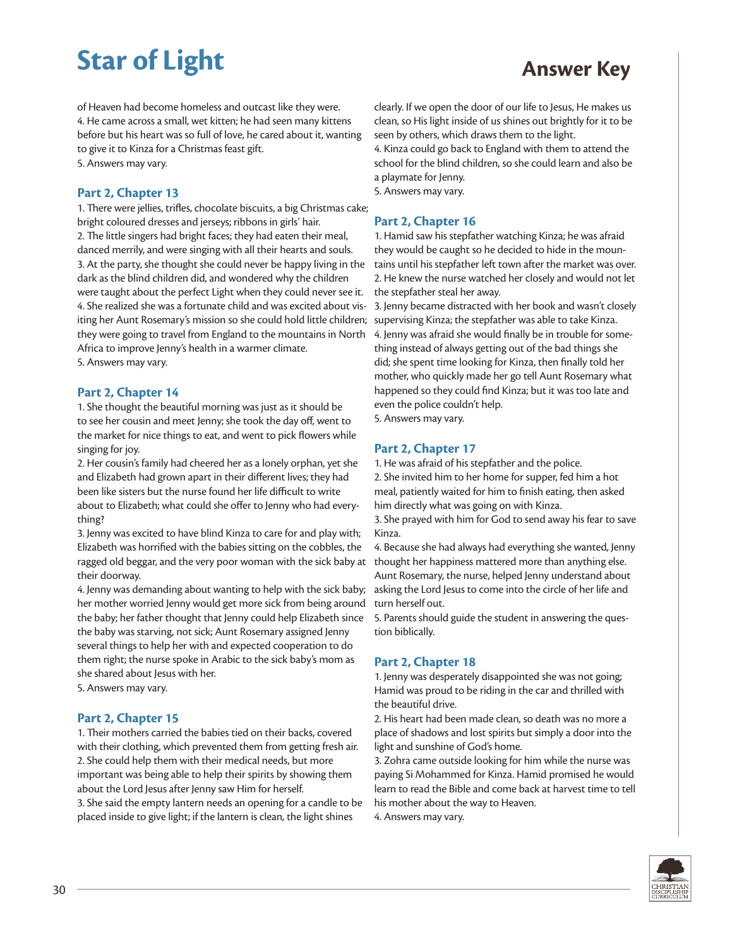of Heaven had become homeless and outcast like they were. 4. He came across a small, wet kitten; he had seen many kittens before but his heart was so full of love, he cared about it, wanting to give it to Kinza for a Christmas feast gift. 5. Answers may vary.

#### **Part 2, Chapter 13**

1. There were jellies, trifles, chocolate biscuits, a big Christmas cake; bright coloured dresses and jerseys; ribbons in girls' hair. 2. The little singers had bright faces; they had eaten their meal, danced merrily, and were singing with all their hearts and souls. 3. At the party, she thought she could never be happy living in the dark as the blind children did, and wondered why the children were taught about the perfect Light when they could never see it. 4. She realized she was a fortunate child and was excited about visiting her Aunt Rosemary's mission so she could hold little children; they were going to travel from England to the mountains in North Africa to improve Jenny's health in a warmer climate. 5. Answers may vary.

#### **Part 2, Chapter 14**

1. She thought the beautiful morning was just as it should be to see her cousin and meet Jenny; she took the day off, went to the market for nice things to eat, and went to pick flowers while singing for joy.

2. Her cousin's family had cheered her as a lonely orphan, yet she and Elizabeth had grown apart in their different lives; they had been like sisters but the nurse found her life difficult to write about to Elizabeth; what could she offer to Jenny who had everything?

3. Jenny was excited to have blind Kinza to care for and play with; Elizabeth was horrified with the babies sitting on the cobbles, the ragged old beggar, and the very poor woman with the sick baby at their doorway.

4. Jenny was demanding about wanting to help with the sick baby; her mother worried Jenny would get more sick from being around the baby; her father thought that Jenny could help Elizabeth since the baby was starving, not sick; Aunt Rosemary assigned Jenny several things to help her with and expected cooperation to do them right; the nurse spoke in Arabic to the sick baby's mom as she shared about Jesus with her.

5. Answers may vary.

#### **Part 2, Chapter 15**

1. Their mothers carried the babies tied on their backs, covered with their clothing, which prevented them from getting fresh air. 2. She could help them with their medical needs, but more important was being able to help their spirits by showing them about the Lord Jesus after Jenny saw Him for herself. 3. She said the empty lantern needs an opening for a candle to be placed inside to give light; if the lantern is clean, the light shines

clearly. If we open the door of our life to Jesus, He makes us clean, so His light inside of us shines out brightly for it to be seen by others, which draws them to the light. 4. Kinza could go back to England with them to attend the

school for the blind children, so she could learn and also be a playmate for Jenny.

5. Answers may vary.

#### **Part 2, Chapter 16**

1. Hamid saw his stepfather watching Kinza; he was afraid they would be caught so he decided to hide in the mountains until his stepfather left town after the market was over. 2. He knew the nurse watched her closely and would not let the stepfather steal her away.

3. Jenny became distracted with her book and wasn't closely supervising Kinza; the stepfather was able to take Kinza. 4. Jenny was afraid she would finally be in trouble for something instead of always getting out of the bad things she did; she spent time looking for Kinza, then finally told her mother, who quickly made her go tell Aunt Rosemary what happened so they could find Kinza; but it was too late and even the police couldn't help.

5. Answers may vary.

#### **Part 2, Chapter 17**

1. He was afraid of his stepfather and the police.

2. She invited him to her home for supper, fed him a hot meal, patiently waited for him to finish eating, then asked him directly what was going on with Kinza.

3. She prayed with him for God to send away his fear to save Kinza.

4. Because she had always had everything she wanted, Jenny thought her happiness mattered more than anything else. Aunt Rosemary, the nurse, helped Jenny understand about asking the Lord Jesus to come into the circle of her life and turn herself out.

5. Parents should guide the student in answering the question biblically.

#### **Part 2, Chapter 18**

1. Jenny was desperately disappointed she was not going; Hamid was proud to be riding in the car and thrilled with the beautiful drive.

2. His heart had been made clean, so death was no more a place of shadows and lost spirits but simply a door into the light and sunshine of God's home.

3. Zohra came outside looking for him while the nurse was paying Si Mohammed for Kinza. Hamid promised he would learn to read the Bible and come back at harvest time to tell his mother about the way to Heaven.

4. Answers may vary.

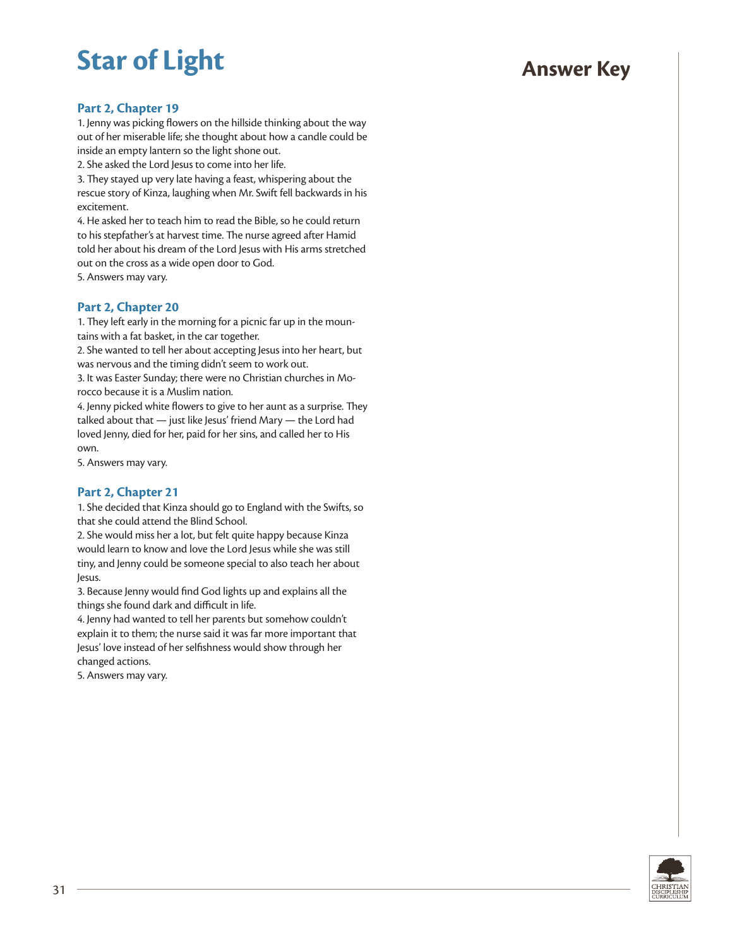#### **Part 2, Chapter 19**

1. Jenny was picking flowers on the hillside thinking about the way out of her miserable life; she thought about how a candle could be inside an empty lantern so the light shone out.

2. She asked the Lord Jesus to come into her life.

3. They stayed up very late having a feast, whispering about the rescue story of Kinza, laughing when Mr. Swift fell backwards in his excitement.

4. He asked her to teach him to read the Bible, so he could return to his stepfather's at harvest time. The nurse agreed after Hamid told her about his dream of the Lord Jesus with His arms stretched out on the cross as a wide open door to God. 5. Answers may vary.

#### **Part 2, Chapter 20**

1. They left early in the morning for a picnic far up in the mountains with a fat basket, in the car together.

2. She wanted to tell her about accepting Jesus into her heart, but was nervous and the timing didn't seem to work out.

3. It was Easter Sunday; there were no Christian churches in Morocco because it is a Muslim nation.

4. Jenny picked white flowers to give to her aunt as a surprise. They talked about that — just like Jesus' friend Mary — the Lord had loved Jenny, died for her, paid for her sins, and called her to His own.

5. Answers may vary.

#### **Part 2, Chapter 21**

1. She decided that Kinza should go to England with the Swifts, so that she could attend the Blind School.

2. She would miss her a lot, but felt quite happy because Kinza would learn to know and love the Lord Jesus while she was still tiny, and Jenny could be someone special to also teach her about Jesus.

3. Because Jenny would find God lights up and explains all the things she found dark and difficult in life.

4. Jenny had wanted to tell her parents but somehow couldn't explain it to them; the nurse said it was far more important that Jesus' love instead of her selfishness would show through her changed actions.

5. Answers may vary.

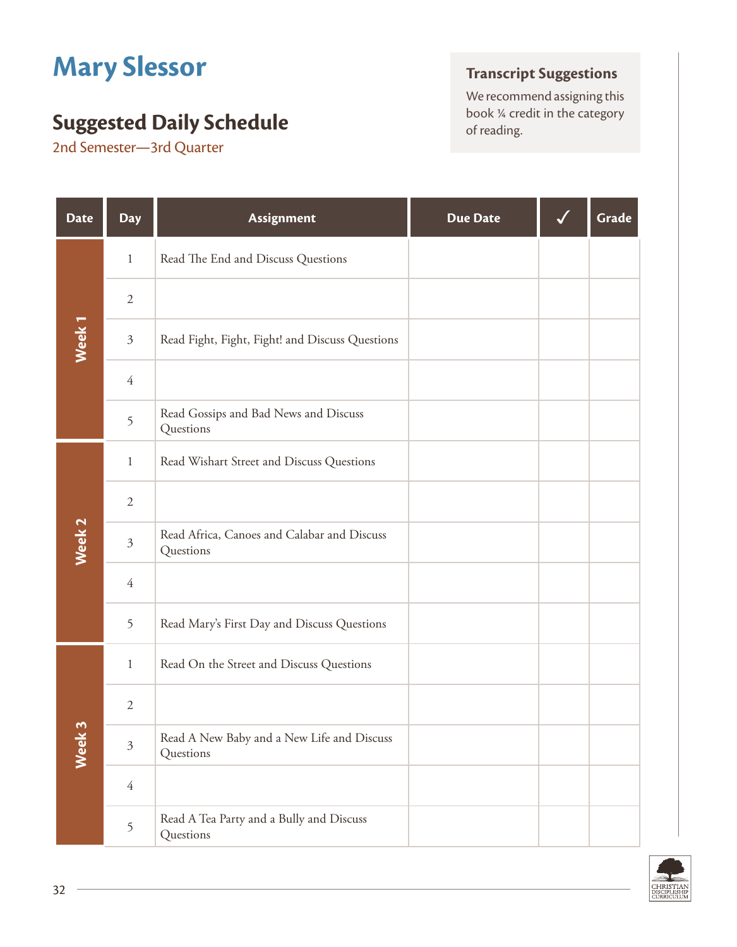# **Mary Slessor**

## **Suggested Daily Schedule** book <sup>24</sup> creding.

2nd Semester—3rd Quarter

## **Transcript Suggestions**

We recommend assigning this<br>book  $\frac{1}{4}$  credit in the category

| <b>Date</b>       | <b>Day</b>     | Assignment                                               | <b>Due Date</b> | Grade |
|-------------------|----------------|----------------------------------------------------------|-----------------|-------|
|                   | $\mathbf{1}$   | Read The End and Discuss Questions                       |                 |       |
|                   | $\mathbf{2}$   |                                                          |                 |       |
| Week <sub>1</sub> | $\mathfrak{Z}$ | Read Fight, Fight, Fight! and Discuss Questions          |                 |       |
|                   | $\overline{4}$ |                                                          |                 |       |
|                   | 5              | Read Gossips and Bad News and Discuss<br>Questions       |                 |       |
|                   | $\mathbf{1}$   | Read Wishart Street and Discuss Questions                |                 |       |
|                   | $\overline{2}$ |                                                          |                 |       |
| Week <sub>2</sub> | $\mathfrak{Z}$ | Read Africa, Canoes and Calabar and Discuss<br>Questions |                 |       |
|                   | $\overline{4}$ |                                                          |                 |       |
|                   | 5              | Read Mary's First Day and Discuss Questions              |                 |       |
|                   | $\mathbf{1}$   | Read On the Street and Discuss Questions                 |                 |       |
|                   | 2              |                                                          |                 |       |
| Week 3            | $\mathfrak{Z}$ | Read A New Baby and a New Life and Discuss<br>Questions  |                 |       |
|                   | $\overline{4}$ |                                                          |                 |       |
|                   | 5              | Read A Tea Party and a Bully and Discuss<br>Questions    |                 |       |

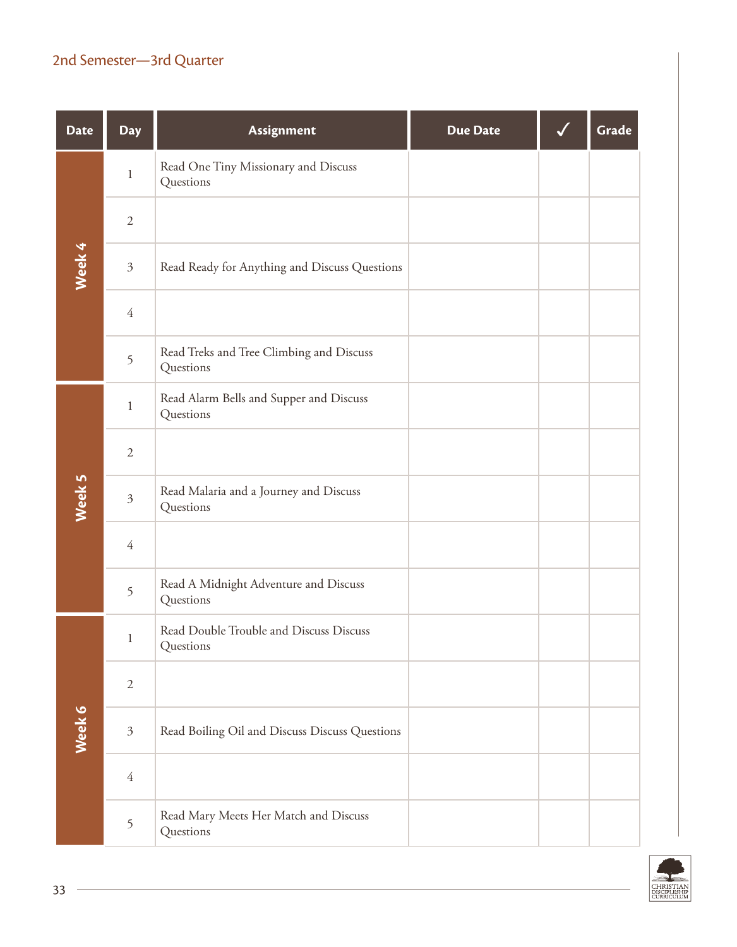## 2nd Semester—3rd Quarter

| <b>Date</b> | <b>Day</b>     | Assignment                                            | <b>Due Date</b> | Grade |
|-------------|----------------|-------------------------------------------------------|-----------------|-------|
|             | $\mathbf{1}$   | Read One Tiny Missionary and Discuss<br>Questions     |                 |       |
| Week 4      | $\sqrt{2}$     |                                                       |                 |       |
|             | $\mathfrak{Z}$ | Read Ready for Anything and Discuss Questions         |                 |       |
|             | $\overline{4}$ |                                                       |                 |       |
|             | 5              | Read Treks and Tree Climbing and Discuss<br>Questions |                 |       |
|             | $\mathbf{1}$   | Read Alarm Bells and Supper and Discuss<br>Questions  |                 |       |
|             | $\sqrt{2}$     |                                                       |                 |       |
| Week 5      | $\mathfrak{Z}$ | Read Malaria and a Journey and Discuss<br>Questions   |                 |       |
|             | $\overline{4}$ |                                                       |                 |       |
|             | 5              | Read A Midnight Adventure and Discuss<br>Questions    |                 |       |
|             | $\mathbf{1}$   | Read Double Trouble and Discuss Discuss<br>Questions  |                 |       |
|             | $\sqrt{2}$     |                                                       |                 |       |
| Week 6      | $\mathfrak{Z}$ | Read Boiling Oil and Discuss Discuss Questions        |                 |       |
|             | $\overline{4}$ |                                                       |                 |       |
|             | $\mathfrak{S}$ | Read Mary Meets Her Match and Discuss<br>Questions    |                 |       |

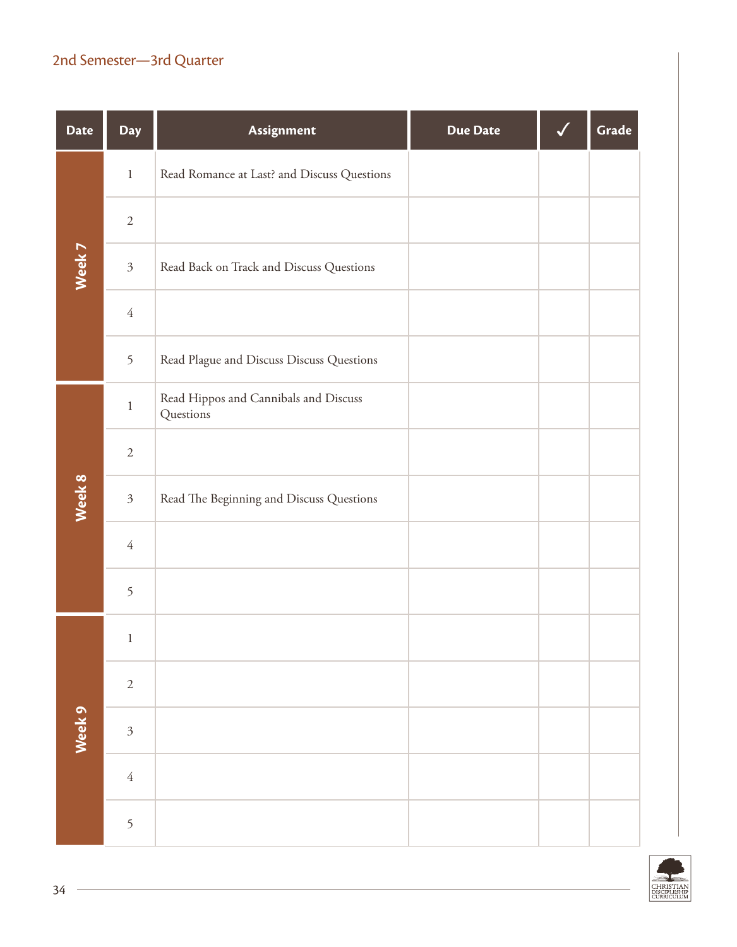## 2nd Semester—3rd Quarter

| <b>Date</b> | <b>Day</b>     | Assignment                                         | <b>Due Date</b> | Grade |
|-------------|----------------|----------------------------------------------------|-----------------|-------|
| Week 7      | $\,1\,$        | Read Romance at Last? and Discuss Questions        |                 |       |
|             | $\sqrt{2}$     |                                                    |                 |       |
|             | $\mathfrak{Z}$ | Read Back on Track and Discuss Questions           |                 |       |
|             | $\sqrt{4}$     |                                                    |                 |       |
|             | 5              | Read Plague and Discuss Discuss Questions          |                 |       |
|             | $\,1\,$        | Read Hippos and Cannibals and Discuss<br>Questions |                 |       |
|             | $\sqrt{2}$     |                                                    |                 |       |
| Week 8      | $\mathfrak{Z}$ | Read The Beginning and Discuss Questions           |                 |       |
|             | $\sqrt{4}$     |                                                    |                 |       |
|             | 5              |                                                    |                 |       |
| Week 9      | $\mathbf{1}$   |                                                    |                 |       |
|             | $\sqrt{2}$     |                                                    |                 |       |
|             | $\overline{3}$ |                                                    |                 |       |
|             | $\sqrt{4}$     |                                                    |                 |       |
|             | 5              |                                                    |                 |       |

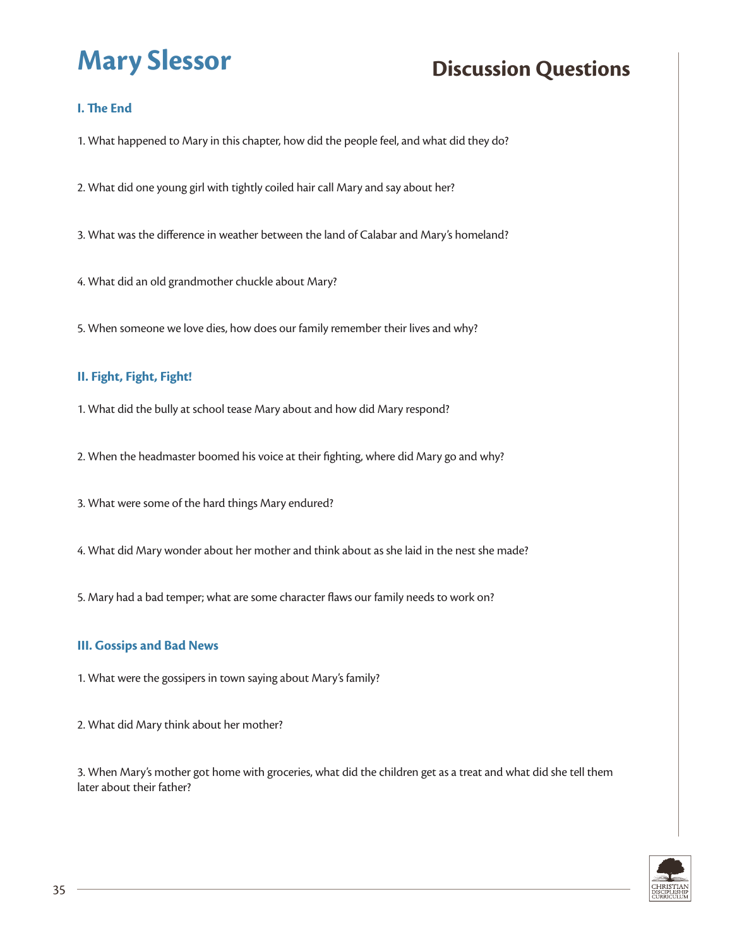## **I. The End**

1. What happened to Mary in this chapter, how did the people feel, and what did they do?

2. What did one young girl with tightly coiled hair call Mary and say about her?

- 3. What was the difference in weather between the land of Calabar and Mary's homeland?
- 4. What did an old grandmother chuckle about Mary?

5. When someone we love dies, how does our family remember their lives and why?

## **II. Fight, Fight, Fight!**

- 1. What did the bully at school tease Mary about and how did Mary respond?
- 2. When the headmaster boomed his voice at their fighting, where did Mary go and why?
- 3. What were some of the hard things Mary endured?
- 4. What did Mary wonder about her mother and think about as she laid in the nest she made?
- 5. Mary had a bad temper; what are some character flaws our family needs to work on?

### **III. Gossips and Bad News**

- 1. What were the gossipers in town saying about Mary's family?
- 2. What did Mary think about her mother?

3. When Mary's mother got home with groceries, what did the children get as a treat and what did she tell them later about their father?

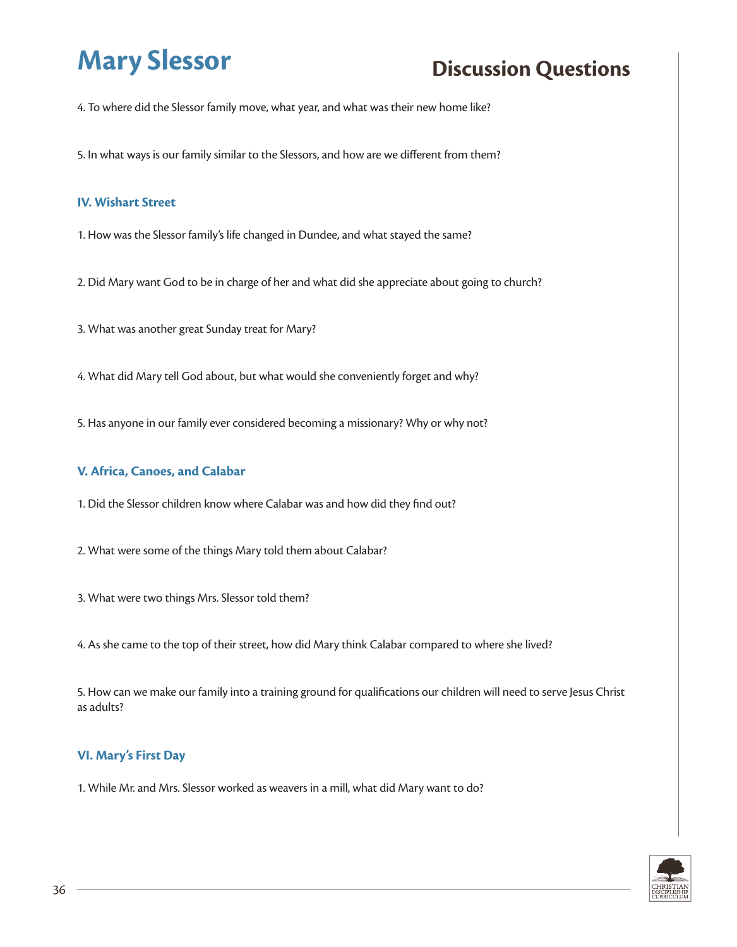4. To where did the Slessor family move, what year, and what was their new home like?

5. In what ways is our family similar to the Slessors, and how are we different from them?

#### **IV. Wishart Street**

- 1. How was the Slessor family's life changed in Dundee, and what stayed the same?
- 2. Did Mary want God to be in charge of her and what did she appreciate about going to church?
- 3. What was another great Sunday treat for Mary?
- 4. What did Mary tell God about, but what would she conveniently forget and why?
- 5. Has anyone in our family ever considered becoming a missionary? Why or why not?

#### **V. Africa, Canoes, and Calabar**

- 1. Did the Slessor children know where Calabar was and how did they find out?
- 2. What were some of the things Mary told them about Calabar?
- 3. What were two things Mrs. Slessor told them?
- 4. As she came to the top of their street, how did Mary think Calabar compared to where she lived?

5. How can we make our family into a training ground for qualifications our children will need to serve Jesus Christ as adults?

#### **VI. Mary's First Day**

1. While Mr. and Mrs. Slessor worked as weavers in a mill, what did Mary want to do?

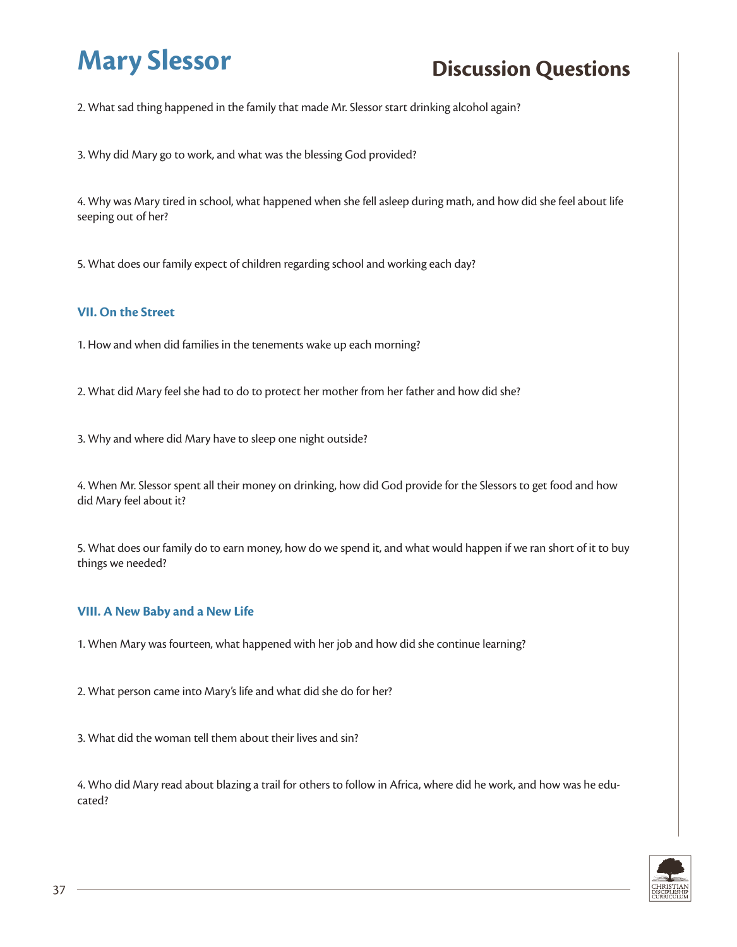2. What sad thing happened in the family that made Mr. Slessor start drinking alcohol again?

3. Why did Mary go to work, and what was the blessing God provided?

4. Why was Mary tired in school, what happened when she fell asleep during math, and how did she feel about life seeping out of her?

5. What does our family expect of children regarding school and working each day?

#### **VII. On the Street**

1. How and when did families in the tenements wake up each morning?

2. What did Mary feel she had to do to protect her mother from her father and how did she?

3. Why and where did Mary have to sleep one night outside?

4. When Mr. Slessor spent all their money on drinking, how did God provide for the Slessors to get food and how did Mary feel about it?

5. What does our family do to earn money, how do we spend it, and what would happen if we ran short of it to buy things we needed?

#### **VIII. A New Baby and a New Life**

1. When Mary was fourteen, what happened with her job and how did she continue learning?

2. What person came into Mary's life and what did she do for her?

3. What did the woman tell them about their lives and sin?

4. Who did Mary read about blazing a trail for others to follow in Africa, where did he work, and how was he educated?

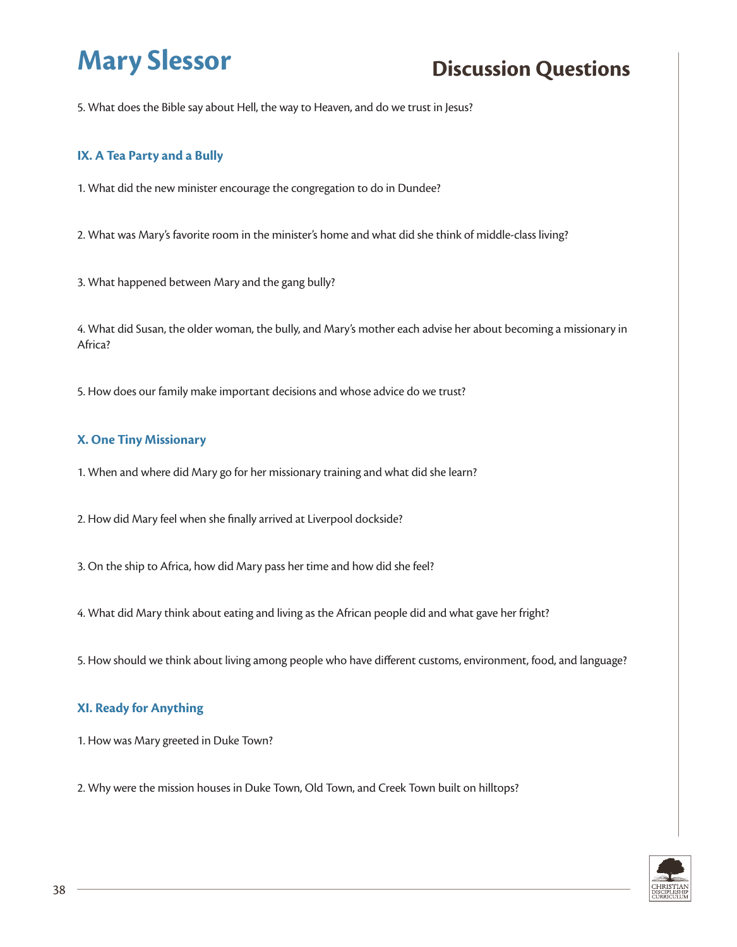5. What does the Bible say about Hell, the way to Heaven, and do we trust in Jesus?

#### **IX. A Tea Party and a Bully**

1. What did the new minister encourage the congregation to do in Dundee?

2. What was Mary's favorite room in the minister's home and what did she think of middle-class living?

3. What happened between Mary and the gang bully?

4. What did Susan, the older woman, the bully, and Mary's mother each advise her about becoming a missionary in Africa?

5. How does our family make important decisions and whose advice do we trust?

#### **X. One Tiny Missionary**

1. When and where did Mary go for her missionary training and what did she learn?

2. How did Mary feel when she finally arrived at Liverpool dockside?

3. On the ship to Africa, how did Mary pass her time and how did she feel?

4. What did Mary think about eating and living as the African people did and what gave her fright?

5. How should we think about living among people who have different customs, environment, food, and language?

### **XI. Ready for Anything**

1. How was Mary greeted in Duke Town?

2. Why were the mission houses in Duke Town, Old Town, and Creek Town built on hilltops?

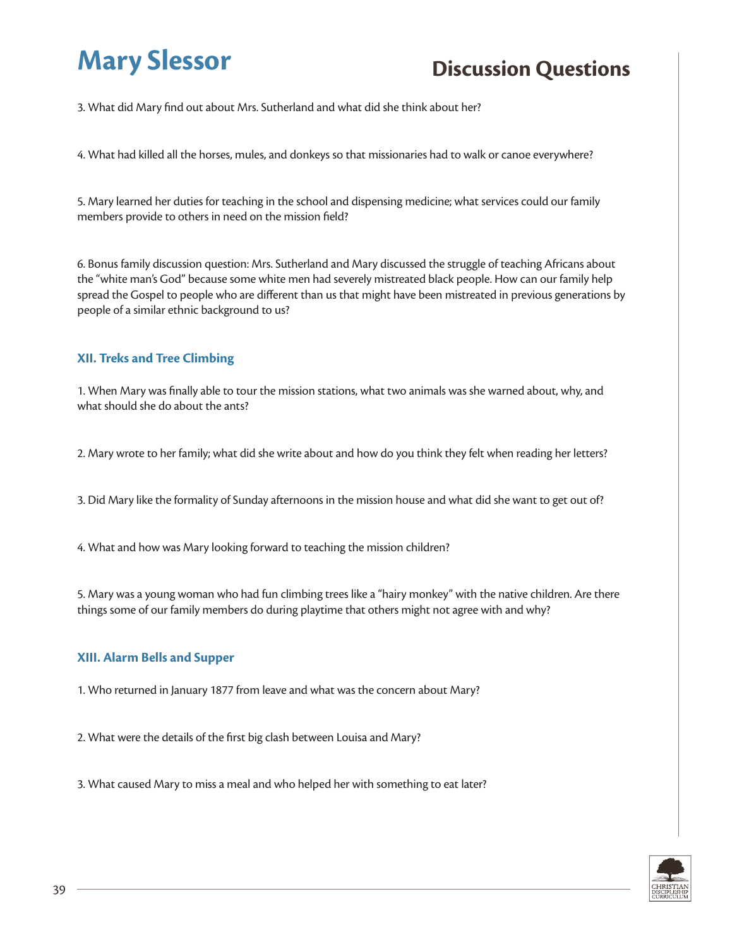3. What did Mary find out about Mrs. Sutherland and what did she think about her?

4. What had killed all the horses, mules, and donkeys so that missionaries had to walk or canoe everywhere?

5. Mary learned her duties for teaching in the school and dispensing medicine; what services could our family members provide to others in need on the mission field?

6. Bonus family discussion question: Mrs. Sutherland and Mary discussed the struggle of teaching Africans about the "white man's God" because some white men had severely mistreated black people. How can our family help spread the Gospel to people who are different than us that might have been mistreated in previous generations by people of a similar ethnic background to us?

#### **XII. Treks and Tree Climbing**

1. When Mary was finally able to tour the mission stations, what two animals was she warned about, why, and what should she do about the ants?

2. Mary wrote to her family; what did she write about and how do you think they felt when reading her letters?

3. Did Mary like the formality of Sunday afternoons in the mission house and what did she want to get out of?

4. What and how was Mary looking forward to teaching the mission children?

5. Mary was a young woman who had fun climbing trees like a "hairy monkey" with the native children. Are there things some of our family members do during playtime that others might not agree with and why?

#### **XIII. Alarm Bells and Supper**

1. Who returned in January 1877 from leave and what was the concern about Mary?

2. What were the details of the first big clash between Louisa and Mary?

3. What caused Mary to miss a meal and who helped her with something to eat later?

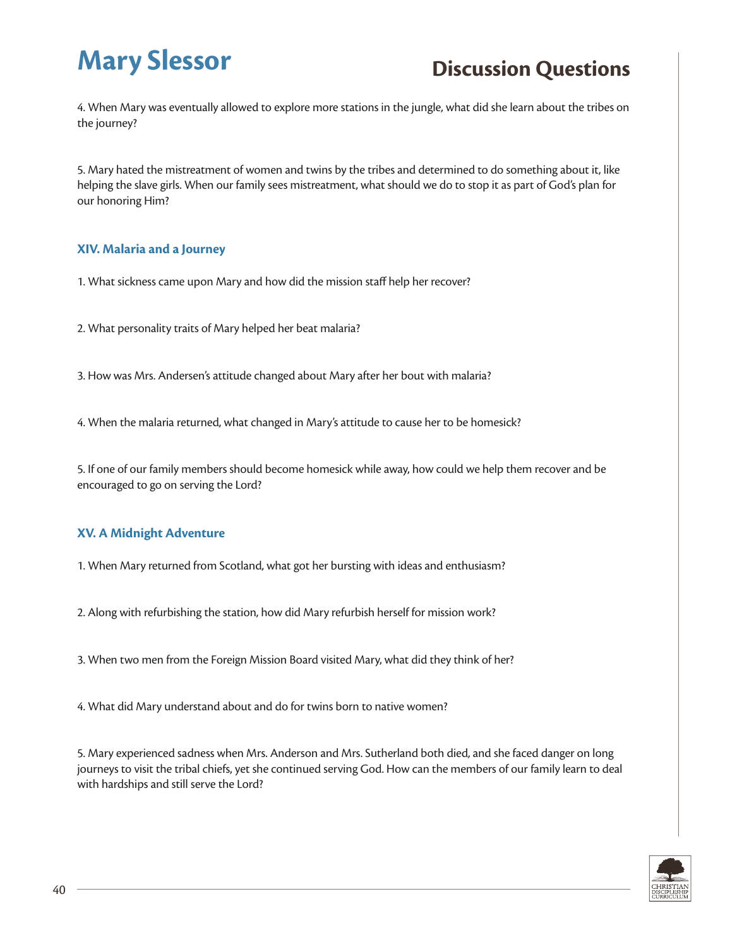4. When Mary was eventually allowed to explore more stations in the jungle, what did she learn about the tribes on the journey?

5. Mary hated the mistreatment of women and twins by the tribes and determined to do something about it, like helping the slave girls. When our family sees mistreatment, what should we do to stop it as part of God's plan for our honoring Him?

#### **XIV. Malaria and a Journey**

1. What sickness came upon Mary and how did the mission staff help her recover?

2. What personality traits of Mary helped her beat malaria?

3. How was Mrs. Andersen's attitude changed about Mary after her bout with malaria?

4. When the malaria returned, what changed in Mary's attitude to cause her to be homesick?

5. If one of our family members should become homesick while away, how could we help them recover and be encouraged to go on serving the Lord?

#### **XV. A Midnight Adventure**

1. When Mary returned from Scotland, what got her bursting with ideas and enthusiasm?

2. Along with refurbishing the station, how did Mary refurbish herself for mission work?

3. When two men from the Foreign Mission Board visited Mary, what did they think of her?

4. What did Mary understand about and do for twins born to native women?

5. Mary experienced sadness when Mrs. Anderson and Mrs. Sutherland both died, and she faced danger on long journeys to visit the tribal chiefs, yet she continued serving God. How can the members of our family learn to deal with hardships and still serve the Lord?

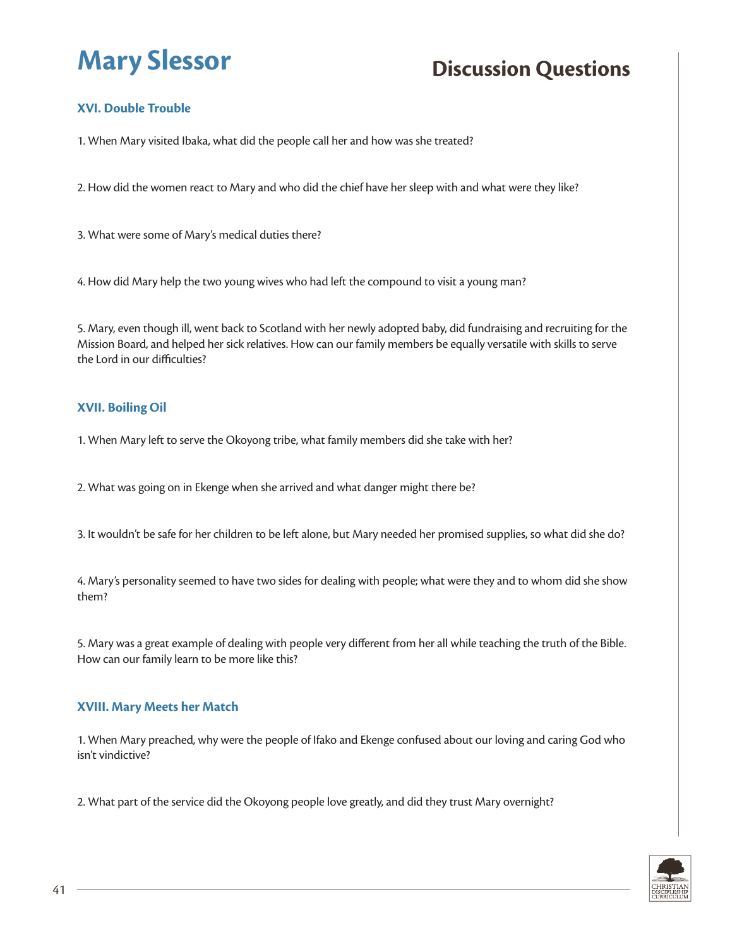## **XVI. Double Trouble**

1. When Mary visited Ibaka, what did the people call her and how was she treated?

2. How did the women react to Mary and who did the chief have her sleep with and what were they like?

3. What were some of Mary's medical duties there?

4. How did Mary help the two young wives who had left the compound to visit a young man?

5. Mary, even though ill, went back to Scotland with her newly adopted baby, did fundraising and recruiting for the Mission Board, and helped her sick relatives. How can our family members be equally versatile with skills to serve the Lord in our difficulties?

### **XVII. Boiling Oil**

1. When Mary left to serve the Okoyong tribe, what family members did she take with her?

2. What was going on in Ekenge when she arrived and what danger might there be?

3. It wouldn't be safe for her children to be left alone, but Mary needed her promised supplies, so what did she do?

4. Mary's personality seemed to have two sides for dealing with people; what were they and to whom did she show them?

5. Mary was a great example of dealing with people very different from her all while teaching the truth of the Bible. How can our family learn to be more like this?

#### **XVIII. Mary Meets her Match**

1. When Mary preached, why were the people of Ifako and Ekenge confused about our loving and caring God who isn't vindictive?

2. What part of the service did the Okoyong people love greatly, and did they trust Mary overnight?

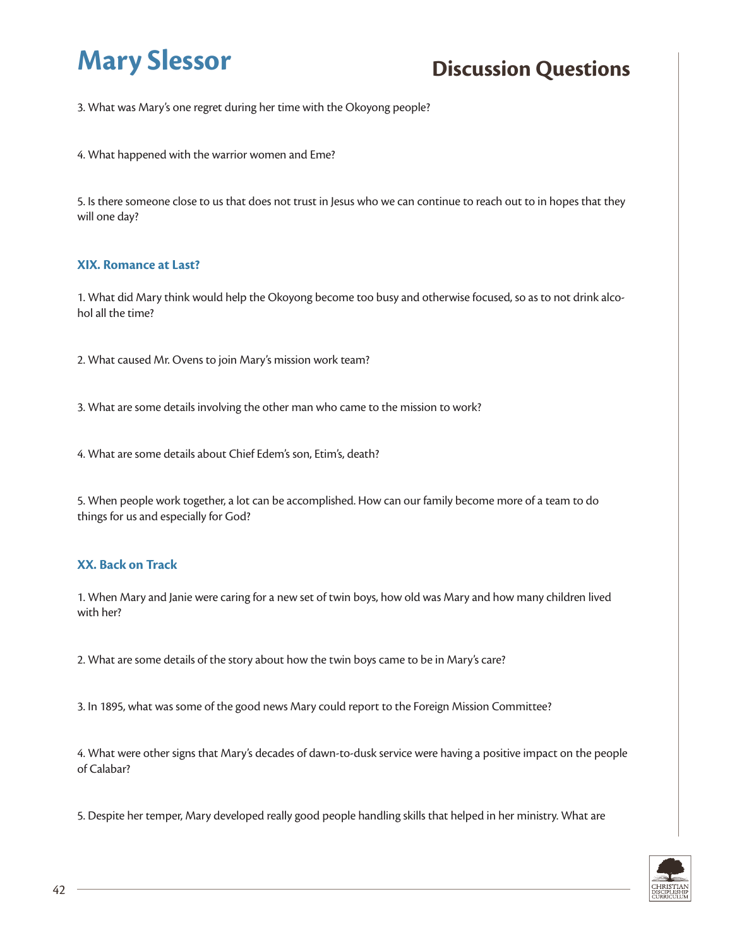3. What was Mary's one regret during her time with the Okoyong people?

4. What happened with the warrior women and Eme?

5. Is there someone close to us that does not trust in Jesus who we can continue to reach out to in hopes that they will one day?

#### **XIX. Romance at Last?**

1. What did Mary think would help the Okoyong become too busy and otherwise focused, so as to not drink alcohol all the time?

2. What caused Mr. Ovens to join Mary's mission work team?

3. What are some details involving the other man who came to the mission to work?

4. What are some details about Chief Edem's son, Etim's, death?

5. When people work together, a lot can be accomplished. How can our family become more of a team to do things for us and especially for God?

### **XX. Back on Track**

1. When Mary and Janie were caring for a new set of twin boys, how old was Mary and how many children lived with her?

2. What are some details of the story about how the twin boys came to be in Mary's care?

3. In 1895, what was some of the good news Mary could report to the Foreign Mission Committee?

4. What were other signs that Mary's decades of dawn-to-dusk service were having a positive impact on the people of Calabar?

5. Despite her temper, Mary developed really good people handling skills that helped in her ministry. What are

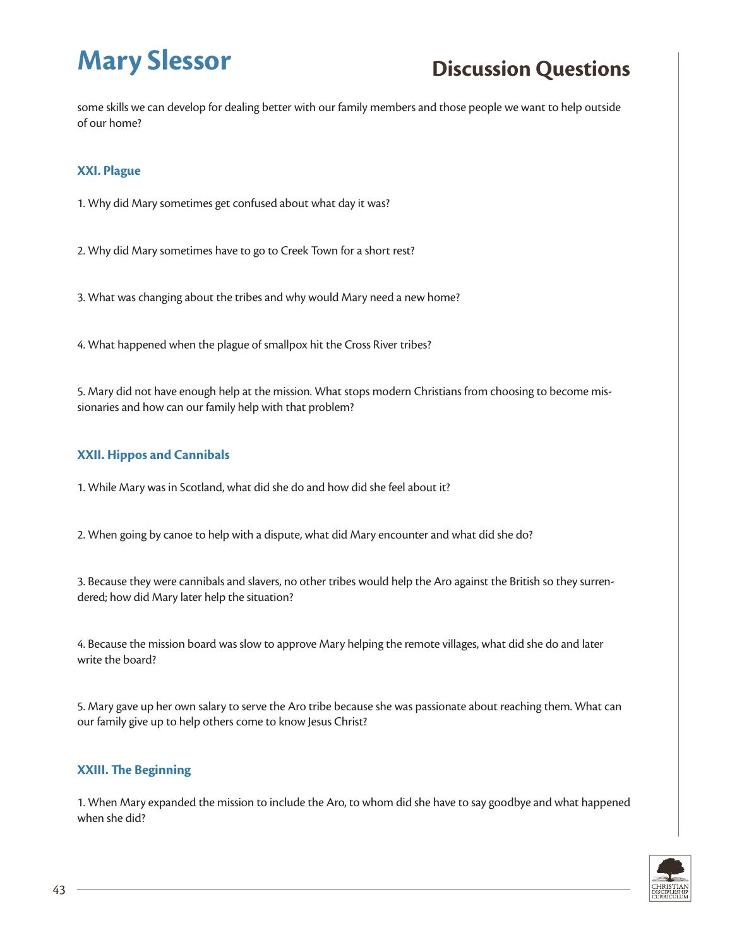some skills we can develop for dealing better with our family members and those people we want to help outside of our home?

### **XXI. Plague**

1. Why did Mary sometimes get confused about what day it was?

2. Why did Mary sometimes have to go to Creek Town for a short rest?

3. What was changing about the tribes and why would Mary need a new home?

4. What happened when the plague of smallpox hit the Cross River tribes?

5. Mary did not have enough help at the mission. What stops modern Christians from choosing to become missionaries and how can our family help with that problem?

### **XXII. Hippos and Cannibals**

1. While Mary was in Scotland, what did she do and how did she feel about it?

2. When going by canoe to help with a dispute, what did Mary encounter and what did she do?

3. Because they were cannibals and slavers, no other tribes would help the Aro against the British so they surrendered; how did Mary later help the situation?

4. Because the mission board was slow to approve Mary helping the remote villages, what did she do and later write the board?

5. Mary gave up her own salary to serve the Aro tribe because she was passionate about reaching them. What can our family give up to help others come to know Jesus Christ?

### **XXIII. The Beginning**

1. When Mary expanded the mission to include the Aro, to whom did she have to say goodbye and what happened when she did?

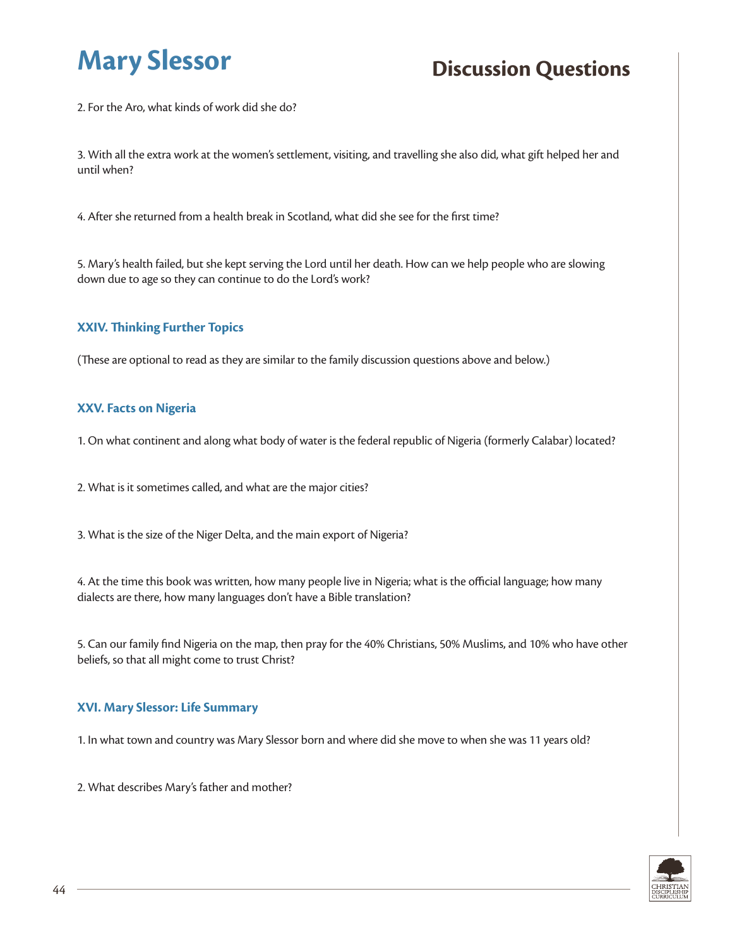2. For the Aro, what kinds of work did she do?

3. With all the extra work at the women's settlement, visiting, and travelling she also did, what gift helped her and until when?

4. After she returned from a health break in Scotland, what did she see for the first time?

5. Mary's health failed, but she kept serving the Lord until her death. How can we help people who are slowing down due to age so they can continue to do the Lord's work?

### **XXIV. Thinking Further Topics**

(These are optional to read as they are similar to the family discussion questions above and below.)

#### **XXV. Facts on Nigeria**

1. On what continent and along what body of water is the federal republic of Nigeria (formerly Calabar) located?

2. What is it sometimes called, and what are the major cities?

3. What is the size of the Niger Delta, and the main export of Nigeria?

4. At the time this book was written, how many people live in Nigeria; what is the official language; how many dialects are there, how many languages don't have a Bible translation?

5. Can our family find Nigeria on the map, then pray for the 40% Christians, 50% Muslims, and 10% who have other beliefs, so that all might come to trust Christ?

#### **XVI. Mary Slessor: Life Summary**

1. In what town and country was Mary Slessor born and where did she move to when she was 11 years old?

2. What describes Mary's father and mother?

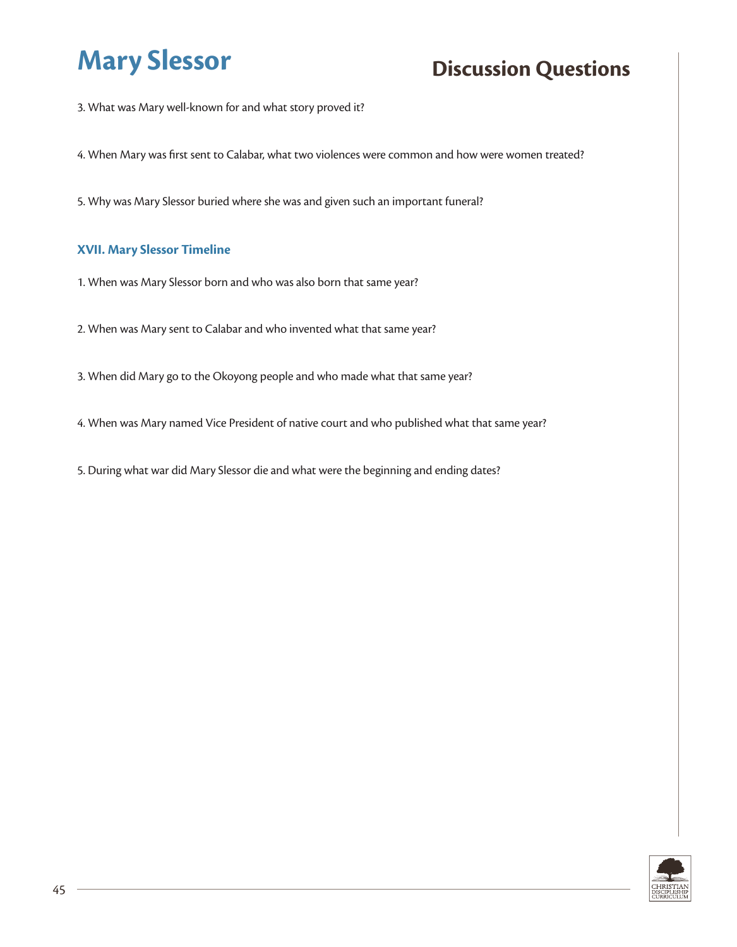3. What was Mary well-known for and what story proved it?

4. When Mary was first sent to Calabar, what two violences were common and how were women treated?

5. Why was Mary Slessor buried where she was and given such an important funeral?

#### **XVII. Mary Slessor Timeline**

1. When was Mary Slessor born and who was also born that same year?

2. When was Mary sent to Calabar and who invented what that same year?

3. When did Mary go to the Okoyong people and who made what that same year?

4. When was Mary named Vice President of native court and who published what that same year?

5. During what war did Mary Slessor die and what were the beginning and ending dates?

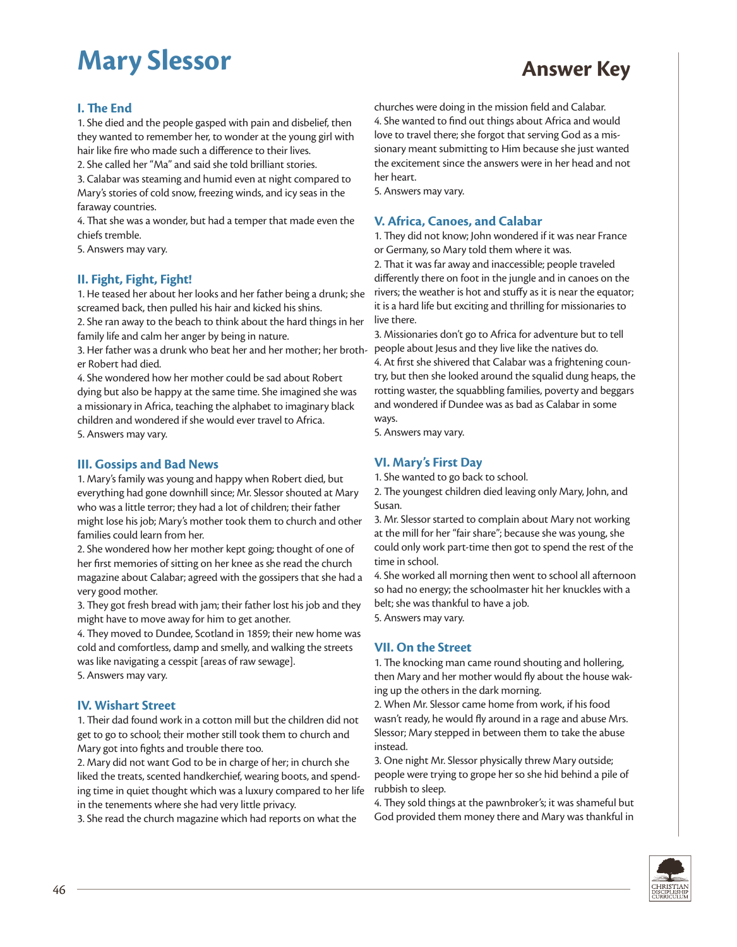#### **I. The End**

1. She died and the people gasped with pain and disbelief, then they wanted to remember her, to wonder at the young girl with hair like fire who made such a difference to their lives.

2. She called her "Ma" and said she told brilliant stories.

3. Calabar was steaming and humid even at night compared to Mary's stories of cold snow, freezing winds, and icy seas in the faraway countries.

4. That she was a wonder, but had a temper that made even the chiefs tremble.

5. Answers may vary.

#### **II. Fight, Fight, Fight!**

1. He teased her about her looks and her father being a drunk; she screamed back, then pulled his hair and kicked his shins.

2. She ran away to the beach to think about the hard things in her family life and calm her anger by being in nature.

3. Her father was a drunk who beat her and her mother; her broth-people about Jesus and they live like the natives do. er Robert had died.

4. She wondered how her mother could be sad about Robert dying but also be happy at the same time. She imagined she was a missionary in Africa, teaching the alphabet to imaginary black children and wondered if she would ever travel to Africa. 5. Answers may vary.

#### **III. Gossips and Bad News**

1. Mary's family was young and happy when Robert died, but everything had gone downhill since; Mr. Slessor shouted at Mary who was a little terror; they had a lot of children; their father might lose his job; Mary's mother took them to church and other families could learn from her.

2. She wondered how her mother kept going; thought of one of her first memories of sitting on her knee as she read the church magazine about Calabar; agreed with the gossipers that she had a very good mother.

3. They got fresh bread with jam; their father lost his job and they might have to move away for him to get another.

4. They moved to Dundee, Scotland in 1859; their new home was cold and comfortless, damp and smelly, and walking the streets was like navigating a cesspit [areas of raw sewage]. 5. Answers may vary.

#### **IV. Wishart Street**

1. Their dad found work in a cotton mill but the children did not get to go to school; their mother still took them to church and Mary got into fights and trouble there too.

2. Mary did not want God to be in charge of her; in church she liked the treats, scented handkerchief, wearing boots, and spending time in quiet thought which was a luxury compared to her life in the tenements where she had very little privacy.

3. She read the church magazine which had reports on what the

churches were doing in the mission field and Calabar. 4. She wanted to find out things about Africa and would love to travel there; she forgot that serving God as a missionary meant submitting to Him because she just wanted the excitement since the answers were in her head and not her heart.

5. Answers may vary.

#### **V. Africa, Canoes, and Calabar**

1. They did not know; John wondered if it was near France or Germany, so Mary told them where it was.

2. That it was far away and inaccessible; people traveled differently there on foot in the jungle and in canoes on the rivers; the weather is hot and stuffy as it is near the equator; it is a hard life but exciting and thrilling for missionaries to live there.

3. Missionaries don't go to Africa for adventure but to tell 4. At first she shivered that Calabar was a frightening country, but then she looked around the squalid dung heaps, the rotting waster, the squabbling families, poverty and beggars and wondered if Dundee was as bad as Calabar in some ways.

5. Answers may vary.

### **VI. Mary's First Day**

1. She wanted to go back to school.

2. The youngest children died leaving only Mary, John, and Susan.

3. Mr. Slessor started to complain about Mary not working at the mill for her "fair share"; because she was young, she could only work part-time then got to spend the rest of the time in school.

4. She worked all morning then went to school all afternoon so had no energy; the schoolmaster hit her knuckles with a belt; she was thankful to have a job.

5. Answers may vary.

#### **VII. On the Street**

1. The knocking man came round shouting and hollering, then Mary and her mother would fly about the house waking up the others in the dark morning.

2. When Mr. Slessor came home from work, if his food wasn't ready, he would fly around in a rage and abuse Mrs. Slessor; Mary stepped in between them to take the abuse instead.

3. One night Mr. Slessor physically threw Mary outside; people were trying to grope her so she hid behind a pile of rubbish to sleep.

4. They sold things at the pawnbroker's; it was shameful but God provided them money there and Mary was thankful in

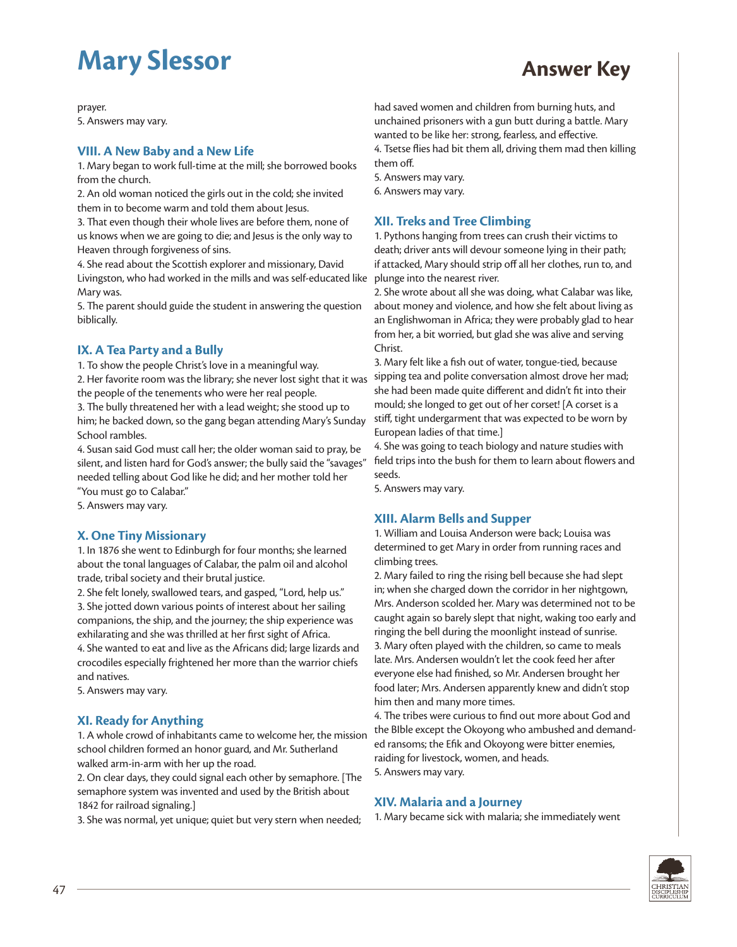prayer. 5. Answers may vary.

#### **VIII. A New Baby and a New Life**

1. Mary began to work full-time at the mill; she borrowed books from the church.

2. An old woman noticed the girls out in the cold; she invited them in to become warm and told them about Jesus.

3. That even though their whole lives are before them, none of us knows when we are going to die; and Jesus is the only way to Heaven through forgiveness of sins.

4. She read about the Scottish explorer and missionary, David Livingston, who had worked in the mills and was self-educated like Mary was.

5. The parent should guide the student in answering the question biblically.

### **IX. A Tea Party and a Bully**

1. To show the people Christ's love in a meaningful way.

2. Her favorite room was the library; she never lost sight that it was the people of the tenements who were her real people.

3. The bully threatened her with a lead weight; she stood up to him; he backed down, so the gang began attending Mary's Sunday School rambles.

4. Susan said God must call her; the older woman said to pray, be silent, and listen hard for God's answer; the bully said the "savages" needed telling about God like he did; and her mother told her "You must go to Calabar."

5. Answers may vary.

#### **X. One Tiny Missionary**

1. In 1876 she went to Edinburgh for four months; she learned about the tonal languages of Calabar, the palm oil and alcohol trade, tribal society and their brutal justice.

2. She felt lonely, swallowed tears, and gasped, "Lord, help us." 3. She jotted down various points of interest about her sailing companions, the ship, and the journey; the ship experience was exhilarating and she was thrilled at her first sight of Africa.

4. She wanted to eat and live as the Africans did; large lizards and crocodiles especially frightened her more than the warrior chiefs and natives.

5. Answers may vary.

### **XI. Ready for Anything**

1. A whole crowd of inhabitants came to welcome her, the mission school children formed an honor guard, and Mr. Sutherland walked arm-in-arm with her up the road.

2. On clear days, they could signal each other by semaphore. [The semaphore system was invented and used by the British about 1842 for railroad signaling.]

3. She was normal, yet unique; quiet but very stern when needed;

had saved women and children from burning huts, and unchained prisoners with a gun butt during a battle. Mary wanted to be like her: strong, fearless, and effective. 4. Tsetse flies had bit them all, driving them mad then killing them off.

5. Answers may vary.

6. Answers may vary.

#### **XII. Treks and Tree Climbing**

1. Pythons hanging from trees can crush their victims to death; driver ants will devour someone lying in their path; if attacked, Mary should strip off all her clothes, run to, and plunge into the nearest river.

2. She wrote about all she was doing, what Calabar was like, about money and violence, and how she felt about living as an Englishwoman in Africa; they were probably glad to hear from her, a bit worried, but glad she was alive and serving Christ.

3. Mary felt like a fish out of water, tongue-tied, because sipping tea and polite conversation almost drove her mad; she had been made quite different and didn't fit into their mould; she longed to get out of her corset! [A corset is a stiff, tight undergarment that was expected to be worn by European ladies of that time.]

4. She was going to teach biology and nature studies with field trips into the bush for them to learn about flowers and seeds.

5. Answers may vary.

#### **XIII. Alarm Bells and Supper**

1. William and Louisa Anderson were back; Louisa was determined to get Mary in order from running races and climbing trees.

2. Mary failed to ring the rising bell because she had slept in; when she charged down the corridor in her nightgown, Mrs. Anderson scolded her. Mary was determined not to be caught again so barely slept that night, waking too early and ringing the bell during the moonlight instead of sunrise. 3. Mary often played with the children, so came to meals late. Mrs. Andersen wouldn't let the cook feed her after everyone else had finished, so Mr. Andersen brought her food later; Mrs. Andersen apparently knew and didn't stop him then and many more times.

4. The tribes were curious to find out more about God and the BIble except the Okoyong who ambushed and demanded ransoms; the Efik and Okoyong were bitter enemies, raiding for livestock, women, and heads.

5. Answers may vary.

#### **XIV. Malaria and a Journey**

1. Mary became sick with malaria; she immediately went

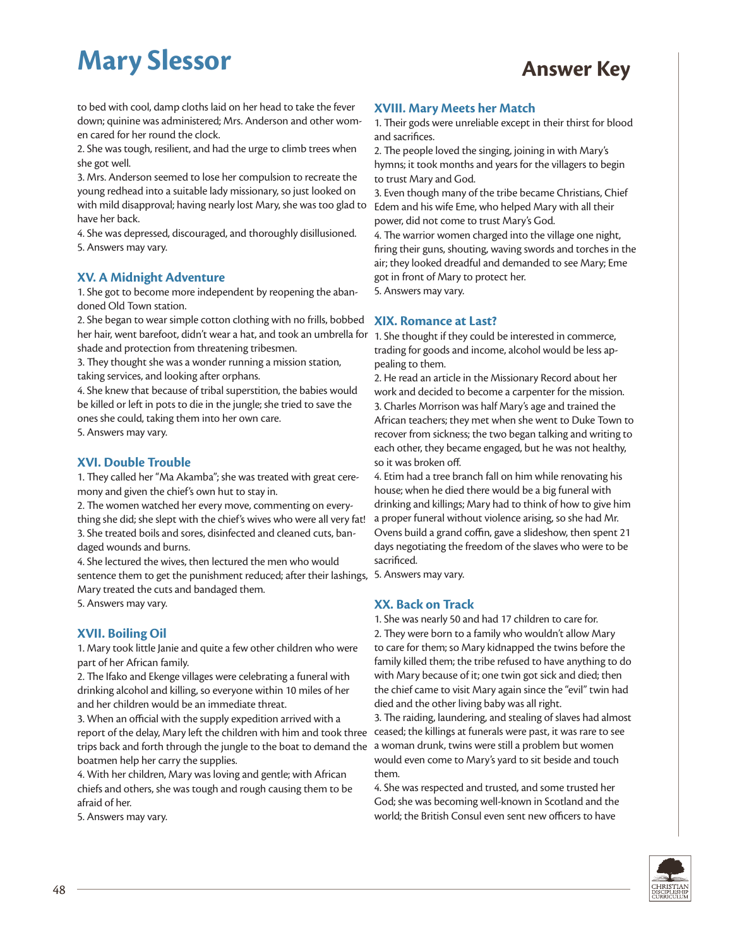to bed with cool, damp cloths laid on her head to take the fever down; quinine was administered; Mrs. Anderson and other women cared for her round the clock.

2. She was tough, resilient, and had the urge to climb trees when she got well.

3. Mrs. Anderson seemed to lose her compulsion to recreate the young redhead into a suitable lady missionary, so just looked on with mild disapproval; having nearly lost Mary, she was too glad to have her back.

4. She was depressed, discouraged, and thoroughly disillusioned. 5. Answers may vary.

#### **XV. A Midnight Adventure**

1. She got to become more independent by reopening the abandoned Old Town station.

2. She began to wear simple cotton clothing with no frills, bobbed her hair, went barefoot, didn't wear a hat, and took an umbrella for 1. She thought if they could be interested in commerce, shade and protection from threatening tribesmen.

3. They thought she was a wonder running a mission station, taking services, and looking after orphans.

4. She knew that because of tribal superstition, the babies would be killed or left in pots to die in the jungle; she tried to save the ones she could, taking them into her own care. 5. Answers may vary.

#### **XVI. Double Trouble**

1. They called her "Ma Akamba"; she was treated with great ceremony and given the chief's own hut to stay in.

2. The women watched her every move, commenting on everything she did; she slept with the chief's wives who were all very fat!

3. She treated boils and sores, disinfected and cleaned cuts, bandaged wounds and burns.

4. She lectured the wives, then lectured the men who would sentence them to get the punishment reduced; after their lashings, 5. Answers may vary. Mary treated the cuts and bandaged them.

5. Answers may vary.

#### **XVII. Boiling Oil**

1. Mary took little Janie and quite a few other children who were part of her African family.

2. The Ifako and Ekenge villages were celebrating a funeral with drinking alcohol and killing, so everyone within 10 miles of her and her children would be an immediate threat.

3. When an official with the supply expedition arrived with a report of the delay, Mary left the children with him and took three trips back and forth through the jungle to the boat to demand the a woman drunk, twins were still a problem but women boatmen help her carry the supplies.

4. With her children, Mary was loving and gentle; with African chiefs and others, she was tough and rough causing them to be afraid of her.

5. Answers may vary.

#### **XVIII. Mary Meets her Match**

1. Their gods were unreliable except in their thirst for blood and sacrifices.

2. The people loved the singing, joining in with Mary's hymns; it took months and years for the villagers to begin to trust Mary and God.

3. Even though many of the tribe became Christians, Chief Edem and his wife Eme, who helped Mary with all their power, did not come to trust Mary's God.

4. The warrior women charged into the village one night, firing their guns, shouting, waving swords and torches in the air; they looked dreadful and demanded to see Mary; Eme got in front of Mary to protect her.

5. Answers may vary.

#### **XIX. Romance at Last?**

trading for goods and income, alcohol would be less appealing to them.

2. He read an article in the Missionary Record about her work and decided to become a carpenter for the mission. 3. Charles Morrison was half Mary's age and trained the African teachers; they met when she went to Duke Town to recover from sickness; the two began talking and writing to each other, they became engaged, but he was not healthy, so it was broken off.

4. Etim had a tree branch fall on him while renovating his house; when he died there would be a big funeral with drinking and killings; Mary had to think of how to give him a proper funeral without violence arising, so she had Mr. Ovens build a grand coffin, gave a slideshow, then spent 21 days negotiating the freedom of the slaves who were to be sacrificed.

#### **XX. Back on Track**

1. She was nearly 50 and had 17 children to care for. 2. They were born to a family who wouldn't allow Mary to care for them; so Mary kidnapped the twins before the family killed them; the tribe refused to have anything to do with Mary because of it; one twin got sick and died; then the chief came to visit Mary again since the "evil" twin had died and the other living baby was all right.

3. The raiding, laundering, and stealing of slaves had almost ceased; the killings at funerals were past, it was rare to see would even come to Mary's yard to sit beside and touch them.

4. She was respected and trusted, and some trusted her God; she was becoming well-known in Scotland and the world; the British Consul even sent new officers to have

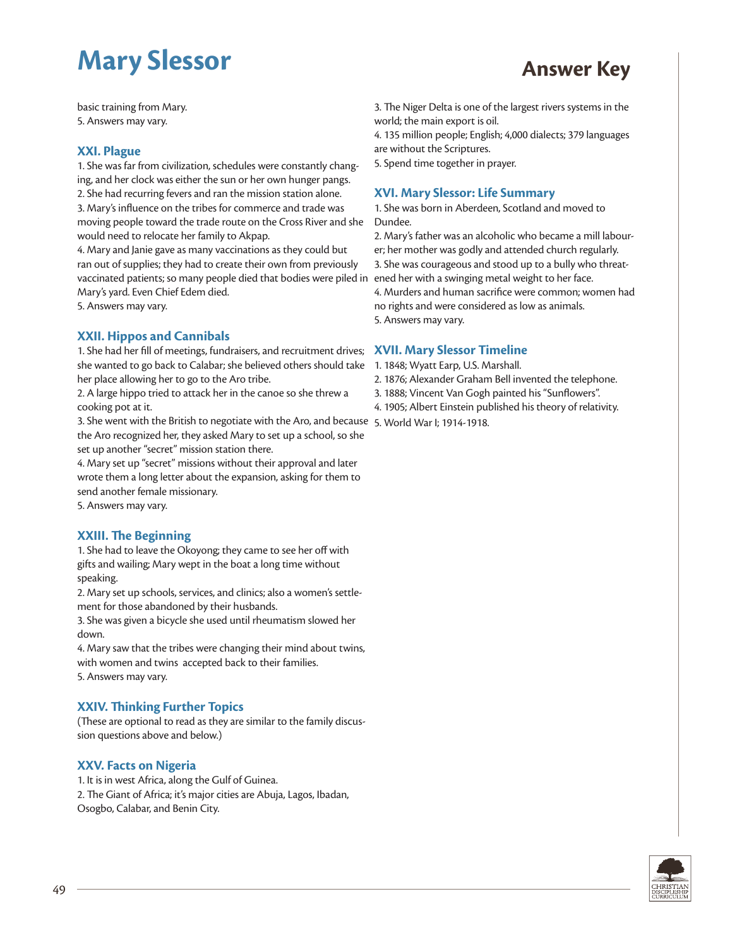basic training from Mary. 5. Answers may vary.

#### **XXI. Plague**

1. She was far from civilization, schedules were constantly changing, and her clock was either the sun or her own hunger pangs. 2. She had recurring fevers and ran the mission station alone. 3. Mary's influence on the tribes for commerce and trade was moving people toward the trade route on the Cross River and she would need to relocate her family to Akpap.

4. Mary and Janie gave as many vaccinations as they could but ran out of supplies; they had to create their own from previously vaccinated patients; so many people died that bodies were piled in Mary's yard. Even Chief Edem died. 5. Answers may vary.

**XXII. Hippos and Cannibals**

1. She had her fill of meetings, fundraisers, and recruitment drives; she wanted to go back to Calabar; she believed others should take her place allowing her to go to the Aro tribe.

2. A large hippo tried to attack her in the canoe so she threw a cooking pot at it.

3. She went with the British to negotiate with the Aro, and because 5. World War I; 1914-1918.the Aro recognized her, they asked Mary to set up a school, so she set up another "secret" mission station there.

4. Mary set up "secret" missions without their approval and later wrote them a long letter about the expansion, asking for them to send another female missionary.

5. Answers may vary.

#### **XXIII. The Beginning**

1. She had to leave the Okoyong; they came to see her off with gifts and wailing; Mary wept in the boat a long time without speaking.

2. Mary set up schools, services, and clinics; also a women's settlement for those abandoned by their husbands.

3. She was given a bicycle she used until rheumatism slowed her down.

4. Mary saw that the tribes were changing their mind about twins, with women and twins accepted back to their families. 5. Answers may vary.

#### **XXIV. Thinking Further Topics**

(These are optional to read as they are similar to the family discussion questions above and below.)

#### **XXV. Facts on Nigeria**

1. It is in west Africa, along the Gulf of Guinea. 2. The Giant of Africa; it's major cities are Abuja, Lagos, Ibadan, Osogbo, Calabar, and Benin City.

3. The Niger Delta is one of the largest rivers systems in the world; the main export is oil.

4. 135 million people; English; 4,000 dialects; 379 languages are without the Scriptures.

5. Spend time together in prayer.

#### **XVI. Mary Slessor: Life Summary**

1. She was born in Aberdeen, Scotland and moved to Dundee.

2. Mary's father was an alcoholic who became a mill labourer; her mother was godly and attended church regularly. 3. She was courageous and stood up to a bully who threatened her with a swinging metal weight to her face. 4. Murders and human sacrifice were common; women had no rights and were considered as low as animals.

5. Answers may vary.

#### **XVII. Mary Slessor Timeline**

1. 1848; Wyatt Earp, U.S. Marshall.

- 2. 1876; Alexander Graham Bell invented the telephone.
- 3. 1888; Vincent Van Gogh painted his "Sunflowers".
- 4. 1905; Albert Einstein published his theory of relativity.
- 

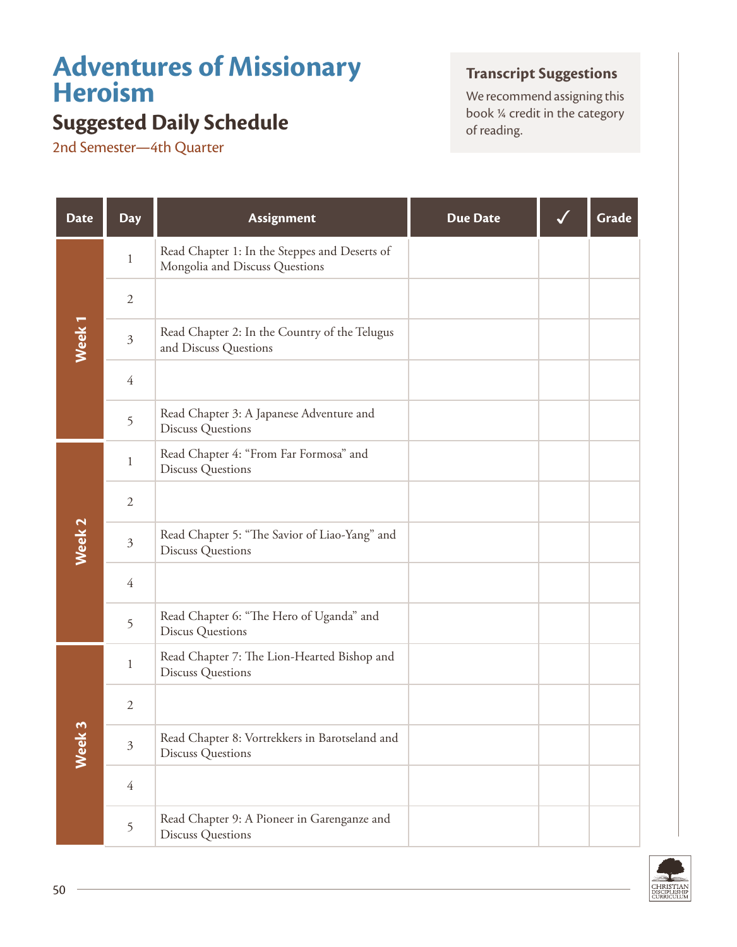## **Adventures of Missionary Heroism**

## **Suggested Daily Schedule** book <sup>24</sup> creding.

2nd Semester—4th Quarter

## **Transcript Suggestions**

We recommend assigning this<br>book  $\frac{1}{4}$  credit in the category

| <b>Date</b>       | <b>Day</b>     | Assignment                                                                      | <b>Due Date</b> | Grade |
|-------------------|----------------|---------------------------------------------------------------------------------|-----------------|-------|
| Week <sub>1</sub> | $\mathbf{1}$   | Read Chapter 1: In the Steppes and Deserts of<br>Mongolia and Discuss Questions |                 |       |
|                   | $\sqrt{2}$     |                                                                                 |                 |       |
|                   | $\mathfrak{Z}$ | Read Chapter 2: In the Country of the Telugus<br>and Discuss Questions          |                 |       |
|                   | $\overline{4}$ |                                                                                 |                 |       |
|                   | 5              | Read Chapter 3: A Japanese Adventure and<br><b>Discuss Questions</b>            |                 |       |
| Week <sub>2</sub> | $\mathbf{1}$   | Read Chapter 4: "From Far Formosa" and<br><b>Discuss Questions</b>              |                 |       |
|                   | $\sqrt{2}$     |                                                                                 |                 |       |
|                   | $\mathfrak{Z}$ | Read Chapter 5: "The Savior of Liao-Yang" and<br><b>Discuss Questions</b>       |                 |       |
|                   | $\overline{4}$ |                                                                                 |                 |       |
|                   | 5              | Read Chapter 6: "The Hero of Uganda" and<br><b>Discus Questions</b>             |                 |       |
| Week 3            | $\mathbf{1}$   | Read Chapter 7: The Lion-Hearted Bishop and<br><b>Discuss Questions</b>         |                 |       |
|                   | $\mathfrak{2}$ |                                                                                 |                 |       |
|                   | $\mathfrak{Z}$ | Read Chapter 8: Vortrekkers in Barotseland and<br><b>Discuss Questions</b>      |                 |       |
|                   | $\overline{4}$ |                                                                                 |                 |       |
|                   | 5              | Read Chapter 9: A Pioneer in Garenganze and<br><b>Discuss Questions</b>         |                 |       |

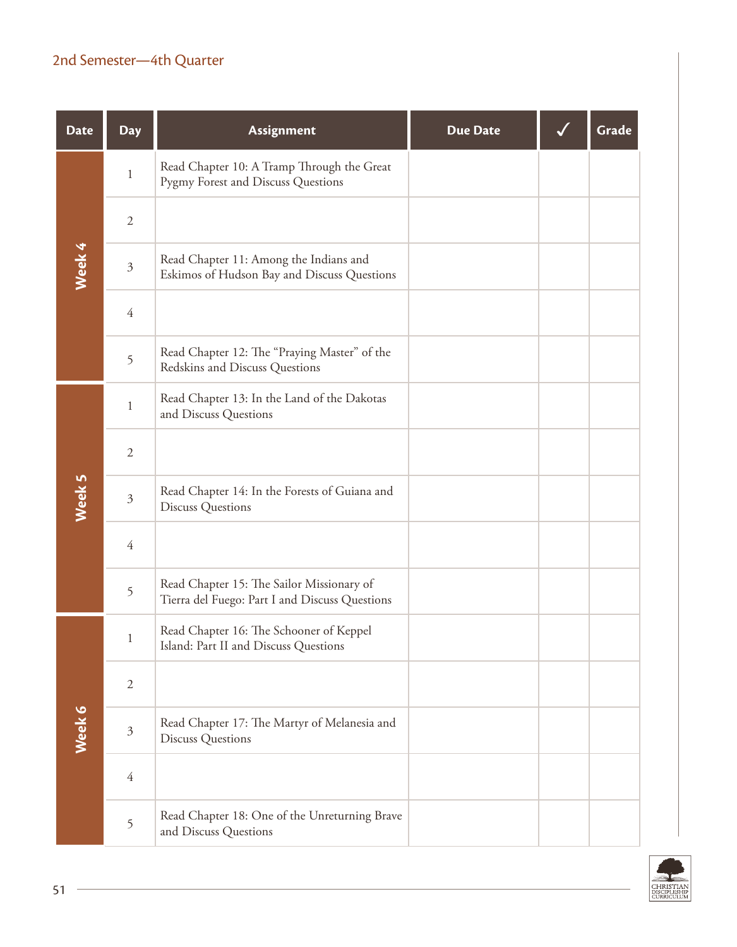## 2nd Semester—4th Quarter

| <b>Date</b> | <b>Day</b>     | <b>Assignment</b>                                                                           | <b>Due Date</b> | Grade |
|-------------|----------------|---------------------------------------------------------------------------------------------|-----------------|-------|
| Week 4      | $\mathbf{1}$   | Read Chapter 10: A Tramp Through the Great<br>Pygmy Forest and Discuss Questions            |                 |       |
|             | $\sqrt{2}$     |                                                                                             |                 |       |
|             | $\mathfrak{Z}$ | Read Chapter 11: Among the Indians and<br>Eskimos of Hudson Bay and Discuss Questions       |                 |       |
|             | $\overline{4}$ |                                                                                             |                 |       |
|             | 5              | Read Chapter 12: The "Praying Master" of the<br>Redskins and Discuss Questions              |                 |       |
|             | $\mathbf{1}$   | Read Chapter 13: In the Land of the Dakotas<br>and Discuss Questions                        |                 |       |
|             | $\sqrt{2}$     |                                                                                             |                 |       |
| Week 5      | $\mathfrak{Z}$ | Read Chapter 14: In the Forests of Guiana and<br><b>Discuss Questions</b>                   |                 |       |
|             | $\overline{4}$ |                                                                                             |                 |       |
|             | 5              | Read Chapter 15: The Sailor Missionary of<br>Tierra del Fuego: Part I and Discuss Questions |                 |       |
|             | $\mathbf{1}$   | Read Chapter 16: The Schooner of Keppel<br>Island: Part II and Discuss Questions            |                 |       |
|             | $\overline{2}$ |                                                                                             |                 |       |
| Week 6      | $\mathfrak{Z}$ | Read Chapter 17: The Martyr of Melanesia and<br><b>Discuss Questions</b>                    |                 |       |
|             | $\overline{4}$ |                                                                                             |                 |       |
|             | 5              | Read Chapter 18: One of the Unreturning Brave<br>and Discuss Questions                      |                 |       |

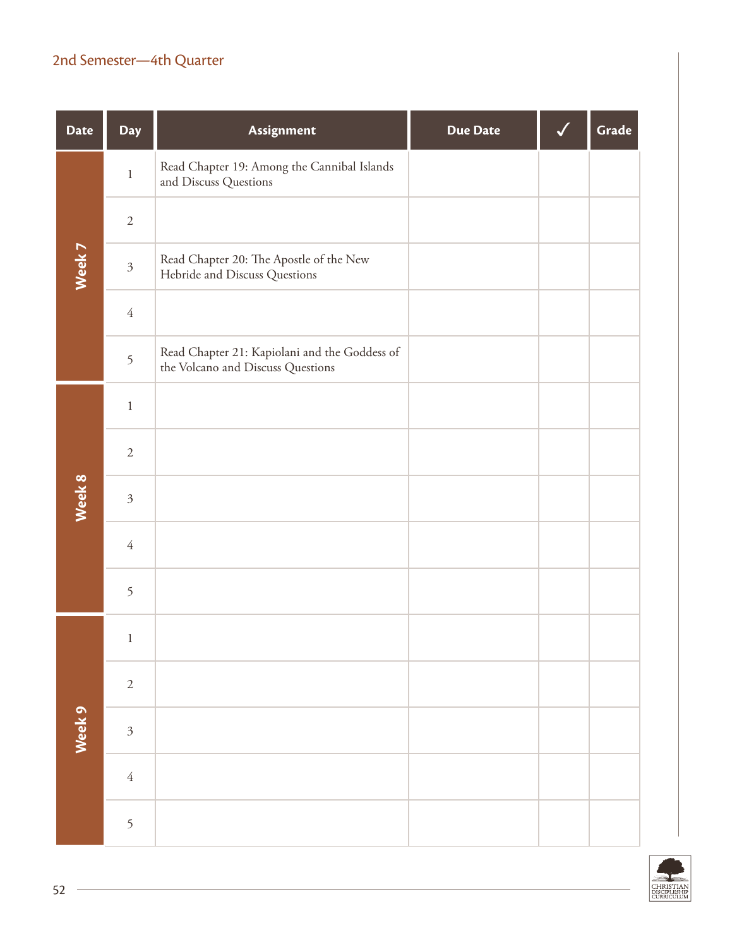## 2nd Semester—4th Quarter

| <b>Date</b> | <b>Day</b>     | Assignment                                                                         | <b>Due Date</b> | Grade |
|-------------|----------------|------------------------------------------------------------------------------------|-----------------|-------|
| Week 7      | $\,1\,$        | Read Chapter 19: Among the Cannibal Islands<br>and Discuss Questions               |                 |       |
|             | $\sqrt{2}$     |                                                                                    |                 |       |
|             | $\mathfrak{Z}$ | Read Chapter 20: The Apostle of the New<br>Hebride and Discuss Questions           |                 |       |
|             | $\sqrt{4}$     |                                                                                    |                 |       |
|             | 5              | Read Chapter 21: Kapiolani and the Goddess of<br>the Volcano and Discuss Questions |                 |       |
|             | $\,1\,$        |                                                                                    |                 |       |
|             | $\sqrt{2}$     |                                                                                    |                 |       |
| Week 8      | $\mathfrak{Z}$ |                                                                                    |                 |       |
|             | $\sqrt{4}$     |                                                                                    |                 |       |
|             | 5              |                                                                                    |                 |       |
| Week 9      | $\mathbf{1}$   |                                                                                    |                 |       |
|             | $\sqrt{2}$     |                                                                                    |                 |       |
|             | $\mathfrak{Z}$ |                                                                                    |                 |       |
|             | $\sqrt{4}$     |                                                                                    |                 |       |
|             | 5              |                                                                                    |                 |       |

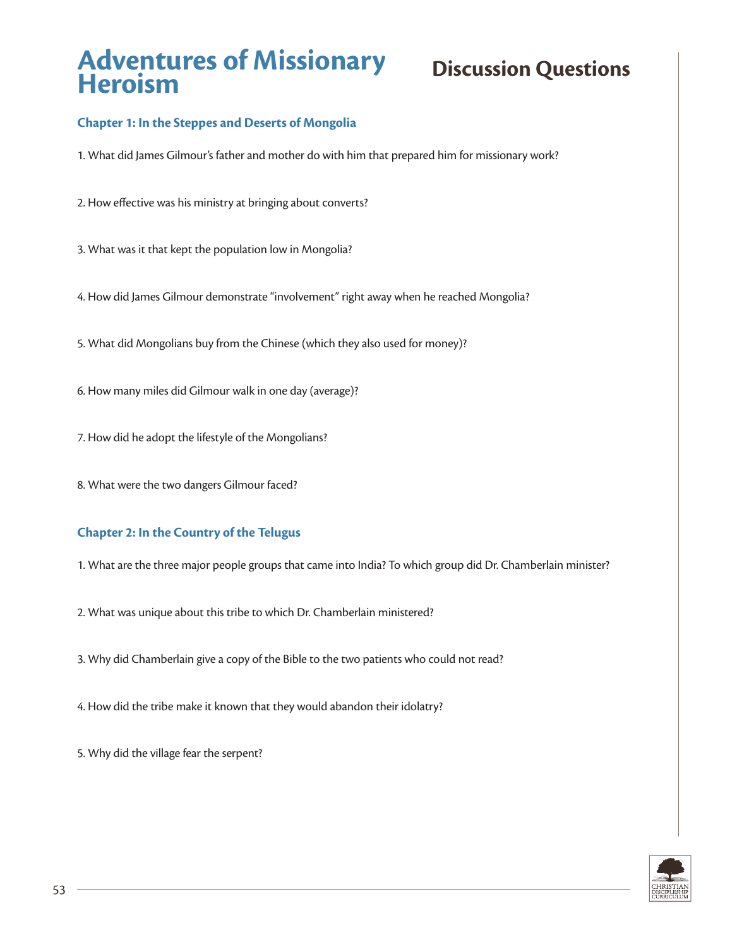## **Chapter 1: In the Steppes and Deserts of Mongolia**

1. What did James Gilmour's father and mother do with him that prepared him for missionary work?

- 2. How effective was his ministry at bringing about converts?
- 3. What was it that kept the population low in Mongolia?
- 4. How did James Gilmour demonstrate "involvement" right away when he reached Mongolia?
- 5. What did Mongolians buy from the Chinese (which they also used for money)?
- 6. How many miles did Gilmour walk in one day (average)?
- 7. How did he adopt the lifestyle of the Mongolians?
- 8. What were the two dangers Gilmour faced?

### **Chapter 2: In the Country of the Telugus**

- 1. What are the three major people groups that came into India? To which group did Dr. Chamberlain minister?
- 2. What was unique about this tribe to which Dr. Chamberlain ministered?
- 3. Why did Chamberlain give a copy of the Bible to the two patients who could not read?
- 4. How did the tribe make it known that they would abandon their idolatry?

5. Why did the village fear the serpent?

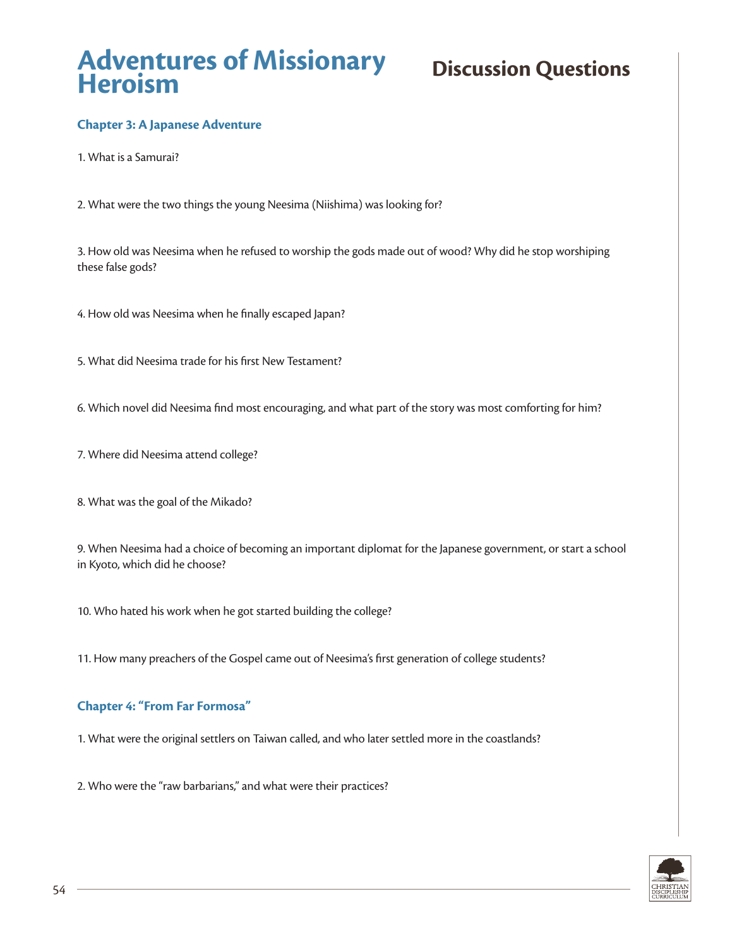## **Chapter 3: A Japanese Adventure**

1. What is a Samurai?

2. What were the two things the young Neesima (Niishima) was looking for?

3. How old was Neesima when he refused to worship the gods made out of wood? Why did he stop worshiping these false gods?

4. How old was Neesima when he finally escaped Japan?

5. What did Neesima trade for his first New Testament?

6. Which novel did Neesima find most encouraging, and what part of the story was most comforting for him?

7. Where did Neesima attend college?

8. What was the goal of the Mikado?

9. When Neesima had a choice of becoming an important diplomat for the Japanese government, or start a school in Kyoto, which did he choose?

10. Who hated his work when he got started building the college?

11. How many preachers of the Gospel came out of Neesima's first generation of college students?

#### **Chapter 4: "From Far Formosa"**

1. What were the original settlers on Taiwan called, and who later settled more in the coastlands?

2. Who were the "raw barbarians," and what were their practices?

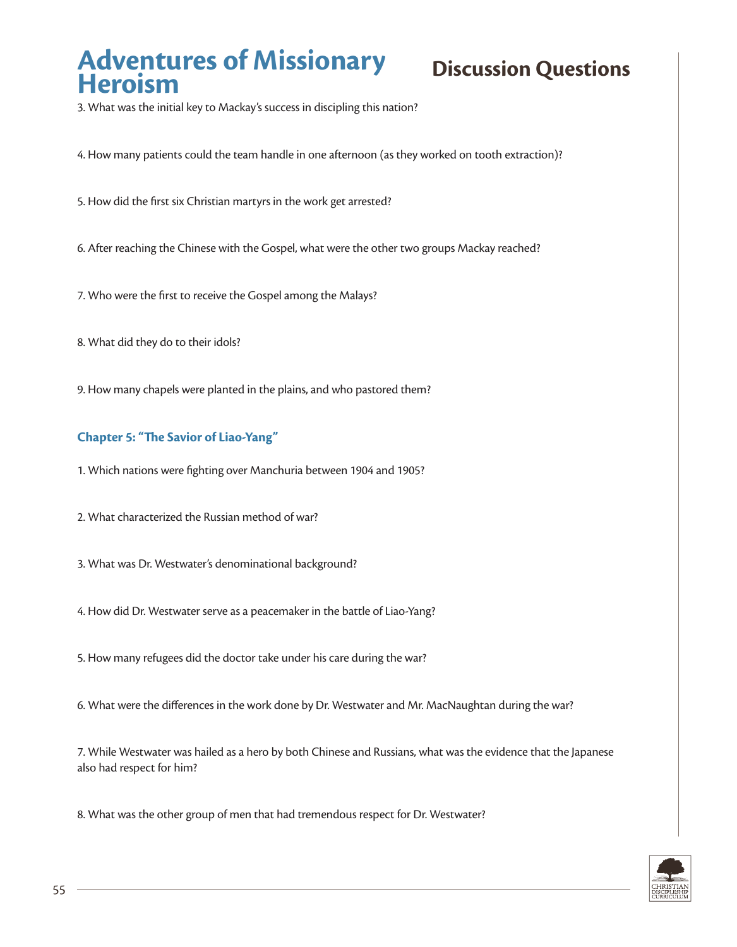3. What was the initial key to Mackay's success in discipling this nation?

4. How many patients could the team handle in one afternoon (as they worked on tooth extraction)?

5. How did the first six Christian martyrs in the work get arrested?

- 6. After reaching the Chinese with the Gospel, what were the other two groups Mackay reached?
- 7. Who were the first to receive the Gospel among the Malays?
- 8. What did they do to their idols?
- 9. How many chapels were planted in the plains, and who pastored them?

### **Chapter 5: "The Savior of Liao-Yang"**

- 1. Which nations were fighting over Manchuria between 1904 and 1905?
- 2. What characterized the Russian method of war?
- 3. What was Dr. Westwater's denominational background?
- 4. How did Dr. Westwater serve as a peacemaker in the battle of Liao-Yang?
- 5. How many refugees did the doctor take under his care during the war?
- 6. What were the differences in the work done by Dr. Westwater and Mr. MacNaughtan during the war?

7. While Westwater was hailed as a hero by both Chinese and Russians, what was the evidence that the Japanese also had respect for him?

8. What was the other group of men that had tremendous respect for Dr. Westwater?

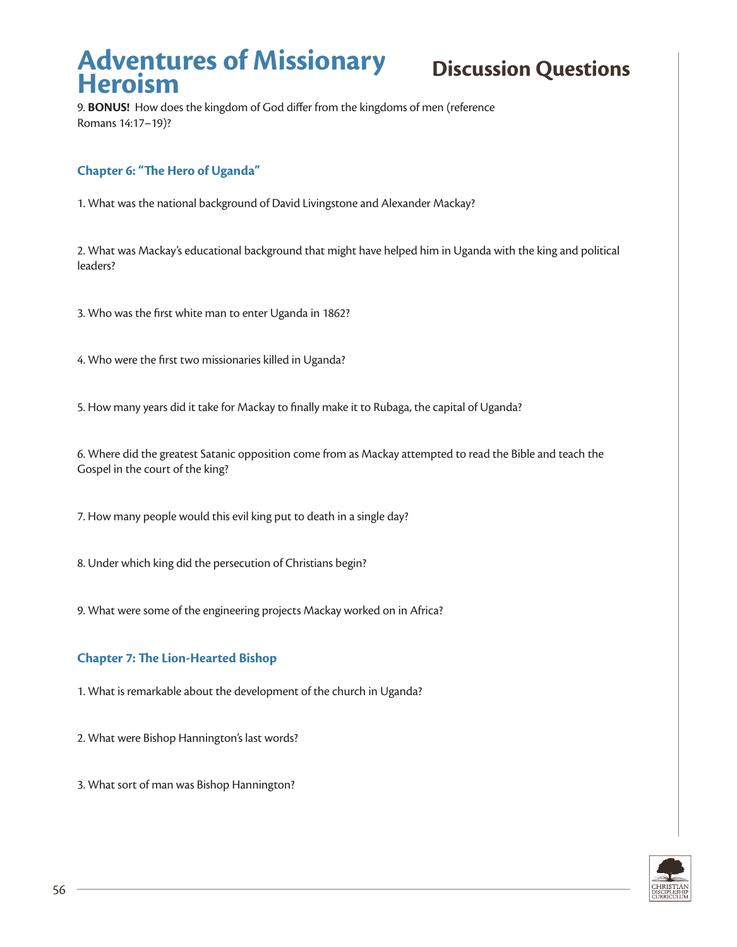9. **BONUS!** How does the kingdom of God differ from the kingdoms of men (reference Romans 14:17–19)?

## **Chapter 6: "The Hero of Uganda"**

1. What was the national background of David Livingstone and Alexander Mackay?

2. What was Mackay's educational background that might have helped him in Uganda with the king and political leaders?

3. Who was the first white man to enter Uganda in 1862?

4. Who were the first two missionaries killed in Uganda?

5. How many years did it take for Mackay to finally make it to Rubaga, the capital of Uganda?

6. Where did the greatest Satanic opposition come from as Mackay attempted to read the Bible and teach the Gospel in the court of the king?

7. How many people would this evil king put to death in a single day?

8. Under which king did the persecution of Christians begin?

9. What were some of the engineering projects Mackay worked on in Africa?

### **Chapter 7: The Lion-Hearted Bishop**

1. What is remarkable about the development of the church in Uganda?

2. What were Bishop Hannington's last words?

3. What sort of man was Bishop Hannington?

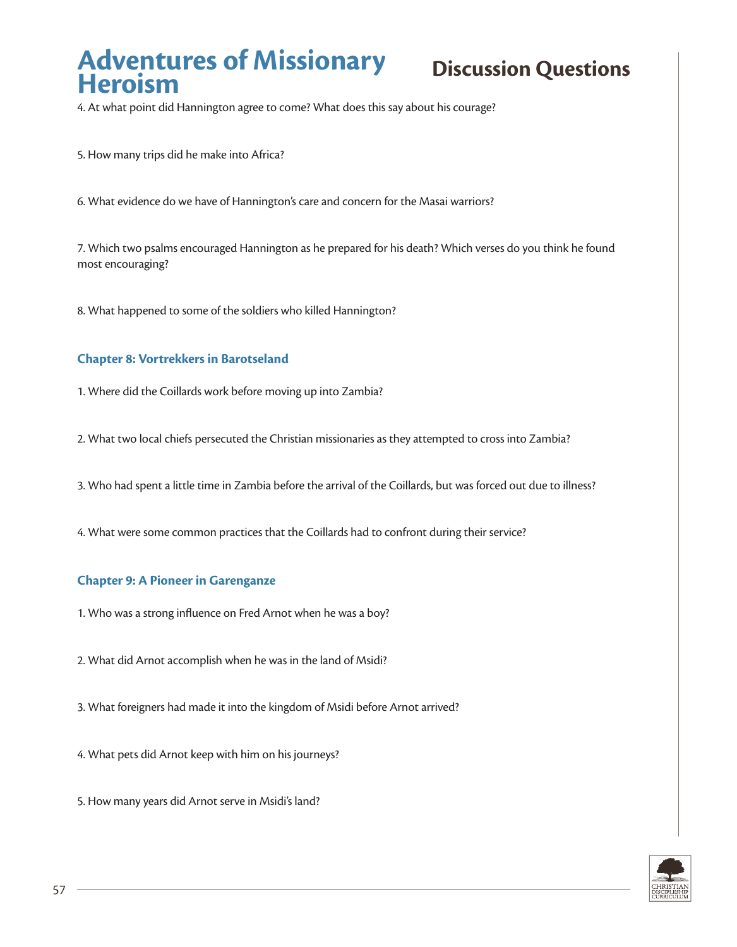4. At what point did Hannington agree to come? What does this say about his courage?

5. How many trips did he make into Africa?

6. What evidence do we have of Hannington's care and concern for the Masai warriors?

7. Which two psalms encouraged Hannington as he prepared for his death? Which verses do you think he found most encouraging?

8. What happened to some of the soldiers who killed Hannington?

#### **Chapter 8: Vortrekkers in Barotseland**

1. Where did the Coillards work before moving up into Zambia?

2. What two local chiefs persecuted the Christian missionaries as they attempted to cross into Zambia?

3. Who had spent a little time in Zambia before the arrival of the Coillards, but was forced out due to illness?

4. What were some common practices that the Coillards had to confront during their service?

#### **Chapter 9: A Pioneer in Garenganze**

1. Who was a strong influence on Fred Arnot when he was a boy?

2. What did Arnot accomplish when he was in the land of Msidi?

3. What foreigners had made it into the kingdom of Msidi before Arnot arrived?

4. What pets did Arnot keep with him on his journeys?

5. How many years did Arnot serve in Msidi's land?

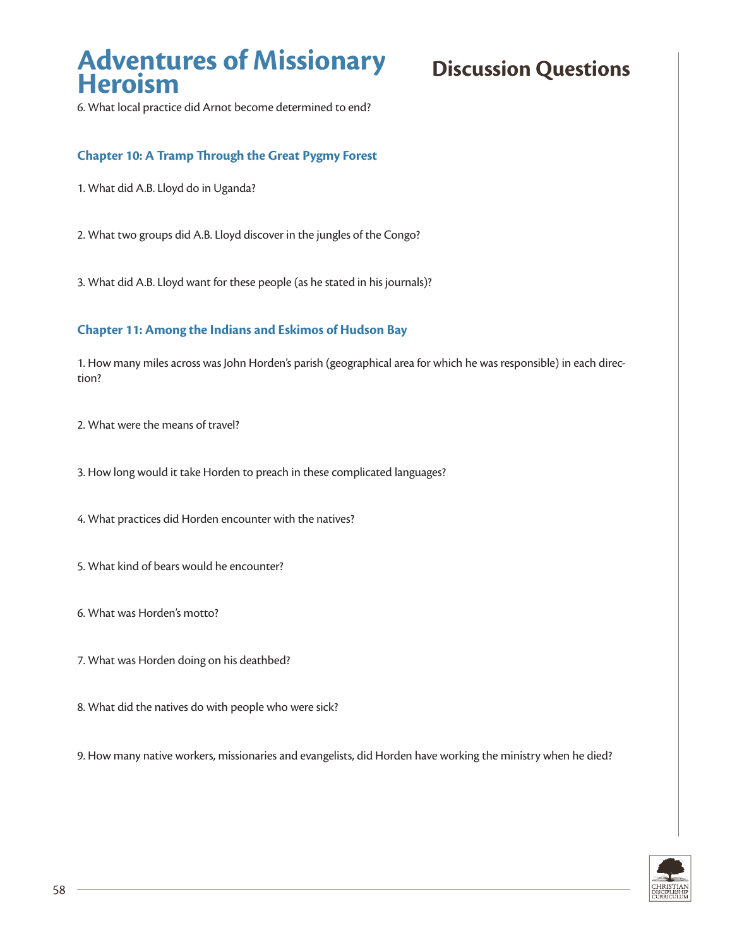6. What local practice did Arnot become determined to end?

### **Chapter 10: A Tramp Through the Great Pygmy Forest**

- 1. What did A.B. Lloyd do in Uganda?
- 2. What two groups did A.B. Lloyd discover in the jungles of the Congo?
- 3. What did A.B. Lloyd want for these people (as he stated in his journals)?

#### **Chapter 11: Among the Indians and Eskimos of Hudson Bay**

1. How many miles across was John Horden's parish (geographical area for which he was responsible) in each direction?

- 2. What were the means of travel?
- 3. How long would it take Horden to preach in these complicated languages?
- 4. What practices did Horden encounter with the natives?
- 5. What kind of bears would he encounter?
- 6. What was Horden's motto?
- 7. What was Horden doing on his deathbed?
- 8. What did the natives do with people who were sick?
- 9. How many native workers, missionaries and evangelists, did Horden have working the ministry when he died?

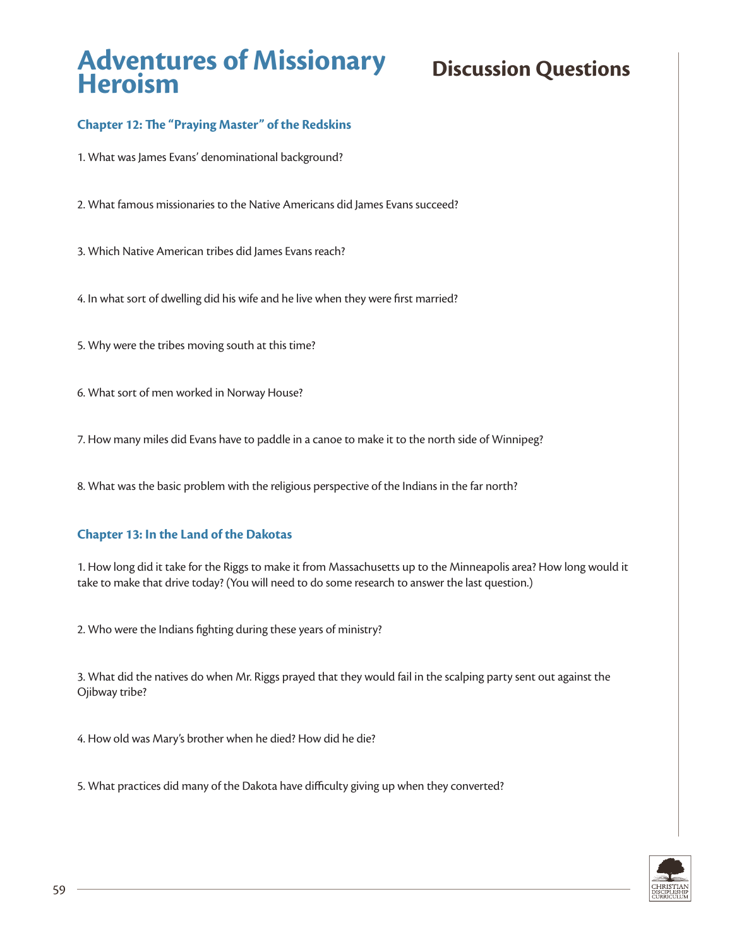## **Chapter 12: The "Praying Master" of the Redskins**

1. What was James Evans' denominational background?

2. What famous missionaries to the Native Americans did James Evans succeed?

3. Which Native American tribes did James Evans reach?

4. In what sort of dwelling did his wife and he live when they were first married?

5. Why were the tribes moving south at this time?

6. What sort of men worked in Norway House?

7. How many miles did Evans have to paddle in a canoe to make it to the north side of Winnipeg?

8. What was the basic problem with the religious perspective of the Indians in the far north?

### **Chapter 13: In the Land of the Dakotas**

1. How long did it take for the Riggs to make it from Massachusetts up to the Minneapolis area? How long would it take to make that drive today? (You will need to do some research to answer the last question.)

2. Who were the Indians fighting during these years of ministry?

3. What did the natives do when Mr. Riggs prayed that they would fail in the scalping party sent out against the Ojibway tribe?

4. How old was Mary's brother when he died? How did he die?

5. What practices did many of the Dakota have difficulty giving up when they converted?

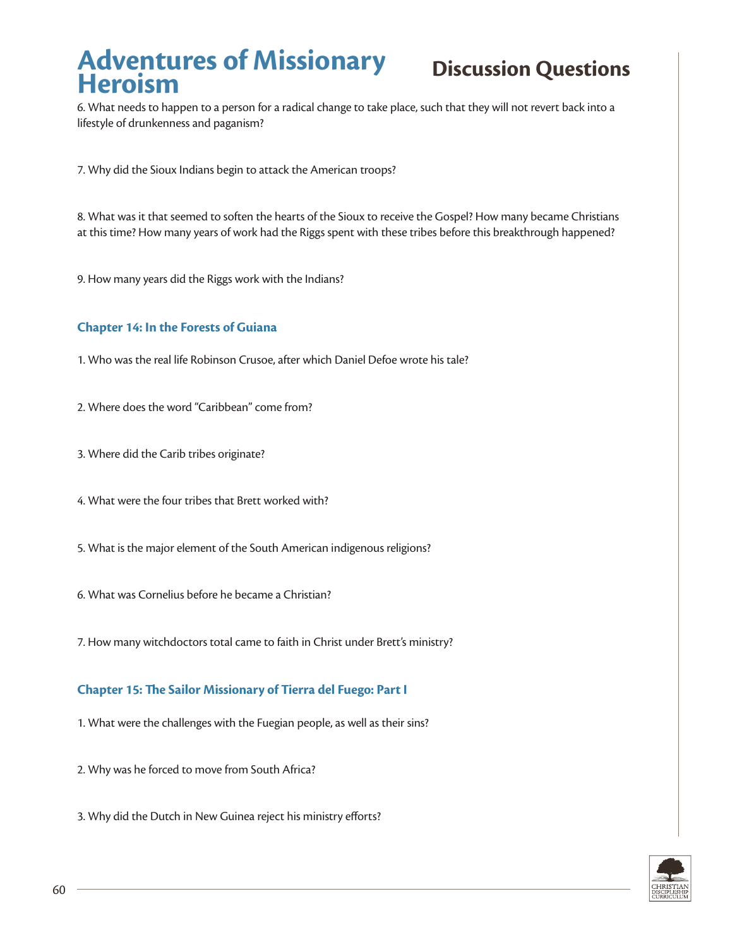6. What needs to happen to a person for a radical change to take place, such that they will not revert back into a lifestyle of drunkenness and paganism?

7. Why did the Sioux Indians begin to attack the American troops?

8. What was it that seemed to soften the hearts of the Sioux to receive the Gospel? How many became Christians at this time? How many years of work had the Riggs spent with these tribes before this breakthrough happened?

9. How many years did the Riggs work with the Indians?

#### **Chapter 14: In the Forests of Guiana**

- 1. Who was the real life Robinson Crusoe, after which Daniel Defoe wrote his tale?
- 2. Where does the word "Caribbean" come from?
- 3. Where did the Carib tribes originate?
- 4. What were the four tribes that Brett worked with?
- 5. What is the major element of the South American indigenous religions?
- 6. What was Cornelius before he became a Christian?
- 7. How many witchdoctors total came to faith in Christ under Brett's ministry?

#### **Chapter 15: The Sailor Missionary of Tierra del Fuego: Part I**

- 1. What were the challenges with the Fuegian people, as well as their sins?
- 2. Why was he forced to move from South Africa?
- 3. Why did the Dutch in New Guinea reject his ministry efforts?

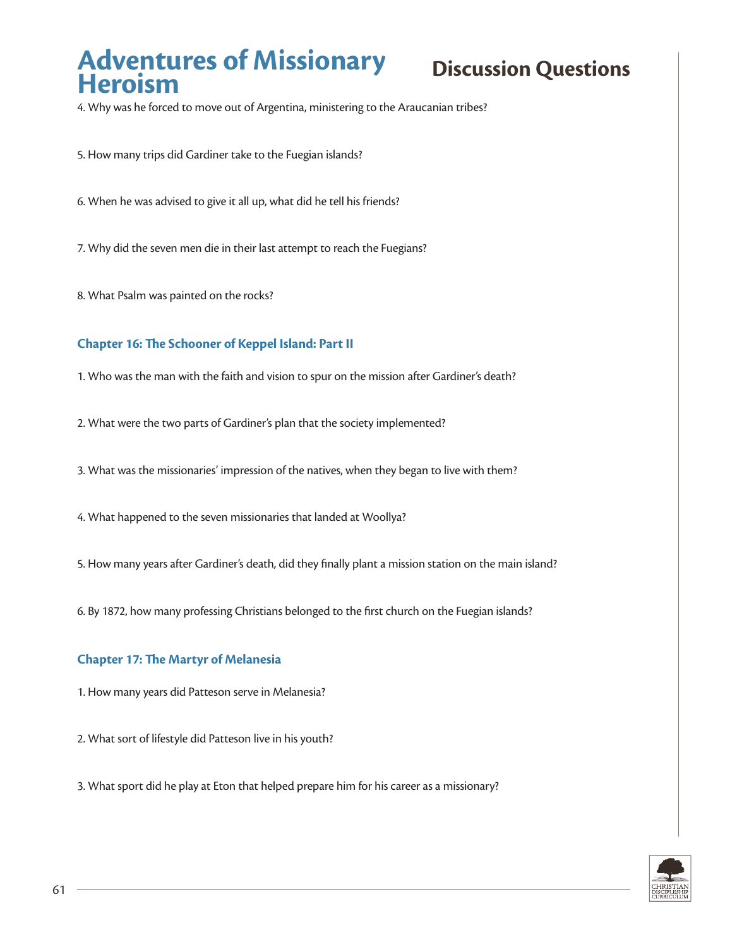4. Why was he forced to move out of Argentina, ministering to the Araucanian tribes?

5. How many trips did Gardiner take to the Fuegian islands?

6. When he was advised to give it all up, what did he tell his friends?

7. Why did the seven men die in their last attempt to reach the Fuegians?

8. What Psalm was painted on the rocks?

### **Chapter 16: The Schooner of Keppel Island: Part II**

1. Who was the man with the faith and vision to spur on the mission after Gardiner's death?

2. What were the two parts of Gardiner's plan that the society implemented?

3. What was the missionaries' impression of the natives, when they began to live with them?

4. What happened to the seven missionaries that landed at Woollya?

5. How many years after Gardiner's death, did they finally plant a mission station on the main island?

6. By 1872, how many professing Christians belonged to the first church on the Fuegian islands?

#### **Chapter 17: The Martyr of Melanesia**

1. How many years did Patteson serve in Melanesia?

2. What sort of lifestyle did Patteson live in his youth?

3. What sport did he play at Eton that helped prepare him for his career as a missionary?

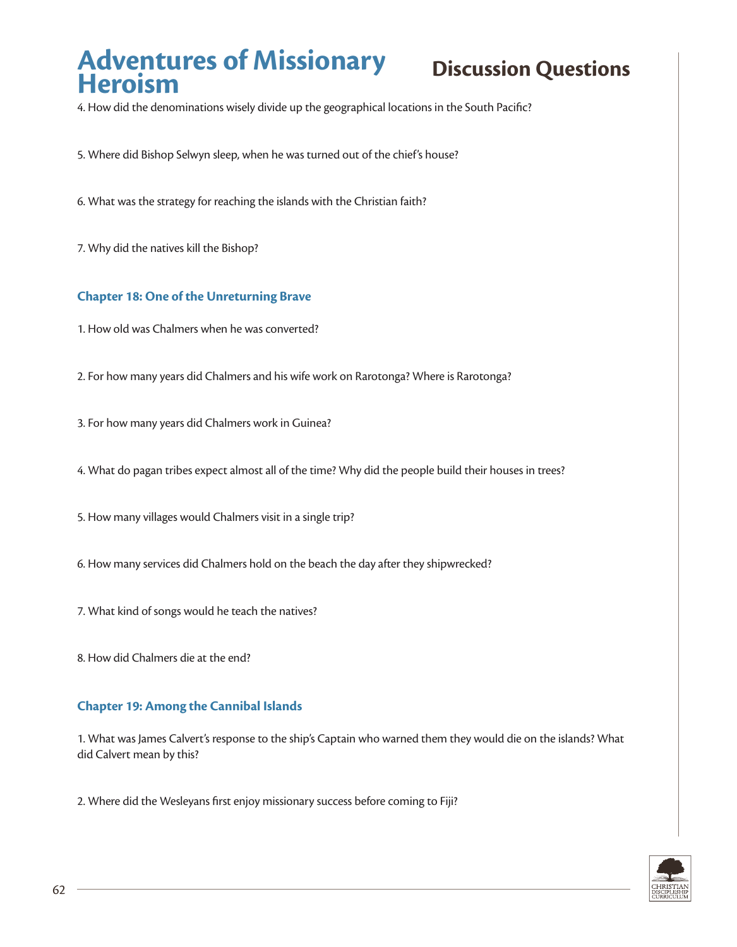4. How did the denominations wisely divide up the geographical locations in the South Pacific?

- 5. Where did Bishop Selwyn sleep, when he was turned out of the chief's house?
- 6. What was the strategy for reaching the islands with the Christian faith?
- 7. Why did the natives kill the Bishop?

#### **Chapter 18: One of the Unreturning Brave**

- 1. How old was Chalmers when he was converted?
- 2. For how many years did Chalmers and his wife work on Rarotonga? Where is Rarotonga?
- 3. For how many years did Chalmers work in Guinea?
- 4. What do pagan tribes expect almost all of the time? Why did the people build their houses in trees?
- 5. How many villages would Chalmers visit in a single trip?
- 6. How many services did Chalmers hold on the beach the day after they shipwrecked?
- 7. What kind of songs would he teach the natives?
- 8. How did Chalmers die at the end?

#### **Chapter 19: Among the Cannibal Islands**

1. What was James Calvert's response to the ship's Captain who warned them they would die on the islands? What did Calvert mean by this?

2. Where did the Wesleyans first enjoy missionary success before coming to Fiji?

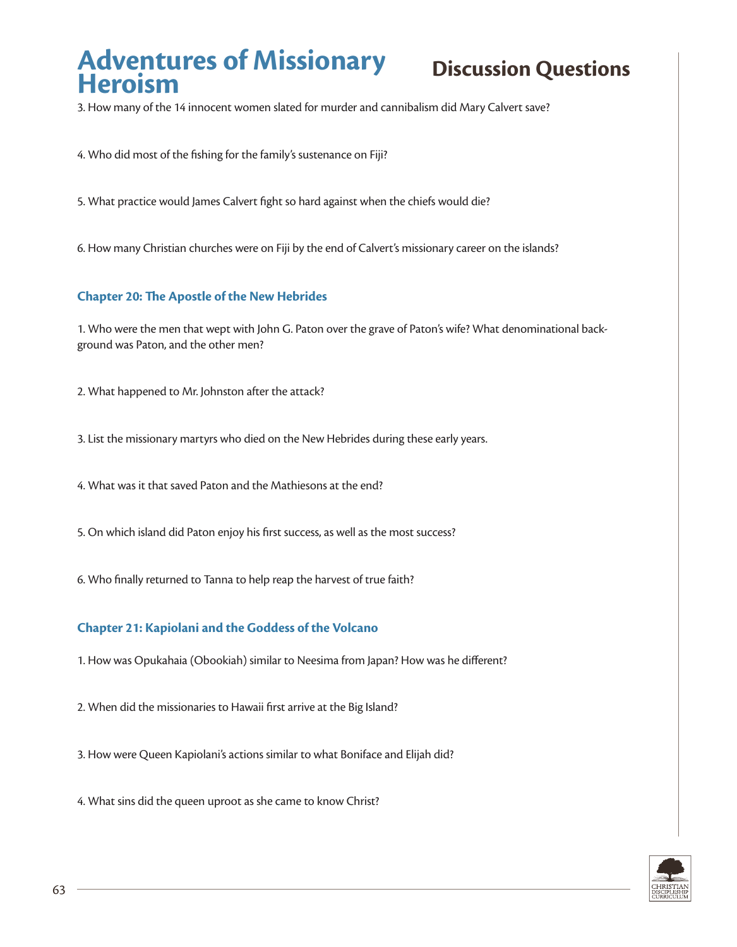3. How many of the 14 innocent women slated for murder and cannibalism did Mary Calvert save?

4. Who did most of the fishing for the family's sustenance on Fiji?

5. What practice would James Calvert fight so hard against when the chiefs would die?

6. How many Christian churches were on Fiji by the end of Calvert's missionary career on the islands?

#### **Chapter 20: The Apostle of the New Hebrides**

1. Who were the men that wept with John G. Paton over the grave of Paton's wife? What denominational background was Paton, and the other men?

2. What happened to Mr. Johnston after the attack?

3. List the missionary martyrs who died on the New Hebrides during these early years.

4. What was it that saved Paton and the Mathiesons at the end?

5. On which island did Paton enjoy his first success, as well as the most success?

6. Who finally returned to Tanna to help reap the harvest of true faith?

#### **Chapter 21: Kapiolani and the Goddess of the Volcano**

1. How was Opukahaia (Obookiah) similar to Neesima from Japan? How was he different?

2. When did the missionaries to Hawaii first arrive at the Big Island?

3. How were Queen Kapiolani's actions similar to what Boniface and Elijah did?

4. What sins did the queen uproot as she came to know Christ?

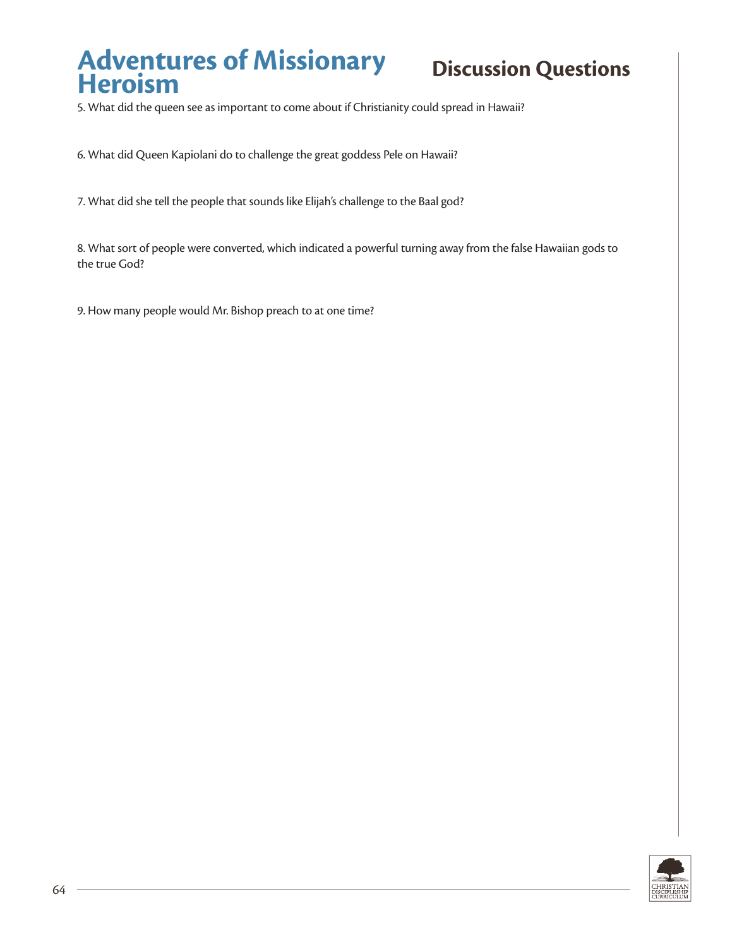5. What did the queen see as important to come about if Christianity could spread in Hawaii?

6. What did Queen Kapiolani do to challenge the great goddess Pele on Hawaii?

7. What did she tell the people that sounds like Elijah's challenge to the Baal god?

8. What sort of people were converted, which indicated a powerful turning away from the false Hawaiian gods to the true God?

9. How many people would Mr. Bishop preach to at one time?

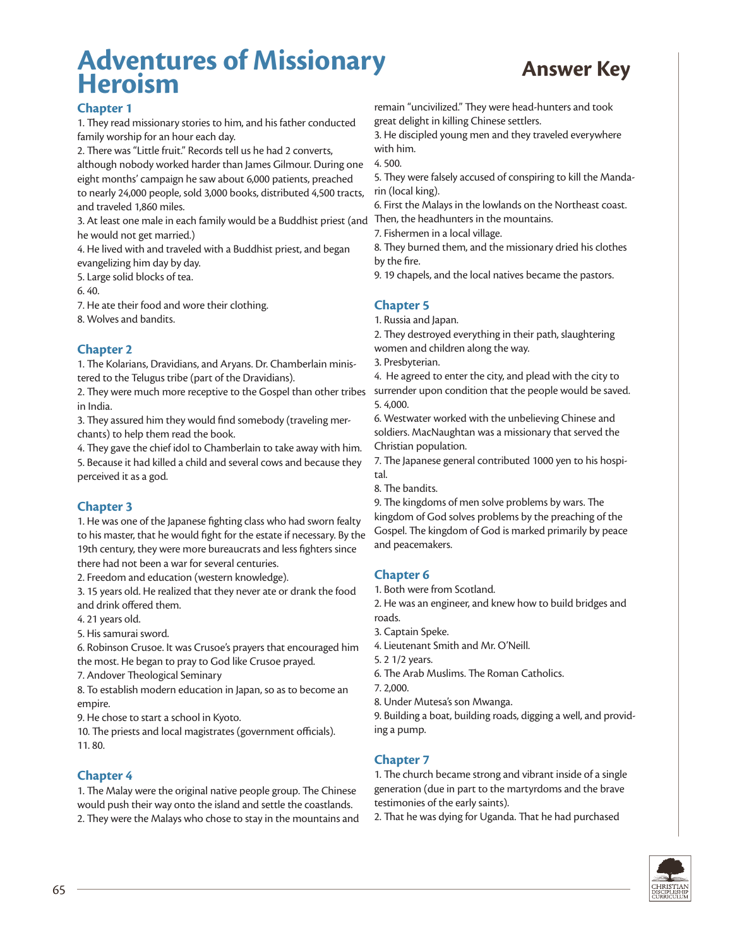## **Adventures of Missionary Heroism Answer Key**



#### **Chapter 1**

1. They read missionary stories to him, and his father conducted family worship for an hour each day.

2. There was "Little fruit." Records tell us he had 2 converts, although nobody worked harder than James Gilmour. During one eight months' campaign he saw about 6,000 patients, preached to nearly 24,000 people, sold 3,000 books, distributed 4,500 tracts, and traveled 1,860 miles.

3. At least one male in each family would be a Buddhist priest (and Then, the headhunters in the mountains. he would not get married.)

4. He lived with and traveled with a Buddhist priest, and began evangelizing him day by day.

5. Large solid blocks of tea.

6. 40.

7. He ate their food and wore their clothing. 8. Wolves and bandits.

#### **Chapter 2**

1. The Kolarians, Dravidians, and Aryans. Dr. Chamberlain ministered to the Telugus tribe (part of the Dravidians).

2. They were much more receptive to the Gospel than other tribes in India.

3. They assured him they would find somebody (traveling merchants) to help them read the book.

4. They gave the chief idol to Chamberlain to take away with him. 5. Because it had killed a child and several cows and because they perceived it as a god.

### **Chapter 3**

1. He was one of the Japanese fighting class who had sworn fealty to his master, that he would fight for the estate if necessary. By the 19th century, they were more bureaucrats and less fighters since there had not been a war for several centuries.

2. Freedom and education (western knowledge).

3. 15 years old. He realized that they never ate or drank the food and drink offered them.

4. 21 years old.

5. His samurai sword.

6. Robinson Crusoe. It was Crusoe's prayers that encouraged him the most. He began to pray to God like Crusoe prayed.

7. Andover Theological Seminary

8. To establish modern education in Japan, so as to become an empire.

9. He chose to start a school in Kyoto.

10. The priests and local magistrates (government officials). 11. 80.

#### **Chapter 4**

1. The Malay were the original native people group. The Chinese would push their way onto the island and settle the coastlands. 2. They were the Malays who chose to stay in the mountains and remain "uncivilized." They were head-hunters and took great delight in killing Chinese settlers.

3. He discipled young men and they traveled everywhere with him.

4. 500.

5. They were falsely accused of conspiring to kill the Mandarin (local king).

6. First the Malays in the lowlands on the Northeast coast.

7. Fishermen in a local village.

8. They burned them, and the missionary dried his clothes by the fire.

9. 19 chapels, and the local natives became the pastors.

## **Chapter 5**

1. Russia and Japan.

2. They destroyed everything in their path, slaughtering women and children along the way.

3. Presbyterian.

4. He agreed to enter the city, and plead with the city to surrender upon condition that the people would be saved. 5. 4,000.

6. Westwater worked with the unbelieving Chinese and soldiers. MacNaughtan was a missionary that served the Christian population.

7. The Japanese general contributed 1000 yen to his hospital.

8. The bandits.

9. The kingdoms of men solve problems by wars. The kingdom of God solves problems by the preaching of the Gospel. The kingdom of God is marked primarily by peace and peacemakers.

### **Chapter 6**

1. Both were from Scotland.

2. He was an engineer, and knew how to build bridges and roads.

3. Captain Speke.

4. Lieutenant Smith and Mr. O'Neill.

5. 2 1/2 years.

6. The Arab Muslims. The Roman Catholics.

7. 2,000.

8. Under Mutesa's son Mwanga.

9. Building a boat, building roads, digging a well, and providing a pump.

### **Chapter 7**

1. The church became strong and vibrant inside of a single generation (due in part to the martyrdoms and the brave testimonies of the early saints).

2. That he was dying for Uganda. That he had purchased

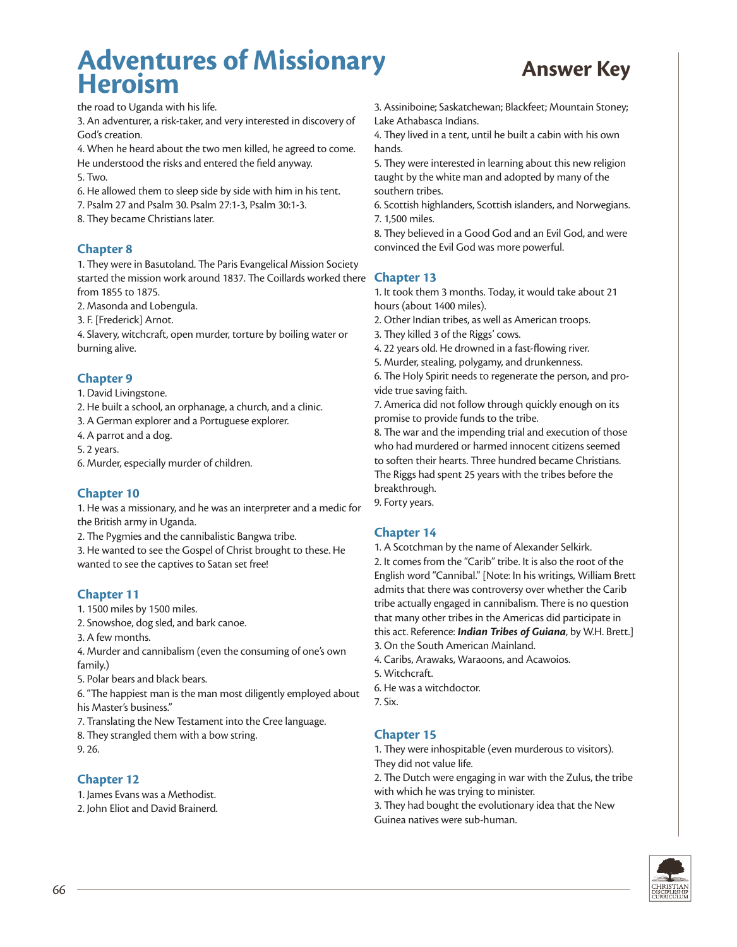## **Adventures of Missionary Heroism Answer Key**



the road to Uganda with his life.

3. An adventurer, a risk-taker, and very interested in discovery of God's creation.

4. When he heard about the two men killed, he agreed to come. He understood the risks and entered the field anyway.

- 5. Two.
- 6. He allowed them to sleep side by side with him in his tent.
- 7. Psalm 27 and Psalm 30. Psalm 27:1-3, Psalm 30:1-3.
- 8. They became Christians later.

## **Chapter 8**

1. They were in Basutoland. The Paris Evangelical Mission Society started the mission work around 1837. The Coillards worked there from 1855 to 1875.

2. Masonda and Lobengula.

3. F. [Frederick] Arnot.

4. Slavery, witchcraft, open murder, torture by boiling water or burning alive.

#### **Chapter 9**

1. David Livingstone.

2. He built a school, an orphanage, a church, and a clinic.

3. A German explorer and a Portuguese explorer.

4. A parrot and a dog.

5. 2 years.

6. Murder, especially murder of children.

#### **Chapter 10**

1. He was a missionary, and he was an interpreter and a medic for the British army in Uganda.

2. The Pygmies and the cannibalistic Bangwa tribe.

3. He wanted to see the Gospel of Christ brought to these. He wanted to see the captives to Satan set free!

#### **Chapter 11**

1. 1500 miles by 1500 miles.

- 2. Snowshoe, dog sled, and bark canoe.
- 3. A few months.

4. Murder and cannibalism (even the consuming of one's own family.)

5. Polar bears and black bears.

6. "The happiest man is the man most diligently employed about his Master's business."

7. Translating the New Testament into the Cree language.

8. They strangled them with a bow string.

9. 26.

### **Chapter 12**

1. James Evans was a Methodist.

2. John Eliot and David Brainerd.

3. Assiniboine; Saskatchewan; Blackfeet; Mountain Stoney; Lake Athabasca Indians.

4. They lived in a tent, until he built a cabin with his own hands.

5. They were interested in learning about this new religion taught by the white man and adopted by many of the southern tribes.

6. Scottish highlanders, Scottish islanders, and Norwegians. 7. 1,500 miles.

8. They believed in a Good God and an Evil God, and were convinced the Evil God was more powerful.

## **Chapter 13**

1. It took them 3 months. Today, it would take about 21 hours (about 1400 miles).

2. Other Indian tribes, as well as American troops.

3. They killed 3 of the Riggs' cows.

4. 22 years old. He drowned in a fast-flowing river.

5. Murder, stealing, polygamy, and drunkenness.

6. The Holy Spirit needs to regenerate the person, and provide true saving faith.

7. America did not follow through quickly enough on its promise to provide funds to the tribe.

8. The war and the impending trial and execution of those who had murdered or harmed innocent citizens seemed to soften their hearts. Three hundred became Christians. The Riggs had spent 25 years with the tribes before the breakthrough.

9. Forty years.

### **Chapter 14**

1. A Scotchman by the name of Alexander Selkirk. 2. It comes from the "Carib" tribe. It is also the root of the English word "Cannibal." [Note: In his writings, William Brett admits that there was controversy over whether the Carib tribe actually engaged in cannibalism. There is no question that many other tribes in the Americas did participate in this act. Reference: *Indian Tribes of Guiana*, by W.H. Brett.] 3. On the South American Mainland.

4. Caribs, Arawaks, Waraoons, and Acawoios.

5. Witchcraft.

6. He was a witchdoctor.

7. Six.

### **Chapter 15**

1. They were inhospitable (even murderous to visitors). They did not value life.

2. The Dutch were engaging in war with the Zulus, the tribe with which he was trying to minister.

3. They had bought the evolutionary idea that the New Guinea natives were sub-human.